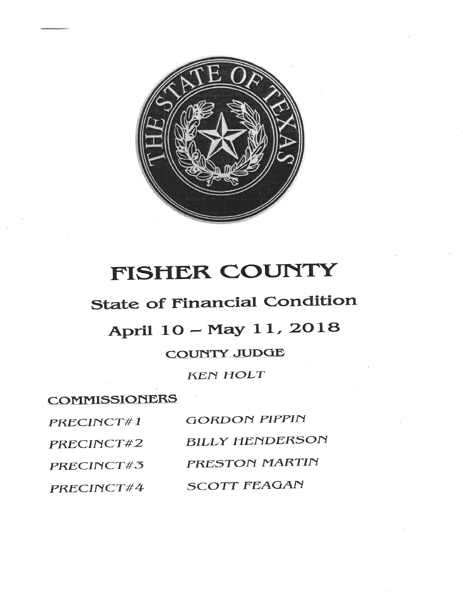

# FISHER COUNTY

### **State of Financial Condition**

## April 10 - May 11, 2018

#### **COUNTY JUDGE**

**KEN HOLT** 

### **COMMISSIONERS**

| PRECINCT#1 | <b>GORDON PIPPIN</b>   |
|------------|------------------------|
| PRECINCT#2 | <b>BILLY HENDERSON</b> |
| PRECINCT#3 | PRESTON MARTIN         |
| PRECINCT#4 | <b>SCOTT FEAGAN</b>    |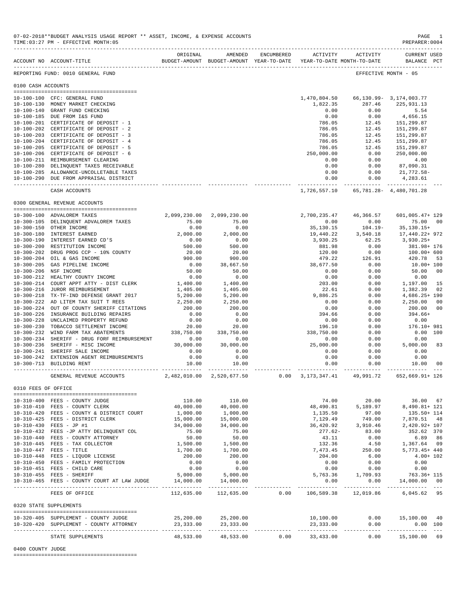|                                      | ACCOUNT NO ACCOUNT-TITLE                                                          | ORIGINAL              | AMENDED<br>BUDGET-AMOUNT BUDGET-AMOUNT YEAR-TO-DATE YEAR-TO-DATE MONTH-TO-DATE |                          | ENCUMBERED ACTIVITY      | ACTIVITY                                                  | <b>CURRENT USED</b><br>BALANCE PCT    |                |
|--------------------------------------|-----------------------------------------------------------------------------------|-----------------------|--------------------------------------------------------------------------------|--------------------------|--------------------------|-----------------------------------------------------------|---------------------------------------|----------------|
|                                      | REPORTING FUND: 0010 GENERAL FUND                                                 |                       |                                                                                |                          |                          |                                                           | EFFECTIVE MONTH - 05                  |                |
| 0100 CASH ACCOUNTS                   |                                                                                   |                       |                                                                                |                          |                          |                                                           |                                       |                |
|                                      | 10-100-100 CFC: GENERAL FUND<br>10-100-130 MONEY MARKET CHECKING                  |                       |                                                                                |                          | 1,470,804.50<br>1,822.35 | 287.46                                                    | 66,130.99-3,174,003.77<br>225,931.13  |                |
|                                      | 10-100-140 GRANT FUND CHECKING                                                    |                       |                                                                                |                          | 0.00                     | 0.00                                                      | 5.54                                  |                |
|                                      | 10-100-185 DUE FROM I&S FUND                                                      |                       |                                                                                |                          | 0.00                     | 0.00                                                      | 4,656.15                              |                |
|                                      | 10-100-201 CERTIFICATE OF DEPOSIT - 1                                             |                       |                                                                                |                          | 786.05                   | 12.45                                                     | 151,299.87                            |                |
| $10 - 100 - 203$                     | 10-100-202 CERTIFICATE OF DEPOSIT - 2<br>CERTIFICATE OF DEPOSIT - 3               |                       |                                                                                |                          | 786.05<br>786.05         | 12.45<br>12.45                                            | 151,299.87<br>151,299.87              |                |
|                                      | 10-100-204 CERTIFICATE OF DEPOSIT - 4                                             |                       |                                                                                |                          | 786.05                   | 12.45                                                     | 151,299.87                            |                |
| $10 - 100 - 205$                     | CERTIFICATE OF DEPOSIT - 5                                                        |                       |                                                                                |                          | 786.05                   | 12.45                                                     | 151,299.87                            |                |
| $10 - 100 - 206$                     | CERTIFICATE OF DEPOSIT - 6                                                        |                       |                                                                                |                          | 250,000.00               | 0.00                                                      | 250,000.00                            |                |
|                                      | 10-100-211 REIMBURSEMENT CLEARING                                                 |                       |                                                                                |                          | 0.00                     | 0.00                                                      | 4.00                                  |                |
|                                      | 10-100-280 DELINQUENT TAXES RECEIVABLE                                            |                       |                                                                                |                          | 0.00                     | 0.00                                                      | 87,090.31                             |                |
|                                      | 10-100-285 ALLOWANCE-UNCOLLETABLE TAXES<br>10-100-290 DUE FROM APPRAISAL DISTRICT |                       |                                                                                |                          | 0.00<br>0.00             | 0.00<br>0.00                                              | 21,772.58-<br>4,283.61                |                |
|                                      | CASH ACCOUNTS                                                                     |                       |                                                                                |                          | ------------- -          | ------------<br>1,726,557.10    65,781.28    4,480,701.28 |                                       |                |
|                                      | 0300 GENERAL REVENUE ACCOUNTS                                                     |                       |                                                                                |                          |                          |                                                           |                                       |                |
|                                      |                                                                                   |                       |                                                                                |                          |                          |                                                           |                                       |                |
|                                      | 10-300-100 ADVALOREM TAXES<br>10-300-105 DELINQUENT ADVALOREM TAXES               | 2,099,230.00<br>75.00 | 2,099,230.00<br>75.00                                                          |                          | 2,700,235.47<br>0.00     | 46,366.57<br>0.00                                         | 601,005.47+ 129<br>75.00 00           |                |
|                                      | 10-300-150 OTHER INCOME                                                           | 0.00                  | 0.00                                                                           |                          | 35,130.15                | $104.19 -$                                                | $35, 130.15+$                         |                |
|                                      | 10-300-180 INTEREST EARNED                                                        | 2,000.00              | 2,000.00                                                                       |                          | 19,440.22                | 3,540.18                                                  | 17,440.22+ 972                        |                |
|                                      | 10-300-190 INTEREST EARNED CD'S                                                   | 0.00                  | 0.00                                                                           |                          | 3,930.25                 | 62.25                                                     | $3,930.25+$                           |                |
| $10 - 300 - 200$                     | RESTITUTION INCOME                                                                | 500.00                | 500.00                                                                         |                          | 881.98                   | 0.00                                                      | 381.98+ 176                           |                |
|                                      | 10-300-202 DRUG PROG CCP - 10% COUNTY                                             | 20.00                 | 20.00                                                                          |                          | 120.00                   | 0.00                                                      | 100.00+ 600                           |                |
| $10 - 300 - 204$                     | OIL & GAS INCOME                                                                  | 900.00                | 900.00                                                                         |                          | 479.22                   | 126.91                                                    | 420.78                                | 53             |
| $10 - 300 - 205$<br>$10 - 300 - 206$ | GAS PIPELINE INCOME<br>NSF INCOME                                                 | 0.00<br>50.00         | 38,667.50<br>50.00                                                             |                          | 38,677.50<br>0.00        | 0.00<br>0.00                                              | 10.00+ 100<br>50.00                   | 0 <sup>0</sup> |
|                                      | 10-300-212 HEALTHY COUNTY INCOME                                                  | 0.00                  | 0.00                                                                           |                          | 0.00                     | 0.00                                                      | 0.00                                  |                |
| $10 - 300 - 214$                     | COURT APPT ATTY - DIST CLERK                                                      | 1,400.00              | 1,400.00                                                                       |                          | 203.00                   | 0.00                                                      | 1,197.00                              | 15             |
| $10 - 300 - 216$                     | JUROR REIMBURSEMENT                                                               | 1,405.00              | 1,405.00                                                                       |                          | 22.61                    | 0.00                                                      | 1,382.39                              | 02             |
| 10-300-218                           | TX-TF-IND DEFENSE GRANT 2017                                                      | 5,200.00              | 5,200.00                                                                       |                          | 9,886.25                 | 0.00                                                      | 4,686.25+ 190                         |                |
|                                      | 10-300-222 AD LITEM TAX SUIT T REES                                               | 2,250.00              | 2,250.00                                                                       |                          | 0.00                     | 0.00                                                      | 2,250.00                              | 00             |
| 10-300-224<br>10-300-226             | OUT OF COUNTY SHERIFF CITATIONS<br>INSURANCE BUILDING REPAIRS                     | 200.00<br>0.00        | 200.00<br>0.00                                                                 |                          | 0.00<br>394.66           | 0.00<br>0.00                                              | 200.00<br>$394.66+$                   | 00             |
|                                      | 10-300-228 UNCLAIMED PROPERTY REFUND                                              | 0.00                  | 0.00                                                                           |                          | 0.00                     | 0.00                                                      | 0.00                                  |                |
| $10 - 300 - 230$                     | TOBACCO SETTLEMENT INCOME                                                         | 20.00                 | 20.00                                                                          |                          | 196.10                   | 0.00                                                      | 176.10+ 981                           |                |
| 10-300-232                           | WIND FARM TAX ABATEMENTS                                                          | 338,750.00            | 338,750.00                                                                     |                          | 338,750.00               | 0.00                                                      | $0.00$ 100                            |                |
| $10 - 300 - 234$                     | SHERIFF - DRUG FORF REIMBURSEMENT                                                 | 0.00                  | 0.00                                                                           |                          | 0.00                     | 0.00                                                      | 0.00                                  |                |
| 10-300-236                           | SHERIFF - MISC INCOME                                                             | 30,000.00             | 30,000.00                                                                      |                          | 25,000.00                | 0.00                                                      | 5,000.00                              | 83             |
| $10 - 300 - 241$                     | SHERIFF SALE INCOME<br>10-300-242 EXTENSION AGENT REIMBURSEMENTS                  | 0.00<br>0.00          | 0.00<br>0.00                                                                   |                          | 0.00<br>0.00             | 0.00<br>0.00                                              | 0.00<br>0.00                          |                |
|                                      | 10-300-713 BUILDING RENT                                                          | 10.00                 | 10.00                                                                          |                          | 0.00                     | 0.00                                                      | 10.00                                 | 00             |
|                                      | GENERAL REVENUE ACCOUNTS                                                          | 2,482,010.00          | 2,520,677.50                                                                   | $0.00 \t 3, 173, 347.41$ |                          | 49,991.72                                                 | 652,669.91+ 126                       |                |
|                                      |                                                                                   |                       |                                                                                |                          |                          |                                                           |                                       |                |
| 0310 FEES OF OFFICE                  |                                                                                   |                       |                                                                                |                          |                          |                                                           |                                       |                |
|                                      | 10-310-400 FEES - COUNTY JUDGE                                                    | 110.00                | 110.00                                                                         |                          | 74.00                    | 20.00                                                     | 36.00 67                              |                |
|                                      | 10-310-410 FEES - COUNTY CLERK                                                    | 40,000.00<br>1,000.00 | 40,000.00                                                                      |                          |                          | 48,490.81 5,189.97                                        | 8,490.81+ 121                         |                |
|                                      | 10-310-420 FEES - COUNTY & DISTRICT COURT<br>10-310-425 FEES - DISTRICT CLERK     | 15,000.00             | 1,000.00<br>15,000.00                                                          |                          | 1,135.50<br>7,129.49     | 97.00<br>749.00                                           | 135.50+ 114<br>7,870.51 48            |                |
|                                      | 10-310-430 FEES - JP #1                                                           | 34,000.00             | 34,000.00                                                                      |                          |                          | 36,420.92 3,910.46                                        | 2,420.92+ 107                         |                |
|                                      | 10-310-432 FEES -JP ATTY DELINQUENT COL                                           | 75.00                 | 75.00                                                                          |                          |                          | $277.62 - 83.00$                                          | 352.62 370                            |                |
|                                      | 10-310-440 FEES - COUNTY ATTORNEY                                                 | 50.00                 | 50.00                                                                          |                          | 43.11                    | 0.00                                                      | 6.89 86                               |                |
|                                      | 10-310-445 FEES - TAX COLLECTOR                                                   | 1,500.00              | 1,500.00                                                                       |                          | 132.36                   | 4.50                                                      | 1,367.64 09                           |                |
|                                      | 10-310-447 FEES - TITLE<br>10-310-448 FEES - LIQUOR LICENSE                       | 1,700.00              | 1,700.00                                                                       |                          | 7,473.45                 | 250.00                                                    | 5,773.45+ 440                         |                |
|                                      | 10-310-450 FEES - FAMILY PROTECTION                                               | 200.00<br>0.00        | 200.00<br>0.00                                                                 |                          | 204.00<br>0.00           | 6.00<br>0.00                                              | $4.00 + 102$<br>0.00                  |                |
|                                      | 10-310-451 FEES - CHILD CARE                                                      | 0.00                  | 0.00                                                                           |                          | 0.00                     | 0.00                                                      | 0.00                                  |                |
|                                      | 10-310-455 FEES - SHERIFF                                                         | 5,000.00              | 5,000.00                                                                       |                          | 5,763.36                 | 1,709.93                                                  | 763.36+ 115                           |                |
|                                      | 10-310-465 FEES - COUNTY COURT AT LAW JUDGE                                       | 14,000.00             | 14,000.00                                                                      | ------------             | 0.00                     | 0.00                                                      | 14,000.00 00                          |                |
|                                      | FEES OF OFFICE                                                                    | 112,635.00            | 112,635.00                                                                     |                          |                          |                                                           | 0.00 106,589.38 12,019.86 6,045.62 95 |                |
|                                      | 0320 STATE SUPPLEMENTS                                                            |                       |                                                                                |                          |                          |                                                           |                                       |                |
|                                      | --------------------------------------<br>10-320-405 SUPPLEMENT - COUNTY JUDGE    |                       | 25, 200.00 25, 200.00                                                          |                          | 10,100.00                |                                                           | $0.00$ 15,100.00 40                   |                |
|                                      | 10-320-420 SUPPLEMENT - COUNTY ATTORNEY                                           | 23,333.00             | 23,333.00                                                                      |                          | 23,333.00                | 0.00                                                      | $0.00$ 100                            |                |
|                                      | STATE SUPPLEMENTS                                                                 | 48,533.00             |                                                                                | 48,533.00 0.00           | 33,433.00                | 0.00                                                      | 15,100.00 69                          |                |
|                                      |                                                                                   |                       |                                                                                |                          |                          |                                                           |                                       |                |

0400 COUNTY JUDGE

========================================

07-02-2018\*\*BUDGET ANALYSIS USAGE REPORT \*\* ASSET, INCOME, & EXPENSE ACCOUNTS PAGE 1<br>TIME:03:27 PM - EFFECTIVE MONTH:05 TIME:03:27 PM - EFFECTIVE MONTH:05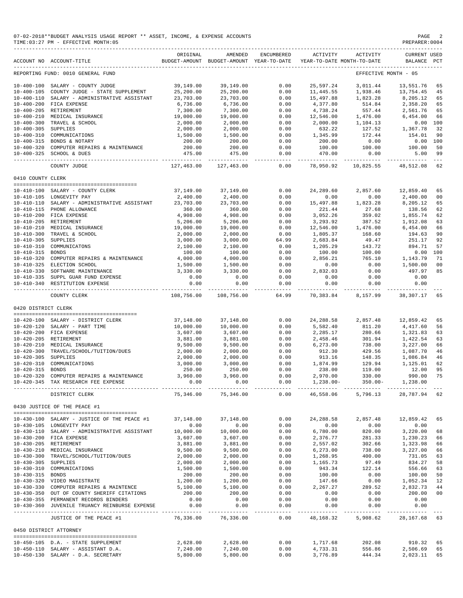|                     | 07-02-2018**BUDGET ANALYSIS USAGE REPORT ** ASSET, INCOME, & EXPENSE ACCOUNTS<br>TIME: 03:27 PM - EFFECTIVE MONTH: 05 |                          |                                                     |                  |                                         |                                        | PAGE<br>PREPARER: 0004         |               |
|---------------------|-----------------------------------------------------------------------------------------------------------------------|--------------------------|-----------------------------------------------------|------------------|-----------------------------------------|----------------------------------------|--------------------------------|---------------|
|                     | ACCOUNT NO ACCOUNT-TITLE                                                                                              | ORIGINAL                 | AMENDED<br>BUDGET-AMOUNT BUDGET-AMOUNT YEAR-TO-DATE | ENCUMBERED       | ---------------------------<br>ACTIVITY | ACTIVITY<br>YEAR-TO-DATE MONTH-TO-DATE | <b>CURRENT USED</b><br>BALANCE | $_{\rm PCT}$  |
|                     | REPORTING FUND: 0010 GENERAL FUND                                                                                     |                          |                                                     |                  |                                         |                                        | EFFECTIVE MONTH - 05           |               |
|                     | 10-400-100 SALARY - COUNTY JUDGE                                                                                      | 39,149.00                | 39,149.00                                           | 0.00             | 25,597.24                               | 3,011.44                               | 13,551.76                      | 65            |
| $10 - 400 - 105$    | COUNTY JUDGE - STATE SUPPLEMENT                                                                                       | 25,200.00                | 25,200.00                                           | 0.00             | 11, 445.55                              | 1,938.46                               | 13,754.45                      | 45            |
| $10 - 400 - 110$    | SALARY - ADMINISTRATIVE ASSISTANT                                                                                     | 23,703.00                | 23,703.00                                           | 0.00             | 15,497.88                               | 1,823.28                               | 8,205.12                       | 65            |
|                     | 10-400-200 FICA EXPENSE                                                                                               | 6,736.00                 | 6,736.00                                            | 0.00             | 4,377.80                                | 514.84                                 | 2,358.20                       | 65            |
|                     | 10-400-205 RETIREMENT                                                                                                 | 7,300.00                 | 7,300.00                                            | 0.00             | 4,738.24                                | 557.44                                 | 2,561.76                       | 65            |
| $10 - 400 - 210$    | MEDICAL INSURANCE                                                                                                     | 19,000.00                | 19,000.00                                           | 0.00             | 12,546.00                               | 1,476.00                               | 6,454.00                       | 66            |
| $10 - 400 - 300$    | TRAVEL & SCHOOL                                                                                                       | 2,000.00                 | 2,000.00                                            | 0.00             | 2,000.00                                | 1,104.13                               | 0.00                           | 100           |
| 10-400-305 SUPPLIES |                                                                                                                       | 2,000.00                 | 2,000.00                                            | 0.00             | 632.22                                  | 127.52                                 | 1,367.78                       | 32            |
| 10-400-310          | COMMUNICATIONS                                                                                                        | 1,500.00                 | 1,500.00                                            | 0.00             | 1,345.99                                | 172.44                                 | 154.01                         | 90            |
|                     | 10-400-315 BONDS & NOTARY                                                                                             | 200.00                   | 200.00                                              | 0.00             | 200.00                                  | 0.00                                   | 0.00                           | 100           |
|                     | 10-400-320 COMPUTER REPAIRS & MAINTENANCE<br>10-400-325 SCHOOL & DUES                                                 | 200.00<br>475.00         | 200.00<br>475.00                                    | 0.00<br>0.00     | 100.00<br>470.00                        | 100.00<br>0.00                         | 100.00<br>5.00                 | 50<br>99      |
|                     | COUNTY JUDGE                                                                                                          | 127,463.00               | 127,463.00                                          | $---$<br>0.00    | 78,950.92                               | 10,825.55                              | 48,512.08                      | $- - -$<br>62 |
| 0410 COUNTY CLERK   |                                                                                                                       |                          |                                                     |                  |                                         |                                        |                                |               |
|                     |                                                                                                                       |                          |                                                     |                  |                                         |                                        |                                |               |
|                     | 10-410-100 SALARY - COUNTY CLERK<br>10-410-105 LONGEVITY PAY                                                          | 37,149.00<br>2,400.00    | 37,149.00<br>2,400.00                               | 0.00<br>0.00     | 24,289.60<br>0.00                       | 2,857.60<br>0.00                       | 12,859.40<br>2,400.00          | 65<br>00      |
|                     | 10-410-110 SALARY - ADMINISTRATIVE ASSISTANT                                                                          | 23,703.00                | 23,703.00                                           | 0.00             | 15,497.88                               | 1,823.28                               | 8,205.12                       | 65            |
|                     | 10-410-115 PHONE ALLOWANCE                                                                                            | 360.00                   | 360.00                                              | 0.00             | 221.44                                  | 27.68                                  | 138.56                         | 62            |
|                     | 10-410-200 FICA EXPENSE                                                                                               | 4,908.00                 | 4,908.00                                            | 0.00             | 3,052.26                                | 359.02                                 | 1,855.74                       | 62            |
|                     | 10-410-205 RETIREMENT                                                                                                 | 5,206.00                 | 5,206.00                                            | 0.00             | 3,293.92                                | 387.52                                 | 1,912.08                       | 63            |
| $10 - 410 - 210$    | MEDICAL INSURANCE                                                                                                     | 19,000.00                | 19,000.00                                           | 0.00             | 12,546.00                               | 1,476.00                               | 6,454.00                       | 66            |
| $10 - 410 - 300$    | TRAVEL & SCHOOL                                                                                                       | 2,000.00                 | 2,000.00                                            | 0.00             | 1,805.37                                | 168.60                                 | 194.63                         | 90            |
| $10 - 410 - 305$    | SUPPLIES                                                                                                              | 3,000.00                 | 3,000.00                                            | 64.99            | 2,683.84                                | 49.47                                  | 251.17                         | 92            |
|                     | 10-410-310 COMMUNICATONS                                                                                              | 2,100.00                 | 2,100.00                                            | 0.00             | 1,205.29                                | 143.72                                 | 894.71                         | 57            |
| $10 - 410 - 315$    | BONDS                                                                                                                 | 100.00                   | 100.00                                              | 0.00             | 100.00                                  | 100.00                                 | 0.00                           | 100           |
|                     | 10-410-320 COMPUTER REPAIRS & MAINTENANCE                                                                             | 4,000.00                 | 4,000.00                                            | 0.00             | 2,856.21                                | 765.10                                 | 1,143.79                       | 71            |
|                     | 10-410-325 ELECTION SCHOOL                                                                                            | 1,500.00                 | 1,500.00                                            | 0.00             | 0.00                                    | 0.00                                   | 1,500.00                       | 00            |
|                     | 10-410-330 SOFTWARE MAINTENANCE                                                                                       | 3,330.00                 | 3,330.00                                            | 0.00             | 2,832.03                                | 0.00                                   | 497.97                         | 85            |
| $10 - 410 - 340$    | 10-410-335 SUPPL GUAR FUND EXPENSE<br>RESTITUTION EXPENSE                                                             | 0.00<br>0.00             | 0.00<br>0.00                                        | 0.00<br>0.00     | 0.00<br>0.00                            | 0.00<br>0.00                           | 0.00<br>0.00                   |               |
|                     | COUNTY CLERK                                                                                                          | 108,756.00               | 108,756.00                                          | $    -$<br>64.99 | ----------<br>70,383.84                 | -----<br>8,157.99                      | 38,307.17                      | 65            |
| 0420 DISTRICT CLERK |                                                                                                                       |                          |                                                     |                  |                                         |                                        |                                |               |
|                     |                                                                                                                       |                          |                                                     |                  |                                         |                                        |                                |               |
|                     | 10-420-100 SALARY - DISTRICT CLERK                                                                                    | 37,148.00                | 37,148.00                                           | 0.00             | 24, 288.58                              | 2,857.48                               | 12,859.42                      | 65            |
|                     | 10-420-120 SALARY - PART TIME<br>10-420-200 FICA EXPENSE                                                              | 10,000.00<br>3,607.00    | 10,000.00<br>3,607.00                               | 0.00<br>0.00     | 5,582.40<br>2,285.17                    | 811.20<br>280.66                       | 4,417.60<br>1,321.83           | 56<br>63      |
|                     | 10-420-205 RETIREMENT                                                                                                 | 3,881.00                 | 3,881.00                                            | 0.00             | 2,458.46                                | 301.94                                 | 1,422.54                       | 63            |
|                     | 10-420-210 MEDICAL INSURANCE                                                                                          | 9,500.00                 | 9,500.00                                            | 0.00             | 6, 273.00                               | 738.00                                 | 3,227.00                       | 66            |
| $10 - 420 - 300$    | TRAVEL/SCHOOL/TUITION/DUES                                                                                            | 2,000.00                 | 2,000.00                                            | 0.00             | 912.30                                  | 429.56                                 | 1,087.70                       | 46            |
| $10 - 420 - 305$    | SUPPLIES                                                                                                              | 2,000.00                 | 2,000.00                                            | 0.00             | 913.16                                  | 148.35                                 | 1,086.84                       | 46            |
| $10 - 420 - 310$    | COMMUNICATIONS                                                                                                        | 3,000.00                 | 3,000.00                                            | 0.00             | 1,874.99                                | 129.94                                 | 1,125.01                       | 62            |
| $10 - 420 - 315$    | <b>BONDS</b>                                                                                                          | 250.00                   | 250.00                                              | 0.00             | 238.00                                  | 119.00                                 | 12.00                          | 95            |
|                     | 10-420-320 COMPUTER REPAIRS & MAINTENANCE 3,960.00                                                                    |                          | 3,960.00                                            | 0.00             |                                         | 2,970.00 330.00 990.00 75              |                                |               |
|                     | 10-420-345 TAX RESEARCH FEE EXPENSE                                                                                   | 0.00                     | 0.00                                                | 0.00<br>------ - | 1,238.00-                               |                                        | 350.00- 1,238.00               |               |
|                     | DISTRICT CLERK                                                                                                        | 75,346.00                | 75,346.00                                           | 0.00             | 46,558.06                               | 5,796.13                               | 28,787.94 62                   |               |
|                     | 0430 JUSTICE OF THE PEACE #1                                                                                          |                          |                                                     |                  |                                         |                                        |                                |               |
|                     | 10-430-100 SALARY - JUSTICE OF THE PEACE #1                                                                           | 37,148.00                | 37,148.00                                           | 0.00             | 24, 288.58                              | 2,857.48                               | 12,859.42                      | 65            |
|                     | 10-430-105 LONGEVITY PAY                                                                                              | 0.00                     | 0.00                                                | 0.00             | 0.00                                    | 0.00                                   | 0.00                           |               |
|                     | 10-430-110 SALARY - ADMINISTRATIVE ASSISTANT                                                                          | 10,000.00                | 10,000.00                                           | 0.00             | 6,780.00                                | 820.00                                 | 3,220.00                       | 68            |
|                     | 10-430-200 FICA EXPENSE                                                                                               | 3,607.00                 | 3,607.00                                            | 0.00             | 2,376.77                                | 281.33                                 | 1,230.23                       | 66            |
|                     | 10-430-205 RETIREMENT                                                                                                 | 3,881.00                 | 3,881.00                                            | 0.00             | 2,557.02                                | 302.66                                 | 1,323.98                       | 66            |
|                     | 10-430-210 MEDICAL INSURANCE                                                                                          | 9,500.00                 | 9,500.00                                            | 0.00             | 6, 273.00                               | 738.00                                 | 3,227.00                       | 66            |
|                     | 10-430-300 TRAVEL/SCHOOL/TUITION/DUES                                                                                 | 2,000.00                 | 2,000.00                                            | 0.00             | 1,268.95                                | 400.00                                 | 731.05                         | 63            |
| 10-430-305 SUPPLIES |                                                                                                                       | 2,000.00                 | 2,000.00                                            | 0.00             | 1,165.73                                | 97.49                                  | 834.27                         | 58            |
|                     | 10-430-310 COMMUNICATIONS                                                                                             | 1,500.00                 | 1,500.00                                            | 0.00             | 943.34                                  | 122.14                                 | 556.66                         | 63            |
| 10-430-315 BONDS    |                                                                                                                       | 200.00                   | 200.00                                              | 0.00             | 100.00                                  | 0.00                                   | 100.00                         | 50            |
|                     | 10-430-320 VIDEO MAGISTRATE                                                                                           | 1,200.00                 | 1,200.00                                            | 0.00             | 147.66                                  | 0.00                                   | 1,052.34                       | 12            |
|                     | 10-430-330 COMPUTER REPAIRS & MAINTENCE                                                                               | 5,100.00                 | 5,100.00                                            | 0.00             | 2,267.27                                | 289.52                                 | 2,832.73                       | 44            |
|                     | 10-430-350 OUT OF COUNTY SHERIFF CITATIONS                                                                            | 200.00                   | 200.00                                              | 0.00             | 0.00                                    | 0.00                                   | 200.00                         | 00            |
|                     | 10-430-355 PERMANENT RECORDS BINDERS<br>10-430-360 JUVENILE TRUANCY REINBURSE EXPENSE                                 | 0.00<br>0.00             | 0.00<br>0.00                                        | 0.00<br>0.00     | 0.00<br>0.00                            | 0.00<br>0.00                           | 0.00<br>0.00                   |               |
|                     | ------------------------------<br>JUSTICE OF THE PEACE #1                                                             | -----------<br>76,336.00 | -----------<br>76,336.00                            | --------<br>0.00 | ---------- -<br>48,168.32               | -----------<br>5,908.62                | -----------<br>28,167.68       | 63            |
|                     | 0450 DISTRICT ATTORNEY                                                                                                |                          |                                                     |                  |                                         |                                        |                                |               |
|                     | --------------------------------------                                                                                |                          |                                                     |                  |                                         |                                        |                                |               |
|                     | 10-450-105 D.A. - STATE SUPPLEMENT                                                                                    | 2,628.00                 | 2,628.00                                            | 0.00             | 1,717.68                                | 202.08                                 | 910.32                         | 65            |
|                     | 10-450-110 SALARY - ASSISTANT D.A.                                                                                    | 7,240.00                 | 7,240.00                                            | 0.00             | 4,733.31                                | 556.86                                 | 2,506.69                       | 65            |
|                     | 10-450-130 SALARY - D.A. SECRETARY                                                                                    | 5,800.00                 | 5,800.00                                            | 0.00             | 3,776.89                                | 444.34                                 | 2,023.11                       | 65            |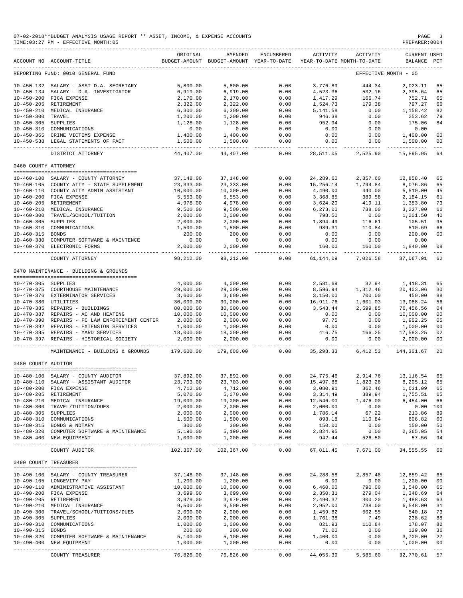#### 07-02-2018\*\*BUDGET ANALYSIS USAGE REPORT \*\* ASSET, INCOME, & EXPENSE ACCOUNTS PAGE 3<br>TIME:03:27 PM - EFFECTIVE MONTH:05  $TIME:03:27 PM - EFFECTIVE MOMTH:05$

|                       | ACCOUNT NO ACCOUNT-TITLE                   | ORIGINAL   | AMENDED<br>BUDGET-AMOUNT BUDGET-AMOUNT YEAR-TO-DATE | ENCUMBERED            | ACTIVITY                   | ACTIVITY<br>YEAR-TO-DATE MONTH-TO-DATE | CURRENT USED<br>BALANCE | $_{\rm PCT}$   |
|-----------------------|--------------------------------------------|------------|-----------------------------------------------------|-----------------------|----------------------------|----------------------------------------|-------------------------|----------------|
|                       | REPORTING FUND: 0010 GENERAL FUND          |            |                                                     |                       |                            |                                        | EFFECTIVE MONTH - 05    |                |
| $10 - 450 - 132$      | SALARY - ASST D.A. SECRETARY               | 5,800.00   | 5,800.00                                            | 0.00                  | 3,776.89                   | 444.34                                 | 2,023.11                | 65             |
| $10 - 450 - 134$      | SALARY - D.A. INVESTIGATOR                 | 6,919.00   | 6,919.00                                            | 0.00                  | 4,523.36                   | 532.16                                 | 2,395.64                | 65             |
| $10 - 450 - 200$      | FICA EXPENSE                               | 2,170.00   | 2,170.00                                            | 0.00                  | 1,417.29                   | 166.74                                 | 752.71                  | 65             |
| $10 - 450 - 205$      | RETIREMENT                                 | 2,322.00   | 2,322.00                                            | 0.00                  | 1,524.73                   | 179.38                                 | 797.27                  | 66             |
|                       |                                            |            |                                                     |                       |                            |                                        |                         |                |
| $10 - 450 - 210$      | MEDICAL INSURANCE                          | 6,300.00   | 6,300.00                                            | 0.00                  | 5,141.58                   | 0.00                                   | 1,158.42                | 82             |
| $10 - 450 - 300$      | TRAVEL                                     | 1,200.00   | 1,200.00                                            | 0.00                  | 946.38                     | 0.00                                   | 253.62                  | 79             |
| $10 - 450 - 305$      | SUPPLIES                                   | 1,128.00   | 1,128.00                                            | 0.00                  | 952.94                     | 0.00                                   | 175.06                  | 84             |
| $10 - 450 - 310$      | COMMUNICATIONS                             | 0.00       | 0.00                                                | 0.00                  | 0.00                       | 0.00                                   | 0.00                    |                |
| $10 - 450 - 365$      | CRIME VICTIMS EXPENSE                      | 1,400.00   | 1,400.00                                            | 0.00                  | 0.00                       | 0.00                                   | 1,400.00                | 0 <sub>0</sub> |
| 10-450-538            | LEGAL STATEMENTS OF FACT                   | 1,500.00   | 1,500.00                                            | 0.00                  | 0.00                       | 0.00                                   | 1,500.00                | 00             |
|                       | DISTRICT ATTORNEY                          | 44,407.00  | 44,407.00                                           | 0.00                  | 28,511.05                  | 2,525.90                               | 15,895.95               | 64             |
| 0460 COUNTY ATTORNEY  |                                            |            |                                                     |                       |                            |                                        |                         |                |
|                       |                                            |            |                                                     |                       |                            |                                        |                         |                |
| $10 - 460 - 100$      | SALARY - COUNTY ATTORNEY                   | 37,148.00  | 37,148.00                                           | 0.00                  | 24,289.60                  | 2,857.60                               | 12,858.40               | 65             |
| $10 - 460 - 105$      | COUNTY ATTY - STATE SUPPLEMENT             | 23, 333.00 | 23, 333.00                                          | 0.00                  | 15,256.14                  | 1,794.84                               | 8,076.86                | 65             |
| $10 - 460 - 110$      | COUNTY ATTY ADMIN ASSISTANT                | 10,000.00  | 10,000.00                                           | 0.00                  | 4,490.00                   | 440.00                                 | 5,510.00                | 45             |
| $10 - 460 - 200$      | FICA EXPENSE                               | 5,553.00   | 5,553.00                                            | 0.00                  | 3,368.85                   | 389.58                                 | 2,184.15                | 61             |
| $10 - 460 - 205$      | RETIREMENT                                 | 4,978.00   | 4,978.00                                            | 0.00                  | 3,624.20                   | 419.11                                 | 1,353.80                | 73             |
| $10 - 460 - 210$      | MEDICAL INSURANCE                          | 9,500.00   | 9,500.00                                            | 0.00                  | 6,273.00                   | 738.00                                 | 3,227.00                | 66             |
| $10 - 460 - 300$      | TRAVEL/SCHOOL/TUITION                      | 2,000.00   | 2,000.00                                            | 0.00                  | 798.50                     | 0.00                                   | 1,201.50                | 40             |
| $10 - 460 - 305$      | SUPPLIES                                   | 2,000.00   | 2,000.00                                            | 0.00                  | 1,894.49                   | 116.61                                 | 105.51                  | 95             |
| $10 - 460 - 310$      | COMMUNICATIONS                             | 1,500.00   | 1,500.00                                            | 0.00                  | 989.31                     | 110.84                                 | 510.69                  | 66             |
| $10 - 460 - 315$      | <b>BONDS</b>                               |            |                                                     | 0.00                  | 0.00                       | 0.00                                   |                         | 00             |
|                       |                                            | 200.00     | 200.00                                              |                       |                            |                                        | 200.00                  |                |
| $10 - 460 - 330$      | COMPUTER SOFTWARE & MAINTENCE              | 0.00       | 0.00                                                | 0.00                  | 0.00                       | 0.00                                   | 0.00                    |                |
| $10 - 460 - 370$      | ELECTRONIC FORMS                           | 2,000.00   | 2,000.00                                            | 0.00                  | 160.00                     | 160.00                                 | 1,840.00                | 08             |
|                       | COUNTY ATTORNEY                            | 98,212.00  | 98,212.00                                           | 0.00                  | 61,144.09                  | 7,026.58                               | 37,067.91               | 62             |
|                       | 0470 MAINTENANCE - BUILDING & GROUNDS      |            |                                                     |                       |                            |                                        |                         |                |
|                       |                                            |            |                                                     |                       |                            |                                        |                         |                |
| 10-470-305 SUPPLIES   |                                            | 4,000.00   | 4,000.00                                            | 0.00                  | 2,581.69                   | 32.94                                  | 1,418.31                | 65             |
| $10 - 470 - 375$      | COURTHOUSE MAINTENANCE                     | 29,000.00  | 29,000.00                                           | 0.00                  | 8,596.94                   | 1,312.46                               | 20,403.06               | 30             |
| 10-470-376            | EXTERMINATOR SERVICES                      | 3,600.00   | 3,600.00                                            | 0.00                  | 3,150.00                   | 700.00                                 | 450.00                  | 88             |
| 10-470-380 UTILITIES  |                                            | 30,000.00  | 30,000.00                                           | 0.00                  | 16,911.76                  | 1,601.03                               | 13,088.24               | 56             |
|                       | 10-470-385 REPAIRS - BUILDINGS             | 80,000.00  | 80,000.00                                           | 0.00                  | 3,543.44                   | 2,599.85                               | 76,456.56               | 04             |
| $10 - 470 - 387$      | REPAIRS - AC AND HEATING                   | 10,000.00  | 10,000.00                                           | 0.00                  | 0.00                       | 0.00                                   | 10,000.00               | 00             |
| $10 - 470 - 390$      | REPAIRS - FC LAW ENFORCEMENT CENTER        | 2,000.00   | 2,000.00                                            | 0.00                  | 97.75                      | 0.00                                   | 1,902.25                | 05             |
| 10-470-392            | REPAIRS - EXTENSION SERVICES               | 1,000.00   | 1,000.00                                            | 0.00                  | 0.00                       | 0.00                                   | 1,000.00                | 00             |
| $10 - 470 - 395$      | REPAIRS - YARD SERVICES                    | 18,000.00  | 18,000.00                                           | 0.00                  | 416.75                     | 166.25                                 | 17,583.25               | 02             |
| $10 - 470 - 397$      | REPAIRS - HISTORICAL SOCIETY               | 2,000.00   | 2,000.00                                            | 0.00                  | 0.00                       | 0.00                                   | 2,000.00                | 0 <sub>0</sub> |
|                       |                                            |            |                                                     | $- - - -$             |                            |                                        |                         |                |
|                       | MAINTENANCE - BUILDING & GROUNDS           | 179,600.00 | 179,600.00                                          | 0.00                  | 35,298.33                  | 6, 412.53                              | 144,301.67              | 20             |
| 0480 COUNTY AUDITOR   |                                            |            |                                                     |                       |                            |                                        |                         |                |
|                       |                                            |            |                                                     |                       |                            |                                        |                         |                |
| $10 - 480 - 100$      | SALARY - COUNTY AUDITOR                    | 37,892.00  | 37,892.00                                           | 0.00                  | 24,775.46                  | 2,914.76                               | 13, 116.54              | 65             |
| $10 - 480 - 110$      | SALARY - ASSISTANT AUDITOR                 | 23,703.00  | 23,703.00                                           | 0.00                  | 15,497.88                  | 1,823.28                               | 8,205.12                | 65             |
|                       | 10-480-200 FICA EXPENSE                    | 4,712.00   | 4,712.00                                            | 0.00                  | 3,080.91                   | 362.46                                 | 1,631.09                | 65             |
|                       | 10-480-205 RETIREMENT                      | 5,070.00   | 5,070.00                                            | 0.00                  | 3, 314.49                  | 389.94                                 | 1,755.51 65             |                |
|                       | 10-480-210 MEDICAL INSURANCE               | 19,000.00  | 19,000.00                                           | 0.00                  | 12,546.00                  | 1,476.00                               | 6,454.00                | 66             |
|                       | 10-480-300 TRAVEL/TUITION/DUES             | 2,000.00   | 2,000.00                                            | 0.00                  | 2,000.00                   | 0.00                                   | 0.00 100                |                |
| 10-480-305 SUPPLIES   |                                            | 2,000.00   | 2,000.00                                            | 0.00                  | 1,786.14                   | 67.22                                  | 213.86                  | 89             |
|                       | 10-480-310 COMMUNICATIONS                  | 1,500.00   | 1,500.00                                            | 0.00                  | 893.18                     | 110.84                                 | 606.82 60               |                |
|                       | 10-480-315 BONDS & NOTARY                  | 300.00     | 300.00                                              | 0.00                  | 150.00                     | 0.00                                   | 150.00 50               |                |
|                       | 10-480-320 COMPUTER SOFTWARE & MAINTENANCE | 5,190.00   | 5,190.00                                            | 0.00                  | 2,824.95                   | 0.00                                   | 2,365.05 54             |                |
|                       | 10-480-400 NEW EQUIPMENT                   | 1,000.00   | 1,000.00                                            | 0.00                  | 942.44                     | 526.50                                 | 57.56 94                |                |
|                       | COUNTY AUDITOR                             | 102,367.00 | 102,367.00                                          | 0.00                  |                            | 67,811.45 7,671.00                     | 34,555.55 66            |                |
|                       |                                            |            |                                                     |                       |                            |                                        |                         |                |
| 0490 COUNTY TREASURER |                                            |            |                                                     |                       |                            |                                        |                         |                |
|                       | 10-490-100 SALARY - COUNTY TREASURER       | 37,148.00  | 37,148.00                                           | 0.00                  | 24, 288.58                 | 2,857.48                               | 12,859.42               | 65             |
|                       | 10-490-105 LONGEVITY PAY                   | 1,200.00   | 1,200.00                                            | 0.00                  | 0.00                       | 0.00                                   | 1,200.00                | 00             |
|                       | 10-490-110 ADMINISTRATIVE ASSISTANT        | 10,000.00  | 10,000.00                                           | 0.00                  | 6,460.00                   | 790.00                                 | 3,540.00                | 65             |
|                       | 10-490-200 FICA EXPENSE                    | 3,699.00   | 3,699.00                                            | 0.00                  | 2,350.31                   | 279.04                                 | 1,348.69                | 64             |
|                       | 10-490-205 RETIREMENT                      | 3,979.00   | 3,979.00                                            | 0.00                  | 2,490.37                   | 300.20                                 | 1,488.63                | 63             |
|                       | 10-490-210 MEDICAL INSURANCE               | 9,500.00   | 9,500.00                                            | 0.00                  | 2,952.00                   | 738.00                                 | 6,548.00                | 31             |
|                       |                                            |            |                                                     |                       |                            |                                        |                         |                |
|                       | 10-490-300 TRAVEL/SCHOOL/TUITIONS/DUES     | 2,000.00   | 2,000.00                                            | 0.00                  | 1,459.82                   | 502.55                                 | 540.18                  | 73             |
| 10-490-305 SUPPLIES   |                                            | 2,000.00   | 2,000.00                                            | 0.00                  | 1,761.38                   | 7.49                                   | 238.62                  | 88             |
|                       | 10-490-310 COMMUNICATIONS                  | 1,000.00   | 1,000.00                                            | 0.00                  | 821.93                     | 110.84                                 | 178.07                  | 82             |
| 10-490-315 BONDS      |                                            | 200.00     | 200.00                                              | 0.00                  | 71.00                      | 0.00                                   | 129.00                  | 36             |
|                       | 10-490-320 COMPUTER SOFTWARE & MAINTENANCE | 5,100.00   | 5,100.00                                            | 0.00                  | 1,400.00                   | 0.00                                   | 3,700.00                | 27             |
|                       | 10-490-400 NEW EQUIPMENT                   | 1,000.00   | 1,000.00                                            | 0.00                  | 0.00                       | 0.00                                   | 1,000.00                | 00             |
|                       | COUNTY TREASURER                           | 76,826.00  | 76,826.00                                           | -------------<br>0.00 | ----------- -<br>44,055.39 | 5,585.60                               | 32,770.61 57            |                |
|                       |                                            |            |                                                     |                       |                            |                                        |                         |                |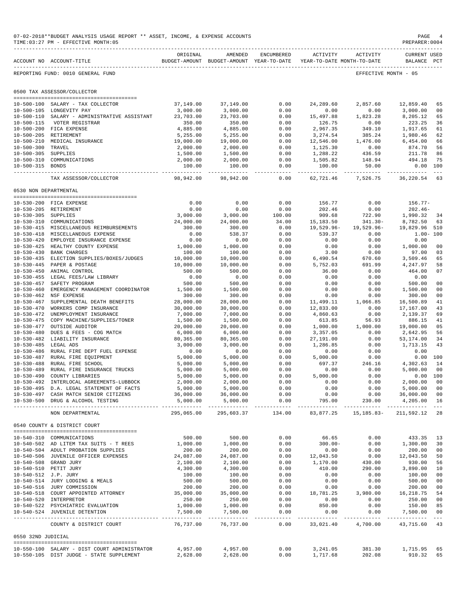|                                      | 07-02-2018**BUDGET ANALYSIS USAGE REPORT ** ASSET, INCOME, & EXPENSE ACCOUNTS<br>TIME: 03:27 PM - EFFECTIVE MONTH: 05 |                       |                                                                                                                                                                                                                                                                         |                                                                                                                                                                                                                                                                                 |                           |                                                                                                             | PAGE<br>PREPARER: 0004                      | $\overline{4}$ |
|--------------------------------------|-----------------------------------------------------------------------------------------------------------------------|-----------------------|-------------------------------------------------------------------------------------------------------------------------------------------------------------------------------------------------------------------------------------------------------------------------|---------------------------------------------------------------------------------------------------------------------------------------------------------------------------------------------------------------------------------------------------------------------------------|---------------------------|-------------------------------------------------------------------------------------------------------------|---------------------------------------------|----------------|
|                                      | ACCOUNT NO ACCOUNT-TITLE                                                                                              | ORIGINAL              | AMENDED<br>BUDGET-AMOUNT BUDGET-AMOUNT YEAR-TO-DATE YEAR-TO-DATE MONTH-TO-DATE                                                                                                                                                                                          | ENCUMBERED                                                                                                                                                                                                                                                                      | ACTIVITY                  | ACTIVITY                                                                                                    | <b>CURRENT USED</b><br>BALANCE PCT          |                |
|                                      | REPORTING FUND: 0010 GENERAL FUND                                                                                     |                       |                                                                                                                                                                                                                                                                         |                                                                                                                                                                                                                                                                                 |                           | EFFECTIVE MONTH - 05                                                                                        |                                             |                |
|                                      | 0500 TAX ASSESSOR/COLLECTOR                                                                                           |                       |                                                                                                                                                                                                                                                                         |                                                                                                                                                                                                                                                                                 |                           |                                                                                                             |                                             |                |
|                                      | 10-500-100 SALARY - TAX COLLECTOR                                                                                     | 37,149.00             | 37,149.00                                                                                                                                                                                                                                                               | 0.00                                                                                                                                                                                                                                                                            | 24,289.60                 | 2,857.60                                                                                                    | 12,859.40                                   | 65             |
|                                      | 10-500-105 LONGEVITY PAY                                                                                              | 3,000.00              | 3,000.00                                                                                                                                                                                                                                                                | 0.00                                                                                                                                                                                                                                                                            | 0.00                      | 0.00                                                                                                        | 3,000.00                                    | 00             |
|                                      | 10-500-110 SALARY - ADMINISTRATIVE ASSISTANT                                                                          | 23,703.00             | 23,703.00                                                                                                                                                                                                                                                               | 0.00                                                                                                                                                                                                                                                                            | 15,497.88                 | 1,823.28                                                                                                    | 8,205.12                                    | 65             |
| $10 - 500 - 115$                     | VOTER REGISTRAR                                                                                                       | 350.00                | 350.00                                                                                                                                                                                                                                                                  | 0.00                                                                                                                                                                                                                                                                            | 126.75                    | 0.00                                                                                                        | 223.25                                      | 36             |
|                                      | 10-500-200 FICA EXPENSE                                                                                               | 4,885.00              | 4,885.00                                                                                                                                                                                                                                                                | 0.00                                                                                                                                                                                                                                                                            | 2,967.35                  | 349.10                                                                                                      | 1,917.65                                    | 61             |
|                                      | 10-500-205 RETIREMENT                                                                                                 | 5,255.00              | 5,255.00                                                                                                                                                                                                                                                                | 0.00                                                                                                                                                                                                                                                                            | 3,274.54                  | 385.24                                                                                                      | 1,980.46                                    | 62             |
| $10 - 500 - 210$                     | MEDICAL INSURANCE                                                                                                     | 19,000.00             | 19,000.00                                                                                                                                                                                                                                                               | 0.00                                                                                                                                                                                                                                                                            | 12,546.00                 | 1,476.00                                                                                                    | 6,454.00                                    | 66             |
| $10 - 500 - 300$                     | TRAVEL                                                                                                                | 2,000.00              | 2,000.00                                                                                                                                                                                                                                                                | 0.00                                                                                                                                                                                                                                                                            | 1,125.30                  | 0.00                                                                                                        | 874.70                                      | 56             |
| 10-500-305 SUPPLIES                  |                                                                                                                       | 1,500.00              | 1,500.00                                                                                                                                                                                                                                                                | 0.00                                                                                                                                                                                                                                                                            | 1,288.22                  | 436.59                                                                                                      | 211.78                                      | 86             |
|                                      | 10-500-310 COMMUNICATIONS                                                                                             | 2,000.00              | 2,000.00                                                                                                                                                                                                                                                                | 0.00                                                                                                                                                                                                                                                                            | 1,505.82                  | 148.94                                                                                                      | 494.18<br>0.00 100                          | 75             |
| 10-500-315 BONDS                     |                                                                                                                       | 100.00<br>.           | 100.00<br>-------------                                                                                                                                                                                                                                                 | 0.00<br>-------                                                                                                                                                                                                                                                                 | 100.00<br>----------      | 50.00<br>-------------                                                                                      | ----------                                  | $- - -$        |
|                                      | TAX ASSESSOR/COLLECTOR                                                                                                | 98,942.00             | 98,942.00                                                                                                                                                                                                                                                               | 0.00                                                                                                                                                                                                                                                                            | 62,721.46                 | 7,526.75                                                                                                    | 36,220.54 63                                |                |
|                                      | 0530 NON DEPARTMENTAL                                                                                                 |                       |                                                                                                                                                                                                                                                                         |                                                                                                                                                                                                                                                                                 |                           |                                                                                                             |                                             |                |
|                                      | 10-530-200 FICA EXPENSE                                                                                               | 0.00                  | 0.00                                                                                                                                                                                                                                                                    | 0.00                                                                                                                                                                                                                                                                            | 156.77                    | 0.00                                                                                                        | 156.77-                                     |                |
|                                      | 10-530-205 RETIREMENT                                                                                                 | 0.00                  | 0.00                                                                                                                                                                                                                                                                    | 0.00                                                                                                                                                                                                                                                                            | 202.46                    | 0.00                                                                                                        | $202.46-$                                   |                |
| 10-530-305 SUPPLIES                  |                                                                                                                       | 3,000.00              | 3,000.00                                                                                                                                                                                                                                                                | 100.00                                                                                                                                                                                                                                                                          | 909.68                    | 722.90                                                                                                      | 1,990.32                                    | 34             |
| 10-530-310                           | COMMUNICATIONS                                                                                                        | 24,000.00             | 24,000.00                                                                                                                                                                                                                                                               | 34.00                                                                                                                                                                                                                                                                           | 15,183.50                 | $341.30 -$                                                                                                  | 8,782.50                                    | 63             |
|                                      | 10-530-415 MISCELLANEOUS REIMBURSEMENTS                                                                               | 300.00                | 300.00                                                                                                                                                                                                                                                                  | 0.00                                                                                                                                                                                                                                                                            | 19,529.96-                | 19,529.96-                                                                                                  | 19,829.96 510                               |                |
| 10-530-418                           | MISCELLANEOUS EXPENSE                                                                                                 | 0.00                  | 538.37                                                                                                                                                                                                                                                                  | 0.00                                                                                                                                                                                                                                                                            | 539.37                    | 0.00                                                                                                        | $1.00 - 100$                                |                |
| $10 - 530 - 420$                     | EMPLOYEE INSURANCE EXPENSE                                                                                            | 0.00                  | 0.00                                                                                                                                                                                                                                                                    | 0.00                                                                                                                                                                                                                                                                            | 0.00                      | 0.00                                                                                                        | 0.00                                        |                |
|                                      | 10-530-425 HEALTHY COUNTY EXPENSE                                                                                     | 1,000.00<br>100.00    | 1,000.00                                                                                                                                                                                                                                                                | 0.00                                                                                                                                                                                                                                                                            | 0.00                      | 0.00                                                                                                        | 1,000.00                                    | 00             |
| $10 - 530 - 430$<br>$10 - 530 - 435$ | <b>BANK CHARGES</b><br>ELECTION SUPPLIES/BOXES/JUDGES                                                                 | 10,000.00             | 100.00<br>10,000.00                                                                                                                                                                                                                                                     | 0.00<br>0.00                                                                                                                                                                                                                                                                    | 3.00<br>6,490.54          | 0.00<br>670.60                                                                                              | 97.00<br>3,509.46                           | 03<br>65       |
| $10 - 530 - 445$                     | PAPER & POSTAGE                                                                                                       | 10,000.00             | 10,000.00                                                                                                                                                                                                                                                               | 0.00                                                                                                                                                                                                                                                                            | 5,752.03                  | 691.99                                                                                                      | 4,247.97                                    | 58             |
| $10 - 530 - 450$                     | ANIMAL CONTROL                                                                                                        | 500.00                | 500.00                                                                                                                                                                                                                                                                  | 0.00                                                                                                                                                                                                                                                                            | 36.00                     | 0.00                                                                                                        | 464.00                                      | 07             |
| $10 - 530 - 455$                     | LEGAL FEES/LAW LIBRARY                                                                                                | 0.00                  | 0.00                                                                                                                                                                                                                                                                    | 0.00                                                                                                                                                                                                                                                                            | 0.00                      | 0.00                                                                                                        | 0.00                                        |                |
| $10 - 530 - 457$                     | SAFETY PROGRAM                                                                                                        | 500.00                | 500.00                                                                                                                                                                                                                                                                  | 0.00                                                                                                                                                                                                                                                                            | 0.00                      | 0.00                                                                                                        | 500.00                                      | 00             |
| $10 - 530 - 460$                     | EMERGENCY MANAGEMENT COORDINATOR                                                                                      | 1,500.00              | 1,500.00                                                                                                                                                                                                                                                                | 0.00                                                                                                                                                                                                                                                                            | 0.00                      | 0.00                                                                                                        | 1,500.00                                    | 00             |
|                                      | 10-530-462 NSF EXPENSE                                                                                                | 300.00                | 300.00                                                                                                                                                                                                                                                                  | 0.00                                                                                                                                                                                                                                                                            | 0.00                      | 0.00                                                                                                        | 300.00                                      | 00             |
| 10-530-467                           | SUPPLEMENTAL DEATH BENEFITS                                                                                           | 28,000.00             | 28,000.00                                                                                                                                                                                                                                                               | 0.00                                                                                                                                                                                                                                                                            | 11,499.11                 | 1,066.85                                                                                                    | 16,500.89                                   | 41             |
| $10 - 530 - 470$                     | WORKERS COMP INSURANCE                                                                                                | 30,000.00             | 30,000.00                                                                                                                                                                                                                                                               | 0.00                                                                                                                                                                                                                                                                            | 12,833.00                 | 0.00                                                                                                        | 17,167.00                                   | 43             |
| 10-530-472                           | UNEMPLOYMENT INSURANCE                                                                                                | 7,000.00              | 7,000.00                                                                                                                                                                                                                                                                | 0.00                                                                                                                                                                                                                                                                            | 4,860.63                  | 0.00                                                                                                        | 2,139.37                                    | 69             |
| $10 - 530 - 475$                     | COPY MACHINE/SUPPLIES/TONER                                                                                           | 1,500.00              | 1,500.00                                                                                                                                                                                                                                                                | 0.00                                                                                                                                                                                                                                                                            | 613.85                    | 56.93<br>1,000.00                                                                                           | 886.15                                      | 41<br>05       |
| 10-530-477<br>$10 - 530 - 480$       | OUTSIDE AUDITOR<br>DUES & FEES - COG MATCH                                                                            | 20,000.00<br>6,000.00 | 20,000.00<br>6,000.00                                                                                                                                                                                                                                                   | 0.00<br>0.00                                                                                                                                                                                                                                                                    | 1,000.00<br>3,357.05      | 0.00                                                                                                        | 19,000.00<br>2,642.95                       | 56             |
| $10 - 530 - 482$                     | LIABILITY INSURANCE                                                                                                   | 80,365.00             | 80,365.00                                                                                                                                                                                                                                                               | 0.00                                                                                                                                                                                                                                                                            | 27,191.00                 | 0.00                                                                                                        | 53,174.00                                   | 34             |
| $10 - 530 - 485$                     | LEGAL ADS                                                                                                             | 3,000.00              | 3,000.00                                                                                                                                                                                                                                                                | 0.00                                                                                                                                                                                                                                                                            | 1,286.85                  | 0.00                                                                                                        | 1,713.15                                    | 43             |
| $10 - 530 - 486$                     | RURAL FIRE DEPT FUEL EXPENSE                                                                                          | 0.00                  | 0.00                                                                                                                                                                                                                                                                    | 0.00                                                                                                                                                                                                                                                                            | 0.00                      | 0.00                                                                                                        | 0.00                                        |                |
| $10 - 530 - 487$                     | RURAL FIRE EQUIPMENT                                                                                                  | 5,000.00              | 5,000.00                                                                                                                                                                                                                                                                | 0.00                                                                                                                                                                                                                                                                            | 5,000.00                  | 0.00                                                                                                        | 0.00                                        | 100            |
|                                      | 10-530-488 RURAL FIRE SCHOOL                                                                                          | 5,000.00              | 5,000.00                                                                                                                                                                                                                                                                | 0.00                                                                                                                                                                                                                                                                            | 697.37                    | 246.16                                                                                                      | 4,302.63                                    | 14             |
|                                      | 10-530-489 RURAL FIRE INSURANCE TRUCKS                                                                                | 5,000.00              | 5,000.00                                                                                                                                                                                                                                                                | 0.00                                                                                                                                                                                                                                                                            | 0.00                      | 0.00                                                                                                        | 5,000.00                                    |                |
|                                      | 10-530-490 COUNTY LIBRARIES                                                                                           |                       |                                                                                                                                                                                                                                                                         |                                                                                                                                                                                                                                                                                 |                           | 0.00                                                                                                        | $0.00$ 100                                  |                |
|                                      | 10-530-492 INTERLOCAL AGREEMENTS-LUBBOCK                                                                              |                       | $\begin{bmatrix} 5,000.00 & 5,000.00 & 0 & 0.00 \\ 5,000.00 & 5,000.00 & 0 & 0.00 \\ 2,000.00 & 2,000.00 & 0.00 & 0.00 \\ 5,000.00 & 5,000.00 & 0.00 & 0.00 \\ 36,000.00 & 36,000.00 & 0.00 & 0.00 \\ 36,000.00 & 36,000.00 & 0.00 & 0.00 \\ 36,000.00 & 36,000.00 & 0$ |                                                                                                                                                                                                                                                                                 |                           | $\begin{array}{cccc} 0.00 & 0.00 & 2,000.00 \ 0.00 & 0.00 & 5,000.00 \ 0.00 & 0.00 & 36,000.00 \end{array}$ |                                             | 00             |
|                                      | 10-530-495 D.A. LEGAL STATEMENT OF FACTS                                                                              |                       |                                                                                                                                                                                                                                                                         |                                                                                                                                                                                                                                                                                 |                           |                                                                                                             |                                             | 00             |
|                                      | 10-530-497 CASH MATCH SENIOR CITIZENS                                                                                 |                       |                                                                                                                                                                                                                                                                         |                                                                                                                                                                                                                                                                                 |                           |                                                                                                             |                                             | 00             |
|                                      | 10-530-500 DRUG & ALCOHOL TESTING                                                                                     |                       | $5,000.00$ $5,000.00$ $0.00$                                                                                                                                                                                                                                            |                                                                                                                                                                                                                                                                                 | 795.00                    | 230.00                                                                                                      | 4,205.00                                    | 16<br>$- - -$  |
|                                      | NON DEPARTMENTAL                                                                                                      |                       | 295,065.00 295,603.37 134.00                                                                                                                                                                                                                                            |                                                                                                                                                                                                                                                                                 |                           | 83,877.25 15,185.83-                                                                                        | 211,592.12 28                               |                |
|                                      | 0540 COUNTY & DISTRICT COURT                                                                                          |                       |                                                                                                                                                                                                                                                                         |                                                                                                                                                                                                                                                                                 |                           |                                                                                                             |                                             |                |
|                                      | 10-540-310 COMMUNICATIONS                                                                                             | 500.00                | 500.00                                                                                                                                                                                                                                                                  | 0.00                                                                                                                                                                                                                                                                            | 66.65                     | 0.00                                                                                                        | 433.35                                      | -13            |
|                                      | 10-540-502 AD LITEM TAX SUITS - T REES                                                                                | 1,000.00              | 1,000.00                                                                                                                                                                                                                                                                |                                                                                                                                                                                                                                                                                 |                           |                                                                                                             | $0.00$ 1,300.00                             | 30             |
|                                      | 10-540-504 ADULT PROBATION SUPPLIES                                                                                   | 200.00                | 200.00                                                                                                                                                                                                                                                                  |                                                                                                                                                                                                                                                                                 |                           | 0.00                                                                                                        | 200.00                                      | 00             |
|                                      | 10-540-506 JUVENILE OFFICER EXPENSES                                                                                  | 24,087.00             | $24,087.00$<br>2,100.00<br>2,100.00                                                                                                                                                                                                                                     |                                                                                                                                                                                                                                                                                 |                           | $0.00$<br>430.00                                                                                            | $0.00$ $12,043.50$                          | 50             |
|                                      | 10-540-508 GRAND JURY                                                                                                 | 2,100.00              |                                                                                                                                                                                                                                                                         |                                                                                                                                                                                                                                                                                 |                           |                                                                                                             | 930.00                                      | 56             |
|                                      | 10-540-510 PETIT JURY                                                                                                 | 4,300.00              |                                                                                                                                                                                                                                                                         |                                                                                                                                                                                                                                                                                 |                           | 290.00                                                                                                      | 3,890.00                                    | 10             |
|                                      | 10-540-512 J.P. JURY                                                                                                  | 100.00                | 100.00<br>500.00                                                                                                                                                                                                                                                        |                                                                                                                                                                                                                                                                                 |                           | 0.00                                                                                                        | 100.00                                      | 00             |
|                                      | 10-540-514 JURY LODGING & MEALS                                                                                       | 500.00                |                                                                                                                                                                                                                                                                         |                                                                                                                                                                                                                                                                                 |                           | 0.00                                                                                                        | 500.00                                      | 00             |
|                                      | 10-540-516 JURY COMMISSION<br>10-540-518 COURT APPOINTED ATTORNEY                                                     | 200.00<br>35,000.00   | 200.00<br>35,000.00                                                                                                                                                                                                                                                     |                                                                                                                                                                                                                                                                                 |                           | 0.00                                                                                                        | 200.00<br>$3,980.00 \qquad \quad 16,218.75$ | 00<br>54       |
|                                      | 10-540-520 INTERPRETOR                                                                                                | 250.00                | 250.00                                                                                                                                                                                                                                                                  |                                                                                                                                                                                                                                                                                 |                           |                                                                                                             | 250.00                                      | 00             |
|                                      | 10-540-522 PSYCHIATRIC EVALUATION                                                                                     | 1,000.00              |                                                                                                                                                                                                                                                                         |                                                                                                                                                                                                                                                                                 |                           | 0.00<br>0.00                                                                                                | 150.00                                      | 85             |
|                                      | 10-540-524 JUVENILE DETENTION                                                                                         | 7,500.00              | 1,000.00<br>7,500.00                                                                                                                                                                                                                                                    | $\begin{array}{cccc} 0.00 & 66.65 \\ 0.00 & 300.00- \\ 0.00 & 0.00 \\ 0.00 & 12,043.50 \\ 0.00 & 1,170.00 \\ 0.00 & 1,170.00 \\ 0.00 & 410.00 \\ 0.00 & 0.00 \\ 0.00 & 0.00 \\ 0.00 & 0.00 \\ 0.00 & 18,781.25 \\ 0.00 & 0.00 \\ 0.00 & 850.00 \\ 0.00 & 850.00 \\ \end{array}$ |                           | 0.00                                                                                                        | 7,500.00                                    | 00             |
|                                      | COUNTY & DISTRICT COURT                                                                                               |                       | 76,737.00 76,737.00                                                                                                                                                                                                                                                     | 0.00                                                                                                                                                                                                                                                                            | ------------<br>33,021.40 | -------------<br>4,700.00                                                                                   | -------------<br>43,715.60 43               | $\sim$ $ \sim$ |
| 0550 32ND JUDICIAL                   |                                                                                                                       |                       |                                                                                                                                                                                                                                                                         |                                                                                                                                                                                                                                                                                 |                           |                                                                                                             |                                             |                |
|                                      | 10-550-100 SALARY - DIST COURT ADMINISTRATOR                                                                          |                       | 4,957.00 4,957.00                                                                                                                                                                                                                                                       | 0.00                                                                                                                                                                                                                                                                            | 3, 241.05                 |                                                                                                             | 381.30 1,715.95                             | 65             |
|                                      | 10-550-105 DIST JUDGE - STATE SUPPLEMENT                                                                              | 2,628.00              | 2,628.00                                                                                                                                                                                                                                                                | 0.00                                                                                                                                                                                                                                                                            | 1,717.68                  | 202.08                                                                                                      | 910.32 65                                   |                |
|                                      |                                                                                                                       |                       |                                                                                                                                                                                                                                                                         |                                                                                                                                                                                                                                                                                 |                           |                                                                                                             |                                             |                |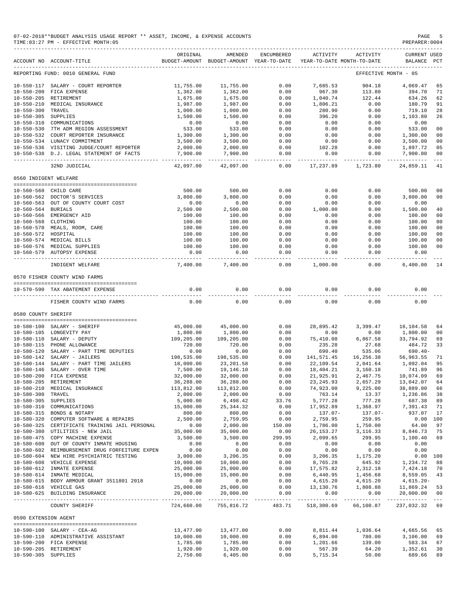|                                      | 07-02-2018**BUDGET ANALYSIS USAGE REPORT ** ASSET, INCOME, & EXPENSE ACCOUNTS<br>TIME: 03:27 PM - EFFECTIVE MONTH: 05 |                           |                                           |                            |                              |                                        | PAGE<br>PREPARER: 0004                       |                                  |
|--------------------------------------|-----------------------------------------------------------------------------------------------------------------------|---------------------------|-------------------------------------------|----------------------------|------------------------------|----------------------------------------|----------------------------------------------|----------------------------------|
|                                      | ACCOUNT NO ACCOUNT-TITLE                                                                                              | ORIGINAL<br>BUDGET-AMOUNT | AMENDED<br>BUDGET-AMOUNT                  | ENCUMBERED<br>YEAR-TO-DATE | ACTIVITY                     | ACTIVITY<br>YEAR-TO-DATE MONTH-TO-DATE | <b>CURRENT USED</b><br>BALANCE PCT           |                                  |
|                                      | REPORTING FUND: 0010 GENERAL FUND                                                                                     |                           |                                           |                            |                              |                                        | EFFECTIVE MONTH - 05                         |                                  |
|                                      | 10-550-117 SALARY - COURT REPORTER                                                                                    | 11,755.00                 | 11,755.00                                 | 0.00                       | 7,685.53                     | 904.18                                 | 4,069.47                                     | 65                               |
|                                      | 10-550-200 FICA EXPENSE                                                                                               | 1,362.00                  | 1,362.00                                  | 0.00                       | 967.30                       | 113.80                                 | 394.70                                       | 71                               |
|                                      | 10-550-205 RETIREMENT                                                                                                 | 1,675.00                  | 1,675.00                                  | 0.00                       | 1,040.74                     | 122.44                                 | 634.26                                       | 62                               |
|                                      | 10-550-210 MEDICAL INSURANCE                                                                                          | 1,987.00                  | 1,987.00                                  | 0.00                       | 1,806.21                     | 0.00                                   | 180.79                                       | 91                               |
| 10-550-300 TRAVEL                    |                                                                                                                       | 1,000.00                  | 1,000.00                                  | 0.00                       | 280.90                       | 0.00                                   | 719.10                                       | 28                               |
| 10-550-305 SUPPLIES                  |                                                                                                                       | 1,500.00                  | 1,500.00                                  | 0.00                       | 396.20                       | 0.00                                   | 1,103.80                                     | 26                               |
|                                      | 10-550-310 COMMUNICATIONS                                                                                             | 0.00                      | 0.00                                      | 0.00                       | 0.00                         | 0.00                                   | 0.00                                         |                                  |
|                                      | 10-550-530 7TH ADM REGION ASSESSMENT<br>10-550-532 COURT REPORTER INSURANCE                                           | 533.00                    | 533.00<br>1,300.00                        | 0.00                       | 0.00                         | 0.00                                   | 533.00                                       | 0 <sub>0</sub><br>0 <sub>0</sub> |
|                                      | 10-550-534 LUNACY COMMITMENT                                                                                          | 1,300.00<br>3,500.00      | 3,500.00                                  | 0.00<br>0.00               | 0.00<br>0.00                 | 0.00<br>0.00                           | 1,300.00<br>3,500.00                         | 0 <sub>0</sub>                   |
|                                      | 10-550-536 VISITING JUDGE/COURT REPORTER                                                                              | 2,000.00                  | 2,000.00                                  | 0.00                       | 102.28                       | 0.00                                   | 1,897.72                                     | 05                               |
|                                      | 10-550-538 D.J. LEGAL STATEMENT OF FACTS                                                                              | 7,900.00                  | 7,900.00                                  | 0.00                       | 0.00                         | 0.00                                   | 7,900.00                                     | 0 <sub>0</sub>                   |
|                                      | 32ND JUDICIAL                                                                                                         | 42,097.00                 | 42,097.00                                 | 0.00                       | 17,237.89                    | 1,723.80                               | 24,859.11                                    | 41                               |
| 0560 INDIGENT WELFARE                |                                                                                                                       |                           |                                           |                            |                              |                                        |                                              |                                  |
|                                      | 10-560-560 CHILD CARE                                                                                                 | 500.00                    | 500.00                                    | 0.00                       | 0.00                         | 0.00                                   | 500.00                                       | 0 <sub>0</sub>                   |
|                                      | 10-560-562 DOCTOR'S SERVICES                                                                                          | 3,800.00                  | 3,800.00                                  | 0.00                       | 0.00                         | 0.00                                   | 3,800.00                                     | 0 <sub>0</sub>                   |
|                                      | 10-560-563 OUT OF COUNTY COURT COST                                                                                   | 0.00                      | 0.00                                      | 0.00                       | 0.00                         | 0.00                                   | 0.00                                         |                                  |
| 10-560-564 BURIALS                   |                                                                                                                       | 2,500.00                  | 2,500.00                                  | 0.00                       | 1,000.00                     | 0.00                                   | 1,500.00                                     | 40                               |
|                                      | 10-560-566 EMERGENCY AID                                                                                              | 100.00                    | 100.00                                    | 0.00                       | 0.00                         | 0.00                                   | 100.00                                       | 0 <sub>0</sub>                   |
| 10-560-568 CLOTHING                  |                                                                                                                       | 100.00                    | 100.00                                    | 0.00                       | 0.00                         | 0.00                                   | 100.00                                       | 0 <sub>0</sub>                   |
|                                      | 10-560-570 MEALS, ROOM, CARE                                                                                          | 100.00                    | 100.00                                    | 0.00                       | 0.00                         | 0.00                                   | 100.00                                       | 0 <sub>0</sub>                   |
| 10-560-572 HOSPITAL                  |                                                                                                                       | 100.00                    | 100.00                                    | 0.00                       | 0.00                         | 0.00                                   | 100.00                                       | 0 <sub>0</sub>                   |
|                                      | 10-560-574 MEDICAL BILLS                                                                                              | 100.00                    | 100.00                                    | 0.00                       | 0.00                         | 0.00                                   | 100.00                                       | 0 <sub>0</sub>                   |
|                                      | 10-560-576 MEDICAL SUPPLIES                                                                                           | 100.00                    | 100.00                                    | 0.00                       | 0.00                         | 0.00                                   | 100.00                                       | 00                               |
|                                      | 10-560-579 AUTOPSY EXPENSE                                                                                            | 0.00                      | 0.00                                      | 0.00<br>$----$             | 0.00                         | 0.00                                   | 0.00<br>-------                              |                                  |
|                                      | INDIGENT WELFARE                                                                                                      | 7,400.00                  | 7,400.00                                  | 0.00                       | 1,000.00                     | 0.00                                   | 6,400.00                                     | 14                               |
|                                      | 0570 FISHER COUNTY WIND FARMS                                                                                         |                           |                                           |                            |                              |                                        |                                              |                                  |
|                                      | 10-570-590 TAX ABATEMENT EXPENSE<br>------------------                                                                | 0.00                      | 0.00                                      | 0.00                       | 0.00                         | 0.00                                   | 0.00                                         |                                  |
|                                      | FISHER COUNTY WIND FARMS                                                                                              | 0.00                      | 0.00                                      | 0.00                       | 0.00                         | 0.00                                   | 0.00                                         |                                  |
| 0580 COUNTY SHERIFF                  |                                                                                                                       |                           |                                           |                            |                              |                                        |                                              |                                  |
|                                      |                                                                                                                       |                           |                                           |                            |                              |                                        |                                              |                                  |
|                                      | 10-580-100 SALARY - SHERIFF<br>10-580-105 LONGEVITY PAY                                                               | 45,000.00                 | 45,000.00                                 | 0.00<br>0.00               | 28,895.42<br>0.00            | 3,399.47<br>0.00                       | 16,104.58                                    | 64<br>0 <sub>0</sub>             |
|                                      | 10-580-110 SALARY - DEPUTY                                                                                            | 1,800.00<br>109,205.00    | 1,800.00<br>109,205.00                    | 0.00                       | 75,410.08                    | 6,867.58                               | 1,800.00<br>33,794.92                        | 69                               |
|                                      | 10-580-115 PHONE ALLOWANCE                                                                                            | 720.00                    | 720.00                                    | 0.00                       | 235.28                       | 27.68                                  | 484.72                                       | 33                               |
|                                      | 10-580-120 SALARY - PART TIME DEPUTIES                                                                                | 0.00                      | 0.00                                      | 0.00                       | 690.40                       | 535.06                                 | $690.40 -$                                   |                                  |
|                                      | 10-580-142 SALARY - JAILERS                                                                                           | 198,535.00                | 198,535.00                                | 0.00                       | 141,571.45                   | 16,256.38                              | 56,963.55                                    | 71                               |
|                                      | 10-580-144 SALARY - PART TIME JAILERS                                                                                 | 18,000.00                 | 23,201.58                                 | 0.00                       | 22,109.54                    | 2,041.64                               | 1,092.04                                     | 95                               |
|                                      | 10-580-146 SALARY - OVER TIME                                                                                         | 7,500.00                  | 19,146.10                                 | 0.00                       | 18,404.21                    | 3,160.18                               | 741.89                                       | 96                               |
|                                      | $10-580-200 \quad \text{FICA EXPENSE}$                                                                                | 32,000.00                 | 32,000.00                                 | 0.00                       | 21,925.91                    | 2,467.75                               | 10,074.09                                    | 69                               |
|                                      | 10-580-205 RETIREMENT                                                                                                 | 36,288.00                 | 36,288.00                                 | 0.00                       | 23, 245.93                   | 2,657.29                               | 13,042.07                                    | 64                               |
| $10 - 580 - 210$                     | MEDICAL INSURANCE                                                                                                     | 113,812.00                | 113,812.00                                | 0.00                       | 74,923.00                    | 9,225.00                               | 38,889.00                                    | 66                               |
| $10 - 580 - 300$                     | TRAVEL                                                                                                                | 2,000.00                  | 2,000.00                                  | 0.00                       | 763.14                       | 13.37                                  | 1,236.86                                     | 38                               |
| $10 - 580 - 305$                     | SUPPLIES                                                                                                              | 5,000.00                  | 6,498.42                                  | 33.76                      | 5,777.28                     | 777.28                                 | 687.38                                       | 89                               |
| $10 - 580 - 310$                     | COMMUNICATIONS                                                                                                        | 15,000.00                 | 25, 344.32                                | 0.00                       | 17,952.89                    | 1,368.97                               | 7,391.43                                     | 71                               |
| $10 - 580 - 315$<br>$10 - 580 - 320$ | BONDS & NOTARY<br>COMPUTER SOFTWARE & REPAIRS                                                                         | 800.00<br>2,500.00        | 800.00<br>2,759.95                        | 0.00<br>0.00               | 137.07-<br>2,759.95          | 137.07-<br>259.95                      | 937.07<br>0.00 100                           | 17                               |
|                                      | 10-580-325 CERTIFICATE TRAINING JAIL PERSONAL                                                                         | 0.00                      | 2,000.00                                  | 150.00                     | 1,786.00                     | 1,750.00                               | 64.00                                        | 97                               |
|                                      | 10-580-380 UTILITIES - NEW JAIL                                                                                       | 35,000.00                 | 35,000.00                                 | 0.00                       | 26, 153. 27                  | 3, 116.33                              | 8,846.73                                     | 75                               |
|                                      | 10-580-475 COPY MACHINE EXPENSE                                                                                       | 3,500.00                  | 3,500.00                                  | 299.95                     | 2,099.65                     | 299.95                                 | 1,100.40                                     | 69                               |
| $10 - 580 - 600$                     | OUT OF COUNTY INMATE HOUSING                                                                                          | 0.00                      | 0.00                                      | 0.00                       | 0.00                         | 0.00                                   | 0.00                                         |                                  |
|                                      | 10-580-602 REIMBURSEMENT DRUG FORFEITURE EXPEN                                                                        | 0.00                      | 0.00                                      | 0.00                       | 0.00                         | 0.00                                   | 0.00                                         |                                  |
|                                      | 10-580-604 NEW HIRE PSYCHIATRIC TESTING                                                                               | 3,000.00                  | 3,206.35                                  | 0.00                       | 3,206.35                     | 1,175.20                               | 0.00 100                                     |                                  |
|                                      | 10-580-608 VEHICLE EXPENSE                                                                                            | 10,000.00                 | 10,000.00                                 | 0.00                       | 8,765.28                     | 645.92                                 | 1,234.72                                     | 88                               |
|                                      | 10-580-612 INMATE EXPENSE                                                                                             | 25,000.00                 | 25,000.00                                 | 0.00                       | 17,575.82                    | 2,312.18                               | 7,424.18                                     | 70                               |
|                                      | 10-580-614 INMATE MEDICAL                                                                                             | 15,000.00                 | 15,000.00                                 | 0.00                       | 6,440.95                     | 1,456.68                               | 8,559.05                                     | 43                               |
|                                      | 10-580-615 BODY ARMOUR GRANT 3511801 2018                                                                             | 0.00                      | 0.00                                      | 0.00                       | 4,615.20                     | 4,615.20                               | $4,615.20-$                                  |                                  |
|                                      | 10-580-616 VEHICLE GAS<br>10-580-625 BUILDING INSURANCE                                                               | 25,000.00<br>20,000.00    | 25,000.00<br>20,000.00                    | 0.00<br>0.00               | 13,130.76<br>0.00            | 1,808.88<br>0.00                       | 11,869.24<br>20,000.00                       | 53<br>0 <sub>0</sub>             |
|                                      | COUNTY SHERIFF                                                                                                        | 724,660.00                | -------------- ------------<br>755,816.72 | 483.71                     | --------------<br>518,300.69 | 66,100.87                              | ------------- -------------<br>237,032.32 69 | $  -$                            |
|                                      |                                                                                                                       |                           |                                           |                            |                              |                                        |                                              |                                  |
| 0590 EXTENSION AGENT                 |                                                                                                                       |                           |                                           |                            |                              |                                        |                                              |                                  |
|                                      | 10-590-100 SALARY - CEA-AG                                                                                            | 13,477.00                 | 13,477.00                                 | 0.00                       | 8,811.44                     | 1,036.64                               | 4,665.56                                     | 65                               |
|                                      | 10-590-110 ADMINISTRATIVE ASSISTANT                                                                                   | 10,000.00                 | 10,000.00                                 | 0.00                       | 6,894.00                     | 780.00                                 | 3,106.00                                     | 69                               |
|                                      | 10-590-200 FICA EXPENSE                                                                                               | 1,785.00                  | 1,785.00                                  | 0.00                       | 1,201.66                     | 139.00                                 | 583.34                                       | 67                               |
|                                      | 10-590-205 RETIREMENT                                                                                                 | 1,920.00                  | 1,920.00                                  | 0.00                       | 567.39                       | 64.20                                  | 1,352.61                                     | 30                               |
| 10-590-305 SUPPLIES                  |                                                                                                                       | 2,750.00                  | 6,405.00                                  | 0.00                       | 5,715.34                     | 50.00                                  | 689.66                                       | 89                               |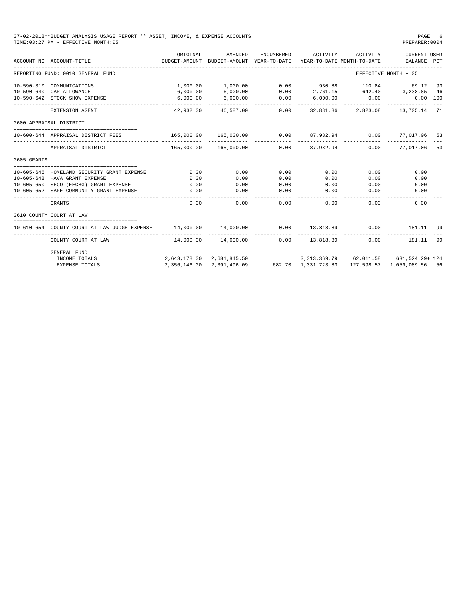|                  | 07-02-2018**BUDGET ANALYSIS USAGE REPORT ** ASSET, INCOME, & EXPENSE ACCOUNTS<br>TIME: 03:27 PM - EFFECTIVE MONTH: 05 |                           |                                                                                |                     |                                                                                                                                          |          | PAGE<br>PREPARER: 0004         |     |
|------------------|-----------------------------------------------------------------------------------------------------------------------|---------------------------|--------------------------------------------------------------------------------|---------------------|------------------------------------------------------------------------------------------------------------------------------------------|----------|--------------------------------|-----|
|                  | ACCOUNT NO ACCOUNT-TITLE<br>------------------------                                                                  | ORIGINAL                  | AMENDED<br>BUDGET-AMOUNT BUDGET-AMOUNT YEAR-TO-DATE YEAR-TO-DATE MONTH-TO-DATE | ENCUMBERED          | ACTIVITY                                                                                                                                 | ACTIVITY | CURRENT USED<br><b>BALANCE</b> | PCT |
|                  | REPORTING FUND: 0010 GENERAL FUND                                                                                     |                           |                                                                                |                     |                                                                                                                                          |          | EFFECTIVE MONTH - 05           |     |
|                  | 10-590-310 COMMUNICATIONS                                                                                             |                           | $1,000.00$ $1,000.00$<br>$6,000.00$ $6,000.00$                                 | 0.00                | $2,761.15$<br>$6,000.00$<br>$6,000.00$<br>$6,000.00$<br>$6,000.00$<br>$6,000.00$<br>$6,000.00$<br>$6,000.00$<br>$6,000.00$<br>$6,000.00$ |          |                                |     |
|                  | 10-590-640 CAR ALLOWANCE                                                                                              |                           |                                                                                |                     |                                                                                                                                          |          |                                |     |
|                  | 10-590-642 STOCK SHOW EXPENSE                                                                                         | 6,000.00<br>_____________ | 6,000.00                                                                       | $0.00$<br>$0.00$    |                                                                                                                                          |          |                                |     |
|                  | EXTENSION AGENT                                                                                                       |                           | 42.932.00 46.587.00                                                            |                     | 0.00 32,881.86 2,823.08 13,705.14 71                                                                                                     |          |                                |     |
|                  | 0600 APPRAISAL DISTRICT                                                                                               |                           |                                                                                |                     |                                                                                                                                          |          |                                |     |
|                  | 10-600-644 APPRAISAL DISTRICT FEES                                                                                    |                           |                                                                                |                     |                                                                                                                                          |          |                                |     |
|                  | APPRAISAL DISTRICT                                                                                                    |                           | 165,000.00  165,000.00                                                         |                     | $0.00$ 87.982.94                                                                                                                         |          | 0.00 77.017.06 53              |     |
| 0605 GRANTS      |                                                                                                                       |                           |                                                                                |                     |                                                                                                                                          |          |                                |     |
|                  |                                                                                                                       |                           |                                                                                |                     |                                                                                                                                          |          |                                |     |
|                  | 10-605-646 HOMELAND SECURITY GRANT EXPENSE                                                                            | 0.00                      | 0.00                                                                           | 0.00                | 0.00                                                                                                                                     | 0.00     | 0.00                           |     |
| $10 - 605 - 648$ | HAVA GRANT EXPENSE                                                                                                    | 0.00                      | 0.00                                                                           | 0.00                | 0.00                                                                                                                                     | 0.00     | 0.00                           |     |
| $10 - 605 - 650$ | SECO-(EECBG) GRANT EXPENSE                                                                                            | 0.00                      | 0.00                                                                           | 0.00                | 0.00                                                                                                                                     | 0.00     | 0.00                           |     |
| $10 - 605 - 652$ | SAFE COMMUNITY GRANT EXPENSE                                                                                          | 0.00                      | 0.00<br>-----------                                                            | 0.00<br>_______     | 0.00<br>------                                                                                                                           | 0.00     | 0.00                           |     |
|                  | <b>GRANTS</b>                                                                                                         | 0.00                      | 0.00                                                                           | 0.00                | 0.00                                                                                                                                     | 0.00     | 0.00                           |     |
|                  | 0610 COUNTY COURT AT LAW                                                                                              |                           |                                                                                |                     |                                                                                                                                          |          |                                |     |
|                  | 10-610-654 COUNTY COURT AT LAW JUDGE EXPENSE                                                                          | 14,000.00 14,000.00       |                                                                                |                     | $0.00$ $13,818.89$ 0.00                                                                                                                  |          | 181.11 99                      |     |
|                  | COUNTY COURT AT LAW                                                                                                   |                           | 14,000.00 14,000.00                                                            | -----------<br>0.00 | 13,818.89                                                                                                                                | 0.00     | 181.11                         | 99  |
|                  | <b>GENERAL FUND</b>                                                                                                   |                           |                                                                                |                     |                                                                                                                                          |          |                                |     |
|                  | INCOME TOTALS                                                                                                         |                           | 2,643,178.00 2,681,845.50 3,313,369.79 62,011.58 631,524.29+ 124               |                     |                                                                                                                                          |          |                                |     |
|                  | <b>EXPENSE TOTALS</b>                                                                                                 |                           | 2, 356, 146, 00 2, 391, 496, 09                                                |                     | 682.70 1,331,723.83 127,598.57 1,059,089.56 56                                                                                           |          |                                |     |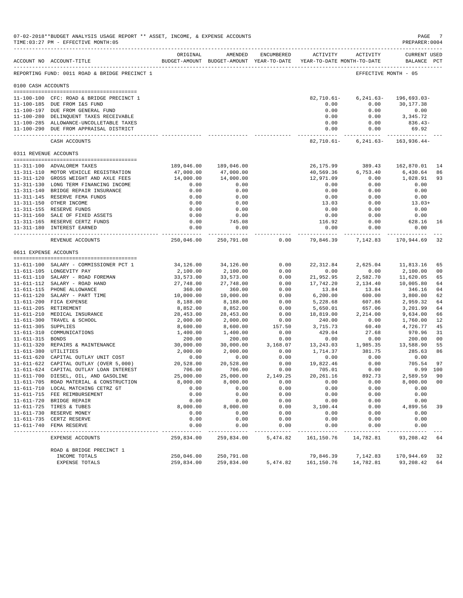|                     | 07-02-2018**BUDGET ANALYSIS USAGE REPORT ** ASSET, INCOME, & EXPENSE ACCOUNTS<br>TIME: 03:27 PM - EFFECTIVE MONTH: 05 |                           |                                                     |                |                            |                                        | PAGE<br>PREPARER: 0004      |                |
|---------------------|-----------------------------------------------------------------------------------------------------------------------|---------------------------|-----------------------------------------------------|----------------|----------------------------|----------------------------------------|-----------------------------|----------------|
|                     | ACCOUNT NO ACCOUNT-TITLE                                                                                              | ORIGINAL                  | AMENDED<br>BUDGET-AMOUNT BUDGET-AMOUNT YEAR-TO-DATE | ENCUMBERED     | ACTIVITY                   | ACTIVITY<br>YEAR-TO-DATE MONTH-TO-DATE | CURRENT USED<br>BALANCE PCT |                |
|                     | REPORTING FUND: 0011 ROAD & BRIDGE PRECINCT 1                                                                         |                           |                                                     |                |                            |                                        | EFFECTIVE MONTH - 05        |                |
| 0100 CASH ACCOUNTS  |                                                                                                                       |                           |                                                     |                |                            |                                        |                             |                |
|                     | 11-100-100 CFC: ROAD & BRIDGE PRECINCT 1<br>11-100-185 DUE FROM I&S FUND                                              |                           |                                                     |                | $82,710.61 -$<br>0.00      | $6, 241.63 -$<br>0.00                  | 196,693.03-<br>30,177.38    |                |
|                     | 11-100-197 DUE FROM GENERAL FUND                                                                                      |                           |                                                     |                | 0.00                       | 0.00                                   | 0.00                        |                |
|                     | 11-100-280 DELINQUENT TAXES RECEIVABLE                                                                                |                           |                                                     |                | 0.00                       | 0.00                                   | 3,345.72                    |                |
|                     | 11-100-285 ALLOWANCE-UNCOLLETABLE TAXES<br>11-100-290 DUE FROM APPRAISAL DISTRICT                                     |                           |                                                     |                | 0.00<br>0.00               | 0.00<br>0.00                           | $836.43-$<br>69.92          |                |
|                     | CASH ACCOUNTS                                                                                                         |                           |                                                     |                | ------------<br>82,710.61- | $6, 241.63 -$                          | 163,936.44-                 |                |
|                     | 0311 REVENUE ACCOUNTS                                                                                                 |                           |                                                     |                |                            |                                        |                             |                |
|                     | 11-311-100 ADVALOREM TAXES                                                                                            | 189,046.00                | 189,046.00                                          |                | 26,175.99                  | 389.43                                 | 162,870.01                  | 14             |
|                     | 11-311-110 MOTOR VEHICLE REGISTRATION                                                                                 | 47,000.00                 | 47,000.00                                           |                | 40,569.36                  | 6,753.40                               | 6,430.64                    | 86             |
|                     | 11-311-120 GROSS WEIGHT AND AXLE FEES                                                                                 | 14,000.00                 | 14,000.00                                           |                | 12,971.09                  | 0.00                                   | 1,028.91                    | 93             |
|                     | 11-311-130 LONG TERM FINANCING INCOME                                                                                 | 0.00                      | 0.00                                                |                | 0.00                       | 0.00                                   | 0.00                        |                |
|                     | 11-311-140 BRIDGE REPAIR INSURANCE                                                                                    | 0.00                      | 0.00                                                |                | 0.00                       | 0.00                                   | 0.00                        |                |
|                     | 11-311-145 RESERVE FEMA FUNDS                                                                                         | 0.00                      | 0.00                                                |                | 0.00                       | 0.00                                   | 0.00                        |                |
|                     | 11-311-150 OTHER INCOME                                                                                               | 0.00                      | 0.00                                                |                | 13.03                      | 0.00                                   | $13.03+$                    |                |
|                     | 11-311-155 RESERVE FUNDS                                                                                              | 0.00                      | 0.00                                                |                | 0.00                       | 0.00                                   | 0.00                        |                |
|                     | 11-311-160 SALE OF FIXED ASSETS                                                                                       | 0.00                      | 0.00                                                |                | 0.00                       | 0.00                                   | 0.00                        |                |
|                     | 11-311-165 RESERVE CERTZ FUNDS                                                                                        | 0.00                      | 745.08                                              |                | 116.92                     | 0.00                                   | 628.16                      | 16             |
|                     | 11-311-180 INTEREST EARNED                                                                                            | 0.00                      | 0.00<br>------------                                |                | 0.00                       | 0.00<br>------------ -------------     | 0.00<br>-------------       |                |
|                     | REVENUE ACCOUNTS                                                                                                      | 250,046.00                | 250,791.08                                          | 0.00           | 79,846.39                  | 7,142.83                               | 170,944.69                  | 32             |
|                     | 0611 EXPENSE ACCOUNTS                                                                                                 |                           |                                                     |                |                            |                                        |                             |                |
|                     | 11-611-100 SALARY - COMMISSIONER PCT 1                                                                                | 34,126.00                 | 34,126.00                                           | 0.00           | 22,312.84                  | 2,625.04                               | 11,813.16                   | 65             |
|                     | 11-611-105 LONGEVITY PAY                                                                                              | 2,100.00                  | 2,100.00                                            | 0.00           | 0.00                       | 0.00                                   | 2,100.00                    | 00             |
|                     | 11-611-110 SALARY - ROAD FOREMAN                                                                                      | 33,573.00                 | 33,573.00                                           | 0.00           | 21,952.95                  | 2,582.70                               | 11,620.05                   | 65             |
|                     | 11-611-112 SALARY - ROAD HAND                                                                                         | 27,748.00                 | 27,748.00                                           | 0.00           | 17,742.20                  | 2,134.40                               | 10,005.80                   | 64             |
|                     | 11-611-115 PHONE ALLOWANCE                                                                                            | 360.00                    | 360.00                                              | 0.00           | 13.84                      | 13.84                                  | 346.16                      | 04             |
|                     | 11-611-120 SALARY - PART TIME                                                                                         | 10,000.00                 | 10,000.00                                           | 0.00           | 6, 200.00                  | 600.00                                 | 3,800.00                    | 62             |
|                     | 11-611-200 FICA EXPENSE                                                                                               | 8,188.00                  | 8,188.00                                            | 0.00           | 5,228.68                   | 607.86                                 | 2,959.32                    | 64             |
|                     | 11-611-205 RETIREMENT                                                                                                 | 8,852.00                  | 8,852.00                                            | 0.00           | 5,650.01                   | 657.06                                 | 3,201.99                    | 64             |
|                     | 11-611-210 MEDICAL INSURANCE                                                                                          | 28,453.00                 | 28,453.00                                           | 0.00           | 18,819.00                  | 2,214.00                               | 9,634.00                    | 66             |
| 11-611-305 SUPPLIES | 11-611-300 TRAVEL & SCHOOL                                                                                            | 2,000.00<br>8,600.00      | 2,000.00<br>8,600.00                                | 0.00<br>157.50 | 240.00<br>3,715.73         | 0.00<br>60.40                          | 1,760.00<br>4,726.77        | 12<br>45       |
|                     | 11-611-310 COMMUNICATIONS                                                                                             | 1,400.00                  | 1,400.00                                            | 0.00           | 429.04                     | 27.68                                  | 970.96                      | 31             |
| 11-611-315 BONDS    |                                                                                                                       | 200.00                    | 200.00                                              | 0.00           | 0.00                       | 0.00                                   | 200.00                      | 00             |
|                     | 11-611-320 REPAIRS & MAINTENANCE                                                                                      | 30,000.00                 | 30,000.00                                           | 3,168.07       | 13,243.03                  | 1,985.35                               | 13,588.90                   | 55             |
|                     | 11-611-380 UTILITIES                                                                                                  | 2,000.00                  | 2,000.00                                            | 0.00           | 1,714.37                   | 381.75                                 | 285.63                      | 86             |
|                     | 11-611-620 CAPITAL OUTLAY UNIT COST                                                                                   | 0.00                      | 0.00                                                | 0.00           | 0.00                       | 0.00                                   | 0.00                        |                |
|                     | 11-611-622 CAPITAL OUTLAY (OVER 5,000)                                                                                | 20,528.00                 | 20,528.00                                           | 0.00           | 19,822.46                  | 0.00                                   | 705.54                      | 97             |
|                     | 11-611-624 CAPITAL OUTLAY LOAN INTEREST                                                                               | 706.00                    | 706.00                                              | 0.00           | 705.01                     | 0.00                                   | $0.99$ 100                  |                |
|                     | 11-611-700 DIESEL, OIL, AND GASOLINE                                                                                  | 25,000.00                 | 25,000.00                                           | 2,149.25       | 20, 261.16                 | 892.73                                 | 2,589.59                    | 90             |
|                     | 11-611-705 ROAD MATERIAL & CONSTRUCTION                                                                               | 8,000.00                  | 8,000.00                                            | 0.00           | 0.00                       | 0.00                                   | 8,000.00                    | 0 <sub>0</sub> |
|                     | 11-611-710 LOCAL MATCHING CETRZ GT                                                                                    | 0.00                      | 0.00                                                | 0.00           | 0.00                       | 0.00                                   | 0.00                        |                |
|                     | 11-611-715 FEE REIMBURSEMENT<br>11-611-720 BRIDGE REPAIR                                                              | 0.00                      | 0.00                                                | 0.00           | 0.00                       | 0.00                                   | 0.00                        |                |
|                     | 11-611-725 TIRES & TUBES                                                                                              | 0.00<br>8,000.00          | 0.00<br>8,000.00                                    | 0.00<br>0.00   | 0.00<br>3,100.44           | 0.00<br>0.00                           | 0.00<br>4,899.56            | 39             |
|                     | 11-611-730 RESERVE MONEY                                                                                              | 0.00                      | 0.00                                                | 0.00           | 0.00                       | 0.00                                   | 0.00                        |                |
|                     | 11-611-735 CERTZ RESERVE                                                                                              | 0.00                      | 0.00                                                | 0.00           | 0.00                       | 0.00                                   | 0.00                        |                |
|                     | 11-611-740 FEMA RESERVE                                                                                               | 0.00                      | 0.00                                                | 0.00           | 0.00                       | 0.00                                   | 0.00                        |                |
|                     | EXPENSE ACCOUNTS                                                                                                      | $- - - - -$<br>259,834.00 | 259,834.00                                          | 5,474.82       | ----<br>161,150.76         | 14,782.81                              | 93,208.42                   | 64             |
|                     | ROAD & BRIDGE PRECINCT 1                                                                                              |                           |                                                     |                |                            |                                        |                             |                |
|                     | INCOME TOTALS                                                                                                         | 250,046.00                | 250,791.08                                          |                | 79,846.39                  | 7,142.83                               | 170,944.69                  | 32             |
|                     | <b>EXPENSE TOTALS</b>                                                                                                 | 259,834.00                | 259,834.00                                          | 5,474.82       | 161,150.76                 | 14,782.81                              | 93,208.42                   | 64             |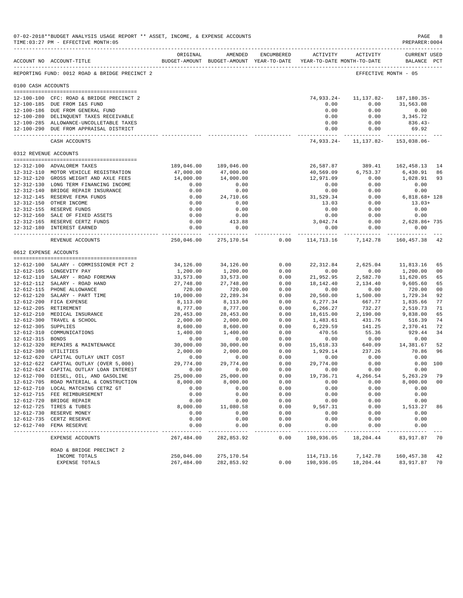|                       | 07-02-2018**BUDGET ANALYSIS USAGE REPORT ** ASSET, INCOME, & EXPENSE ACCOUNTS<br>TIME: 03:27 PM - EFFECTIVE MONTH: 05 |                       |                      |                           |                                                                                        |                       | PAGE<br>PREPARER: 0004      |                |
|-----------------------|-----------------------------------------------------------------------------------------------------------------------|-----------------------|----------------------|---------------------------|----------------------------------------------------------------------------------------|-----------------------|-----------------------------|----------------|
|                       | ACCOUNT NO ACCOUNT-TITLE                                                                                              | ORIGINAL              | AMENDED              | ENCUMBERED                | <b>ACTIVITY</b><br>BUDGET-AMOUNT BUDGET-AMOUNT YEAR-TO-DATE YEAR-TO-DATE MONTH-TO-DATE | ACTIVITY              | CURRENT USED<br>BALANCE PCT |                |
|                       | REPORTING FUND: 0012 ROAD & BRIDGE PRECINCT 2                                                                         |                       |                      |                           |                                                                                        |                       | EFFECTIVE MONTH - 05        |                |
| 0100 CASH ACCOUNTS    |                                                                                                                       |                       |                      |                           |                                                                                        |                       |                             |                |
|                       | 12-100-100 CFC: ROAD & BRIDGE PRECINCT 2                                                                              |                       |                      |                           | 74,933.24-                                                                             | 11,137.82-            | 187,180.35-                 |                |
|                       | 12-100-185 DUE FROM I&S FUND                                                                                          |                       |                      |                           | 0.00                                                                                   | 0.00                  | 31,563.08                   |                |
|                       | 12-100-186 DUE FROM GENERAL FUND                                                                                      |                       |                      |                           | 0.00                                                                                   | 0.00                  | 0.00                        |                |
|                       | 12-100-280 DELINQUENT TAXES RECEIVABLE<br>12-100-285 ALLOWANCE-UNCOLLETABLE TAXES                                     |                       |                      |                           | 0.00<br>0.00                                                                           | 0.00<br>0.00          | 3,345.72<br>$836.43-$       |                |
|                       | 12-100-290 DUE FROM APPRAISAL DISTRICT                                                                                |                       |                      |                           | 0.00                                                                                   | 0.00                  | 69.92                       |                |
|                       | CASH ACCOUNTS                                                                                                         |                       |                      |                           |                                                                                        | 74,933.24- 11,137.82- | 153,038.06-                 |                |
| 0312 REVENUE ACCOUNTS |                                                                                                                       |                       |                      |                           |                                                                                        |                       |                             |                |
|                       |                                                                                                                       |                       |                      |                           |                                                                                        |                       |                             |                |
|                       | 12-312-100 ADVALOREM TAXES                                                                                            | 189,046.00            | 189,046.00           |                           | 26,587.87                                                                              | 389.41                | 162,458.13                  | 14             |
|                       | 12-312-110 MOTOR VEHICLE REGISTRATION                                                                                 | 47,000.00             | 47,000.00            |                           | 40,569.09                                                                              | 6,753.37              | 6,430.91                    | 86             |
|                       | 12-312-120 GROSS WEIGHT AND AXLE FEES<br>12-312-130 LONG TERM FINANCING INCOME                                        | 14,000.00<br>0.00     | 14,000.00<br>0.00    |                           | 12,971.09<br>0.00                                                                      | 0.00<br>0.00          | 1,028.91<br>0.00            | 93             |
|                       | 12-312-140 BRIDGE REPAIR INSURANCE                                                                                    | 0.00                  | 0.00                 |                           | 0.00                                                                                   | 0.00                  | 0.00                        |                |
|                       | 12-312-145 RESERVE FEMA FUNDS                                                                                         | 0.00                  | 24,710.66            |                           | 31,529.34                                                                              | 0.00                  | $6,818.68+128$              |                |
|                       | 12-312-150 OTHER INCOME                                                                                               | 0.00                  | 0.00                 |                           | 13.03                                                                                  | 0.00                  | $13.03+$                    |                |
|                       | 12-312-155 RESERVE FUNDS                                                                                              | 0.00                  | 0.00                 |                           | 0.00                                                                                   | 0.00                  | 0.00                        |                |
|                       | 12-312-160 SALE OF FIXED ASSETS                                                                                       | 0.00                  | 0.00                 |                           | 0.00                                                                                   | 0.00                  | 0.00                        |                |
|                       | 12-312-165 RESERVE CERTZ FUNDS                                                                                        | 0.00                  | 413.88               |                           | 3,042.74                                                                               | 0.00                  | 2,628.86+735                |                |
|                       | 12-312-180 INTEREST EARNED                                                                                            | 0.00<br>.             | 0.00                 | ------------ ------------ | 0.00<br>------------ ------------                                                      | 0.00                  | 0.00<br>-------------       |                |
|                       | REVENUE ACCOUNTS                                                                                                      | 250,046.00            | 275,170.54           | 0.00                      | 114,713.16                                                                             | 7,142.78              | 160,457.38                  | 42             |
| 0612 EXPENSE ACCOUNTS |                                                                                                                       |                       |                      |                           |                                                                                        |                       |                             |                |
|                       | 12-612-100 SALARY - COMMISSIONER PCT 2                                                                                | 34,126.00             | 34,126.00            | 0.00                      | 22, 312.84                                                                             | 2,625.04              | 11,813.16                   | 65             |
|                       | 12-612-105 LONGEVITY PAY                                                                                              | 1,200.00              | 1,200.00             | 0.00                      | 0.00                                                                                   | 0.00                  | 1,200.00                    | 0 <sub>0</sub> |
|                       | 12-612-110 SALARY - ROAD FOREMAN                                                                                      | 33,573.00             | 33,573.00            | 0.00                      | 21,952.95                                                                              | 2,582.70              | 11,620.05                   | 65             |
|                       | 12-612-112 SALARY - ROAD HAND                                                                                         | 27,748.00             | 27,748.00            | 0.00                      | 18,142.40                                                                              | 2,134.40              | 9,605.60                    | 65             |
|                       | 12-612-115 PHONE ALLOWANCE                                                                                            | 720.00                | 720.00               | 0.00                      | 0.00                                                                                   | 0.00                  | 720.00                      | 0 <sub>0</sub> |
|                       | 12-612-120 SALARY - PART TIME                                                                                         | 10,000.00             | 22, 289.34           | 0.00                      | 20,560.00                                                                              | 1,500.00              | 1,729.34                    | 92             |
|                       | 12-612-200 FICA EXPENSE                                                                                               | 8,113.00              | 8,113.00             | 0.00                      | 6,277.34                                                                               | 667.77                | 1,835.66                    | 77             |
|                       | 12-612-205 RETIREMENT                                                                                                 | 8,777.00              | 8,777.00             | 0.00                      | 6,266.27                                                                               | 732.27                | 2,510.73                    | 71             |
|                       | 12-612-210 MEDICAL INSURANCE                                                                                          | 28,453.00<br>2,000.00 | 28,453.00            | 0.00<br>0.00              | 18,615.00                                                                              | 2,190.00              | 9,838.00                    | 65             |
| 12-612-305 SUPPLIES   | 12-612-300 TRAVEL & SCHOOL                                                                                            | 8,600.00              | 2,000.00<br>8,600.00 | 0.00                      | 1,483.61<br>6,229.59                                                                   | 431.76<br>141.25      | 516.39<br>2,370.41          | 74<br>72       |
| 12-612-310            | COMMUNICATIONS                                                                                                        | 1,400.00              | 1,400.00             | 0.00                      | 470.56                                                                                 | 55.36                 | 929.44                      | 34             |
| 12-612-315 BONDS      |                                                                                                                       | 0.00                  | 0.00                 | 0.00                      | 0.00                                                                                   | 0.00                  | 0.00                        |                |
|                       | 12-612-320 REPAIRS & MAINTENANCE                                                                                      | 30,000.00             | 30,000.00            | 0.00                      | 15,618.33                                                                              | 640.09                | 14,381.67                   | 52             |
| 12-612-380 UTILITIES  |                                                                                                                       | 2,000.00              | 2,000.00             | 0.00                      | 1,929.14                                                                               | 237.26                | 70.86                       | 96             |
|                       | 12-612-620 CAPITAL OUTLAY UNIT COST                                                                                   | 0.00                  | 0.00                 | 0.00                      | 0.00                                                                                   | 0.00                  | 0.00                        |                |
|                       | 12-612-622 CAPITAL OUTLAY (OVER 5,000)                                                                                | 29,774.00             | 29,774.00            | 0.00                      | 29,774.00                                                                              | 0.00                  | 0.00                        | 100            |
|                       | 12-612-624 CAPITAL OUTLAY LOAN INTEREST                                                                               | 0.00                  | 0.00                 | 0.00                      | 0.00                                                                                   | 0.00                  | 0.00                        |                |
|                       | 12-612-700 DIESEL, OIL, AND GASOLINE                                                                                  | 25,000.00             | 25,000.00            | 0.00                      | 19,736.71                                                                              | 4,266.54              | 5,263.29                    | 79             |
|                       | 12-612-705 ROAD MATERIAL & CONSTRUCTION<br>12-612-710 LOCAL MATCHING CETRZ GT                                         | 8,000.00<br>0.00      | 8,000.00<br>0.00     | 0.00<br>0.00              | 0.00<br>0.00                                                                           | 0.00<br>0.00          | 8,000.00<br>0.00            | 0 <sub>0</sub> |
|                       | 12-612-715 FEE REIMBURSEMENT                                                                                          | 0.00                  | 0.00                 | 0.00                      | 0.00                                                                                   | 0.00                  | 0.00                        |                |
|                       | 12-612-720 BRIDGE REPAIR                                                                                              | 0.00                  | 0.00                 | 0.00                      | 0.00                                                                                   | 0.00                  | 0.00                        |                |
|                       | 12-612-725 TIRES & TUBES                                                                                              | 8,000.00              | 11,080.58            | 0.00                      | 9,567.31                                                                               | 0.00                  | 1,513.27                    | 86             |
|                       | 12-612-730 RESERVE MONEY                                                                                              | 0.00                  | 0.00                 | 0.00                      | 0.00                                                                                   | 0.00                  | 0.00                        |                |
|                       | 12-612-735 CERTZ RESERVE                                                                                              | 0.00                  | 0.00                 | 0.00                      | 0.00                                                                                   | 0.00                  | 0.00                        |                |
|                       | 12-612-740 FEMA RESERVE                                                                                               | 0.00<br>----------    | 0.00                 | 0.00<br>$- - - -$         | 0.00<br>$- - - - - - - -$                                                              | 0.00                  | 0.00                        |                |
|                       | EXPENSE ACCOUNTS                                                                                                      | 267,484.00            | 282,853.92           | 0.00                      | 198,936.05                                                                             | 18,204.44             | 83, 917.87                  | 70             |
|                       | ROAD & BRIDGE PRECINCT 2                                                                                              |                       |                      |                           |                                                                                        |                       |                             |                |
|                       | INCOME TOTALS                                                                                                         | 250,046.00            | 275,170.54           |                           | 114,713.16                                                                             | 7,142.78              | 160,457.38                  | 42             |
|                       | EXPENSE TOTALS                                                                                                        | 267,484.00            | 282,853.92           | 0.00                      | 198,936.05                                                                             | 18,204.44             | 83,917.87                   | 70             |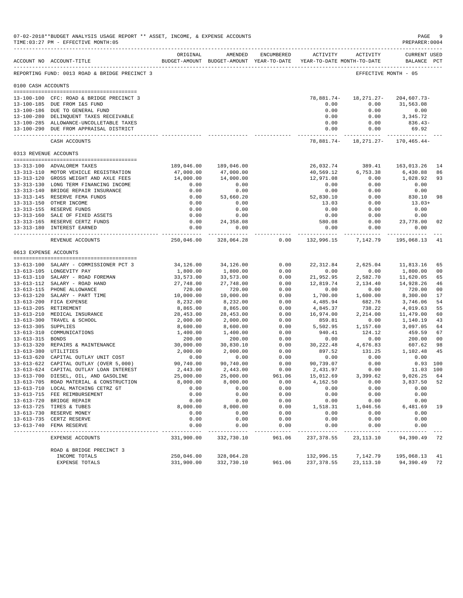|                     | 07-02-2018**BUDGET ANALYSIS USAGE REPORT ** ASSET, INCOME, & EXPENSE ACCOUNTS<br>TIME: 03:27 PM - EFFECTIVE MONTH: 05 |                          |                      |                     |                                                                                        |                                         | PAGE<br>PREPARER: 0004      | -9             |
|---------------------|-----------------------------------------------------------------------------------------------------------------------|--------------------------|----------------------|---------------------|----------------------------------------------------------------------------------------|-----------------------------------------|-----------------------------|----------------|
|                     | ACCOUNT NO ACCOUNT-TITLE                                                                                              | ORIGINAL                 | AMENDED              | ENCUMBERED          | <b>ACTIVITY</b><br>BUDGET-AMOUNT BUDGET-AMOUNT YEAR-TO-DATE YEAR-TO-DATE MONTH-TO-DATE | ACTIVITY                                | CURRENT USED<br>BALANCE PCT |                |
|                     | REPORTING FUND: 0013 ROAD & BRIDGE PRECINCT 3                                                                         |                          |                      |                     |                                                                                        |                                         | EFFECTIVE MONTH - 05        |                |
| 0100 CASH ACCOUNTS  |                                                                                                                       |                          |                      |                     |                                                                                        |                                         |                             |                |
|                     | 13-100-100 CFC: ROAD & BRIDGE PRECINCT 3                                                                              |                          |                      |                     | 78,881.74-                                                                             | 18,271.27-                              | $204,607.73-$               |                |
|                     | 13-100-185 DUE FROM I&S FUND                                                                                          |                          |                      |                     | 0.00                                                                                   | 0.00                                    | 31,563.08                   |                |
|                     | 13-100-186 DUE TO GENERAL FUND<br>13-100-280 DELINQUENT TAXES RECEIVABLE                                              |                          |                      |                     | 0.00<br>0.00                                                                           | 0.00<br>0.00                            | 0.00<br>3,345.72            |                |
|                     | 13-100-285 ALLOWANCE-UNCOLLETABLE TAXES                                                                               |                          |                      |                     | 0.00                                                                                   | 0.00                                    | $836.43-$                   |                |
|                     | 13-100-290 DUE FROM APPRAISAL DISTRICT                                                                                |                          |                      |                     | 0.00                                                                                   | 0.00                                    | 69.92                       |                |
|                     | CASH ACCOUNTS                                                                                                         |                          |                      |                     | _____________                                                                          | --------------<br>78,881.74- 18,271.27- | $170, 465.44 -$             |                |
|                     | 0313 REVENUE ACCOUNTS                                                                                                 |                          |                      |                     |                                                                                        |                                         |                             |                |
|                     | 13-313-100 ADVALOREM TAXES                                                                                            | 189,046.00               | 189,046.00           |                     | 26,032.74                                                                              | 389.41                                  | 163,013.26                  | 14             |
|                     | 13-313-110 MOTOR VEHICLE REGISTRATION                                                                                 | 47,000.00                | 47,000.00            |                     | 40,569.12                                                                              | 6,753.38                                | 6,430.88                    | 86             |
|                     | 13-313-120 GROSS WEIGHT AND AXLE FEES                                                                                 | 14,000.00                | 14,000.00            |                     | 12,971.08                                                                              | 0.00                                    | 1,028.92                    | 93             |
|                     | 13-313-130 LONG TERM FINANCING INCOME                                                                                 | 0.00                     | 0.00                 |                     | 0.00                                                                                   | 0.00                                    | 0.00                        |                |
|                     | 13-313-140 BRIDGE REPAIR INSURANCE                                                                                    | 0.00                     | 0.00                 |                     | 0.00                                                                                   | 0.00                                    | 0.00                        |                |
|                     | 13-313-145 RESERVE FEMA FUNDS                                                                                         | 0.00                     | 53,660.20            |                     | 52,830.10                                                                              | 0.00                                    | 830.10                      | 98             |
|                     | 13-313-150 OTHER INCOME                                                                                               | 0.00                     | 0.00                 |                     | 13.03                                                                                  | 0.00                                    | $13.03+$                    |                |
|                     | 13-313-155 RESERVE FUNDS                                                                                              | 0.00                     | 0.00                 |                     | 0.00                                                                                   | 0.00                                    | 0.00                        |                |
|                     | 13-313-160 SALE OF FIXED ASSETS                                                                                       | 0.00                     | 0.00                 |                     | 0.00                                                                                   | 0.00                                    | 0.00                        |                |
|                     | 13-313-165 RESERVE CERTZ FUNDS                                                                                        | 0.00                     | 24,358.08            |                     | 580.08                                                                                 | 0.00                                    | 23,778.00                   | 02             |
|                     | 13-313-180 INTEREST EARNED                                                                                            | 0.00<br>.                | 0.00<br>------------ |                     | 0.00<br>------------ ------------                                                      | 0.00                                    | 0.00<br>-------------       |                |
|                     | REVENUE ACCOUNTS                                                                                                      | 250,046.00               | 328,064.28           | 0.00                | 132,996.15                                                                             | 7,142.79                                | 195,068.13                  | 41             |
|                     | 0613 EXPENSE ACCOUNTS                                                                                                 |                          |                      |                     |                                                                                        |                                         |                             |                |
|                     | 13-613-100 SALARY - COMMISSIONER PCT 3                                                                                | 34,126.00                | 34,126.00            | 0.00                | 22, 312.84                                                                             | 2,625.04                                | 11,813.16                   | 65             |
|                     | 13-613-105 LONGEVITY PAY                                                                                              | 1,800.00                 | 1,800.00             | 0.00                | 0.00                                                                                   | 0.00                                    | 1,800.00                    | 0 <sub>0</sub> |
|                     | 13-613-110 SALARY - ROAD FOREMAN                                                                                      | 33,573.00                | 33,573.00            | 0.00                | 21,952.95                                                                              | 2,582.70                                | 11,620.05                   | 65             |
|                     | 13-613-112 SALARY - ROAD HAND                                                                                         | 27,748.00                | 27,748.00            | 0.00                | 12,819.74                                                                              | 2,134.40                                | 14,928.26                   | 46             |
|                     | 13-613-115 PHONE ALLOWANCE                                                                                            | 720.00                   | 720.00               | 0.00                | 0.00                                                                                   | 0.00                                    | 720.00                      | 0 <sub>0</sub> |
|                     | 13-613-120 SALARY - PART TIME                                                                                         | 10,000.00                | 10,000.00            | 0.00                | 1,700.00                                                                               | 1,600.00                                | 8,300.00                    | 17             |
|                     | 13-613-200 FICA EXPENSE                                                                                               | 8,232.00                 | 8,232.00             | 0.00                | 4,485.94                                                                               | 682.76                                  | 3,746.06                    | 54             |
|                     | 13-613-205 RETIREMENT                                                                                                 | 8,865.00                 | 8,865.00             | 0.00                | 4,845.37                                                                               | 738.22                                  | 4,019.63                    | 55             |
|                     | 13-613-210 MEDICAL INSURANCE                                                                                          | 28,453.00                | 28,453.00            | 0.00<br>0.00        | 16,974.00                                                                              | 2,214.00                                | 11,479.00                   | 60             |
| 13-613-305 SUPPLIES | 13-613-300 TRAVEL & SCHOOL                                                                                            | 2,000.00<br>8,600.00     | 2,000.00<br>8,600.00 | 0.00                | 859.81<br>5,502.95                                                                     | 0.00<br>1,157.60                        | 1,140.19<br>3,097.05        | 43<br>64       |
|                     | 13-613-310 COMMUNICATIONS                                                                                             | 1,400.00                 | 1,400.00             | 0.00                | 940.41                                                                                 | 124.12                                  | 459.59                      | 67             |
| 13-613-315 BONDS    |                                                                                                                       | 200.00                   | 200.00               | 0.00                | 0.00                                                                                   | 0.00                                    | 200.00                      | 0 <sub>0</sub> |
|                     | 13-613-320 REPAIRS & MAINTENANCE                                                                                      | 30,000.00                | 30,830.10            | 0.00                | 30, 222.48                                                                             | 4,676.83                                | 607.62                      | 98             |
|                     | 13-613-380 UTILITIES                                                                                                  | 2,000.00                 | 2,000.00             | 0.00                | 897.52                                                                                 | 131.25                                  | 1,102.48                    | 45             |
|                     | 13-613-620 CAPITAL OUTLAY UNIT COST                                                                                   | 0.00                     | 0.00                 | 0.00                | 0.00                                                                                   | 0.00                                    | 0.00                        |                |
|                     | 13-613-622 CAPITAL OUTLAY (OVER 5,000)                                                                                | 90,740.00                | 90,740.00            | 0.00                | 90,739.07                                                                              | 0.00                                    | $0.93$ 100                  |                |
|                     | 13-613-624 CAPITAL OUTLAY LOAN INTEREST                                                                               | 2,443.00                 | 2,443.00             | 0.00                | 2,431.97                                                                               | 0.00                                    | 11.03 100                   |                |
|                     | 13-613-700 DIESEL, OIL, AND GASOLINE                                                                                  | 25,000.00                | 25,000.00            | 961.06              | 15,012.69                                                                              | 3,399.62                                | 9,026.25                    | 64             |
|                     | 13-613-705 ROAD MATERIAL & CONSTRUCTION                                                                               | 8,000.00                 | 8,000.00             | 0.00                | 4,162.50                                                                               | 0.00                                    | 3,837.50                    | 52             |
|                     | 13-613-710 LOCAL MATCHING CETRZ GT                                                                                    | 0.00                     | 0.00                 | 0.00                | 0.00                                                                                   | 0.00                                    | 0.00                        |                |
|                     | 13-613-715 FEE REIMBURSEMENT<br>13-613-720 BRIDGE REPAIR                                                              | 0.00<br>0.00             | 0.00<br>0.00         | 0.00<br>0.00        | 0.00<br>0.00                                                                           | 0.00<br>0.00                            | 0.00<br>0.00                |                |
|                     | 13-613-725 TIRES & TUBES                                                                                              | 8,000.00                 | 8,000.00             | 0.00                | 1,518.31                                                                               | 1,046.56                                | 6,481.69                    | 19             |
|                     | 13-613-730 RESERVE MONEY                                                                                              | 0.00                     | 0.00                 | 0.00                | 0.00                                                                                   | 0.00                                    | 0.00                        |                |
|                     | 13-613-735 CERTZ RESERVE                                                                                              | 0.00                     | 0.00                 | 0.00                | 0.00                                                                                   | 0.00                                    | 0.00                        |                |
|                     | 13-613-740 FEMA RESERVE                                                                                               | 0.00                     | 0.00                 | 0.00                | 0.00                                                                                   | 0.00                                    | 0.00                        |                |
|                     | EXPENSE ACCOUNTS                                                                                                      | ----------<br>331,900.00 | 332,730.10           | $- - - -$<br>961.06 | $- - - - -$<br>237,378.55                                                              | 23, 113. 10                             | 94,390.49                   | -72            |
|                     | ROAD & BRIDGE PRECINCT 3                                                                                              |                          |                      |                     |                                                                                        |                                         |                             |                |
|                     | INCOME TOTALS                                                                                                         | 250,046.00               | 328,064.28           |                     | 132,996.15                                                                             | 7,142.79                                | 195,068.13                  | 41             |
|                     | EXPENSE TOTALS                                                                                                        | 331,900.00               | 332,730.10           | 961.06              | 237, 378.55                                                                            | 23,113.10                               | 94,390.49                   | 72             |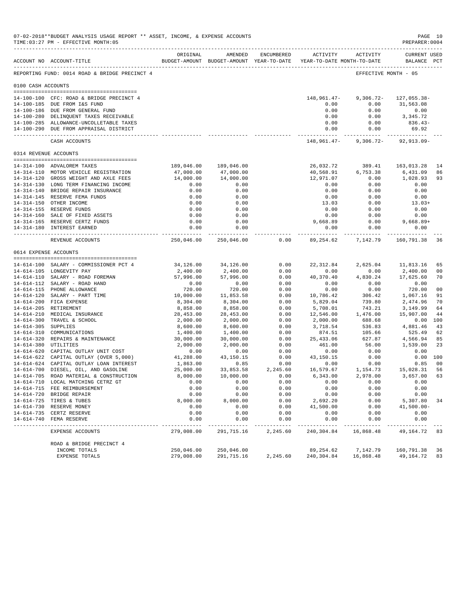|                     | 07-02-2018**BUDGET ANALYSIS USAGE REPORT ** ASSET, INCOME, & EXPENSE ACCOUNTS<br>TIME: 03:27 PM - EFFECTIVE MONTH: 05 |                                   |                                                                                |                  |                                                        |                                           | PREPARER: 0004                    | PAGE 10              |
|---------------------|-----------------------------------------------------------------------------------------------------------------------|-----------------------------------|--------------------------------------------------------------------------------|------------------|--------------------------------------------------------|-------------------------------------------|-----------------------------------|----------------------|
|                     | ACCOUNT NO ACCOUNT-TITLE                                                                                              | ORIGINAL                          | AMENDED<br>BUDGET-AMOUNT BUDGET-AMOUNT YEAR-TO-DATE YEAR-TO-DATE MONTH-TO-DATE | ENCUMBERED       | ---------------------------------<br>ACTIVITY ACTIVITY |                                           | CURRENT USED<br>BALANCE PCT       |                      |
|                     | REPORTING FUND: 0014 ROAD & BRIDGE PRECINCT 4                                                                         |                                   |                                                                                |                  |                                                        | EFFECTIVE MONTH - 05                      |                                   |                      |
| 0100 CASH ACCOUNTS  |                                                                                                                       |                                   |                                                                                |                  |                                                        |                                           |                                   |                      |
|                     |                                                                                                                       |                                   |                                                                                |                  |                                                        |                                           |                                   |                      |
|                     | 14-100-100 CFC: ROAD & BRIDGE PRECINCT 4<br>14-100-185 DUE FROM I&S FUND                                              |                                   |                                                                                |                  | 148,961.47-<br>0.00                                    | $9,306.72 -$<br>0.00                      | 127,055.38-<br>31,563.08          |                      |
|                     | 14-100-186 DUE FROM GENERAL FUND                                                                                      |                                   |                                                                                |                  | 0.00                                                   | 0.00                                      | 0.00                              |                      |
|                     | 14-100-280 DELINQUENT TAXES RECEIVABLE                                                                                |                                   |                                                                                |                  | 0.00                                                   | 0.00                                      | 3, 345, 72                        |                      |
|                     | 14-100-285 ALLOWANCE-UNCOLLETABLE TAXES                                                                               |                                   |                                                                                |                  | 0.00                                                   | 0.00                                      | 836.43-                           |                      |
|                     | 14-100-290 DUE FROM APPRAISAL DISTRICT                                                                                |                                   |                                                                                |                  | 0.00                                                   | 0.00                                      | 69.92                             |                      |
|                     | CASH ACCOUNTS                                                                                                         |                                   |                                                                                |                  | 148,961.47-                                            | ------------ ------------<br>$9,306.72 -$ | -----------<br>$92, 913.09 -$     |                      |
|                     | 0314 REVENUE ACCOUNTS                                                                                                 |                                   |                                                                                |                  |                                                        |                                           |                                   |                      |
|                     |                                                                                                                       |                                   |                                                                                |                  |                                                        |                                           |                                   |                      |
|                     | 14-314-100 ADVALOREM TAXES                                                                                            | 189,046.00                        | 189,046.00                                                                     |                  | 26,032.72                                              | 389.41                                    | 163,013.28                        | 14                   |
|                     | 14-314-110 MOTOR VEHICLE REGISTRATION                                                                                 | 47,000.00                         | 47,000.00                                                                      |                  | 40,568.91                                              | 6,753.38                                  | 6,431.09                          | 86                   |
|                     | 14-314-120 GROSS WEIGHT AND AXLE FEES<br>14-314-130 LONG TERM FINANCING INCOME                                        | 14,000.00<br>0.00                 | 14,000.00<br>0.00                                                              |                  | 12,971.07<br>0.00                                      | 0.00<br>0.00                              | 1,028.93<br>0.00                  | 93                   |
|                     | 14-314-140 BRIDGE REPAIR INSURANCE                                                                                    | 0.00                              | 0.00                                                                           |                  | 0.00                                                   | 0.00                                      | 0.00                              |                      |
|                     | 14-314-145 RESERVE FEMA FUNDS                                                                                         | 0.00                              | 0.00                                                                           |                  | 0.00                                                   | 0.00                                      | 0.00                              |                      |
|                     | 14-314-150 OTHER INCOME                                                                                               | 0.00                              | 0.00                                                                           |                  | 13.03                                                  | 0.00                                      | $13.03+$                          |                      |
|                     | 14-314-155 RESERVE FUNDS                                                                                              | 0.00                              | 0.00                                                                           |                  | 0.00                                                   | 0.00                                      | 0.00                              |                      |
|                     | 14-314-160 SALE OF FIXED ASSETS                                                                                       | 0.00                              | 0.00                                                                           |                  | 0.00                                                   | 0.00                                      | 0.00                              |                      |
|                     | 14-314-165 RESERVE CERTZ FUNDS                                                                                        | 0.00                              | 0.00                                                                           |                  | 9,668.89                                               | 0.00                                      | $9,668.89+$                       |                      |
|                     | 14-314-180 INTEREST EARNED                                                                                            | 0.00<br>. _ _ _ _ _ _ _ _ _ _ _ _ | 0.00<br>-------------                                                          |                  | 0.00                                                   | 0.00<br>------------ ------------         | 0.00<br>. _ _ _ _ _ _ _ _ _ _ _ _ |                      |
|                     | REVENUE ACCOUNTS                                                                                                      | 250,046.00                        | 250,046.00                                                                     | 0.00             | 89,254.62                                              | 7,142.79                                  | 160,791.38                        | 36                   |
|                     | 0614 EXPENSE ACCOUNTS                                                                                                 |                                   |                                                                                |                  |                                                        |                                           |                                   |                      |
|                     |                                                                                                                       |                                   |                                                                                |                  |                                                        |                                           |                                   |                      |
|                     | 14-614-100 SALARY - COMMISSIONER PCT 4                                                                                | 34,126.00                         | 34,126.00                                                                      | 0.00             | 22, 312.84                                             | 2,625.04                                  | 11,813.16                         | 65                   |
|                     | 14-614-105 LONGEVITY PAY<br>14-614-110 SALARY - ROAD FOREMAN                                                          | 2,400.00<br>57,996.00             | 2,400.00<br>57,996.00                                                          | 0.00<br>0.00     | 0.00<br>40,370.40                                      | 0.00<br>4,830.24                          | 2,400.00<br>17,625.60             | 00<br>70             |
|                     | 14-614-112 SALARY - ROAD HAND                                                                                         | 0.00                              | 0.00                                                                           | 0.00             | 0.00                                                   | 0.00                                      | 0.00                              |                      |
|                     | 14-614-115 PHONE ALLOWANCE                                                                                            | 720.00                            | 720.00                                                                         | 0.00             | 0.00                                                   | 0.00                                      | 720.00                            | 00                   |
|                     | 14-614-120 SALARY - PART TIME                                                                                         | 10,000.00                         | 11,853.58                                                                      | 0.00             | 10,786.42                                              | 306.42                                    | 1,067.16                          | 91                   |
|                     | 14-614-200 FICA EXPENSE                                                                                               | 8,304.00                          | 8,304.00                                                                       | 0.00             | 5,829.04                                               | 739.80                                    | 2,474.96                          | 70                   |
|                     | 14-614-205 RETIREMENT                                                                                                 | 8,858.00                          | 8,858.00                                                                       | 0.00             | 5,708.01                                               | 743.21                                    | 3,149.99                          | 64                   |
|                     | 14-614-210 MEDICAL INSURANCE                                                                                          | 28,453.00                         | 28,453.00                                                                      | 0.00             | 12,546.00                                              | 1,476.00                                  | 15,907.00                         | 44                   |
|                     | 14-614-300 TRAVEL & SCHOOL                                                                                            | 2,000.00                          | 2,000.00                                                                       | 0.00             | 2,000.00                                               | 688.68                                    | 0.00 100                          |                      |
| 14-614-305 SUPPLIES |                                                                                                                       | 8,600.00                          | 8,600.00                                                                       | 0.00             | 3,718.54                                               | 536.83                                    | 4,881.46                          | 43                   |
|                     | 14-614-310 COMMUNICATIONS                                                                                             | 1,400.00                          | 1,400.00                                                                       | 0.00             | 874.51                                                 | 105.66                                    | 525.49                            | 62                   |
|                     | 14-614-320 REPAIRS & MAINTENANCE                                                                                      | 30,000.00                         | 30,000.00                                                                      | 0.00             | 25, 433.06                                             | 627.87                                    | 4,566.94                          | 85                   |
|                     | 14-614-380 UTILITIES                                                                                                  | 2,000.00                          | 2,000.00                                                                       | 0.00             | 461.00                                                 | 56.00                                     | 1,539.00                          | 23                   |
|                     | 14-614-620 CAPITAL OUTLAY UNIT COST                                                                                   | 0.00                              | 0.00                                                                           | 0.00             | 0.00                                                   | 0.00                                      | 0.00                              |                      |
|                     | 14-614-622 CAPITAL OUTLAY (OVER 5,000)                                                                                | 41,288.00                         | 43,150.15                                                                      | 0.00             | 43,150.15                                              | 0.00                                      | 0.00 100                          |                      |
|                     | 14-614-624 CAPITAL OUTLAY LOAN INTEREST<br>14-614-700 DIESEL, OIL, AND GASOLINE                                       | 1,863.00<br>25,000.00             | 0.85<br>33,853.58                                                              | 0.00<br>2,245.60 | 0.00<br>16,579.67                                      | 0.00<br>1,154.73                          | 0.85<br>15,028.31                 | 0 <sub>0</sub><br>56 |
|                     | 14-614-705 ROAD MATERIAL & CONSTRUCTION                                                                               | 8,000.00                          | 10,000.00                                                                      | 0.00             | 6,343.00                                               | 2,978.00                                  | 3,657.00                          | 63                   |
|                     | 14-614-710 LOCAL MATCHING CETRZ GT                                                                                    | 0.00                              | 0.00                                                                           | 0.00             | 0.00                                                   | 0.00                                      | 0.00                              |                      |
|                     | 14-614-715 FEE REIMBURSEMENT                                                                                          | 0.00                              | 0.00                                                                           | 0.00             | 0.00                                                   | 0.00                                      | 0.00                              |                      |
|                     | 14-614-720 BRIDGE REPAIR                                                                                              | 0.00                              | 0.00                                                                           | 0.00             | 0.00                                                   | 0.00                                      | 0.00                              |                      |
|                     | 14-614-725 TIRES & TUBES                                                                                              | 8,000.00                          | 8,000.00                                                                       | 0.00             | 2,692.20                                               | 0.00                                      | 5,307.80                          | 34                   |
|                     | 14-614-730 RESERVE MONEY                                                                                              | 0.00                              | 0.00                                                                           | 0.00             | 41,500.00                                              | 0.00                                      | $41,500.00-$                      |                      |
|                     | 14-614-735 CERTZ RESERVE                                                                                              | 0.00                              | 0.00                                                                           | 0.00             | 0.00                                                   | 0.00                                      | 0.00                              |                      |
| $14 - 614 - 740$    | FEMA RESERVE                                                                                                          | 0.00                              | 0.00                                                                           | 0.00             | 0.00                                                   | 0.00                                      | 0.00                              |                      |
|                     | EXPENSE ACCOUNTS                                                                                                      | 279,008.00                        | 291,715.16                                                                     | 2,245.60         | 240,304.84                                             | 16,868.48                                 | 49, 164. 72 83                    |                      |
|                     | ROAD & BRIDGE PRECINCT 4                                                                                              |                                   |                                                                                |                  |                                                        |                                           |                                   |                      |
|                     | INCOME TOTALS                                                                                                         | 250,046.00                        | 250,046.00                                                                     |                  | 89, 254.62                                             | 7,142.79                                  | 160,791.38                        | 36                   |
|                     | EXPENSE TOTALS                                                                                                        | 279,008.00                        | 291,715.16                                                                     | 2,245.60         | 240,304.84                                             | 16,868.48                                 | 49,164.72                         | 83                   |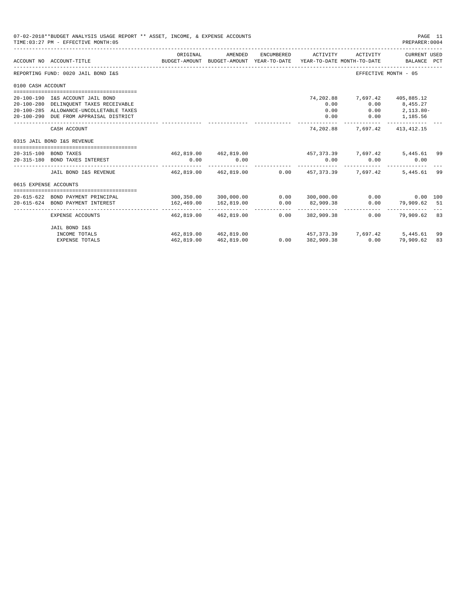|                       | 07-02-2018**BUDGET ANALYSIS USAGE REPORT ** ASSET, INCOME, & EXPENSE ACCOUNTS<br>TIME: 03:27 PM - EFFECTIVE MONTH: 05 |                                                 |                                                                                |            |                   |                                                | PAGE 11<br>PREPARER: 0004     |     |
|-----------------------|-----------------------------------------------------------------------------------------------------------------------|-------------------------------------------------|--------------------------------------------------------------------------------|------------|-------------------|------------------------------------------------|-------------------------------|-----|
|                       | ACCOUNT NO ACCOUNT-TITLE                                                                                              | ORIGINAL                                        | AMENDED<br>BUDGET-AMOUNT BUDGET-AMOUNT YEAR-TO-DATE YEAR-TO-DATE MONTH-TO-DATE | ENCUMBERED | ACTIVITY          | ACTIVITY                                       | CURRENT USED<br>BALANCE PCT   |     |
|                       | REPORTING FUND: 0020 JAIL BOND I&S                                                                                    |                                                 |                                                                                |            |                   |                                                | EFFECTIVE MONTH - 05          |     |
| 0100 CASH ACCOUNT     |                                                                                                                       |                                                 |                                                                                |            |                   |                                                |                               |     |
|                       | 20-100-190 I&S ACCOUNT JAIL BOND                                                                                      |                                                 |                                                                                |            | 74,202.88         | 7,697.42 405,885.12                            |                               |     |
|                       | 20-100-280 DELINQUENT TAXES RECEIVABLE                                                                                |                                                 |                                                                                |            | 0.00              |                                                | $0.00$ $8,455.27$             |     |
|                       | 20-100-285 ALLOWANCE-UNCOLLETABLE TAXES                                                                               |                                                 |                                                                                |            | 0.00              |                                                | $0.00$ $2,113.80-$            |     |
|                       | 20-100-290 DUE FROM APPRAISAL DISTRICT                                                                                |                                                 |                                                                                |            | 0.00              |                                                | $0.00$ 1,185.56               |     |
|                       | CASH ACCOUNT                                                                                                          |                                                 |                                                                                |            | 74,202.88         |                                                | 7,697.42 413,412.15           |     |
|                       | 0315 JAIL BOND I&S REVENUE                                                                                            |                                                 |                                                                                |            |                   |                                                |                               |     |
|                       | 20-315-100 BOND TAXES                                                                                                 |                                                 | 462,819,00 462,819,00                                                          |            |                   | 457, 373, 39 7, 697, 42                        | 5,445.61 99                   |     |
|                       | 20-315-180 BOND TAXES INTEREST                                                                                        | 0.00                                            | 0.00                                                                           |            | 0.00              | 0.00                                           | 0.00                          |     |
|                       | JAIL BOND I&S REVENUE                                                                                                 |                                                 |                                                                                |            |                   | 462,819.00 462,819.00 0.00 457,373.39 7,697.42 | 5,445.61                      | -99 |
| 0615 EXPENSE ACCOUNTS |                                                                                                                       |                                                 |                                                                                |            |                   |                                                |                               |     |
|                       |                                                                                                                       |                                                 |                                                                                |            |                   |                                                |                               |     |
|                       | 20-615-622 BOND PAYMENT PRINCIPAL                                                                                     | $300,350.00$ $300,000.00$ $0.00$ $300,000.00$   |                                                                                |            |                   |                                                | $0.00$ and $0.00$<br>0.00 100 |     |
|                       | 20-615-624 BOND PAYMENT INTEREST                                                                                      | 162,469.00<br>------------------ -------------- | 162,819.00<br>--------------                                                   | 0.00       | 82,909.38         |                                                | $0.00$ 79,909.62 51           |     |
|                       | EXPENSE ACCOUNTS                                                                                                      |                                                 | 462.819.00 462.819.00                                                          |            | $0.00$ 382,909.38 | 0.00                                           | 79,909.62 83                  |     |
|                       | JAIL BOND I&S                                                                                                         |                                                 |                                                                                |            |                   |                                                |                               |     |
|                       | INCOME TOTALS                                                                                                         |                                                 | 462.819.00 462.819.00                                                          |            |                   | 457,373,39 7,697,42 5,445.61                   |                               | 99  |
|                       | <b>EXPENSE TOTALS</b>                                                                                                 | 462,819.00                                      | 462,819.00                                                                     |            | $0.00$ 382,909.38 | 0.00                                           | 79,909.62                     | 83  |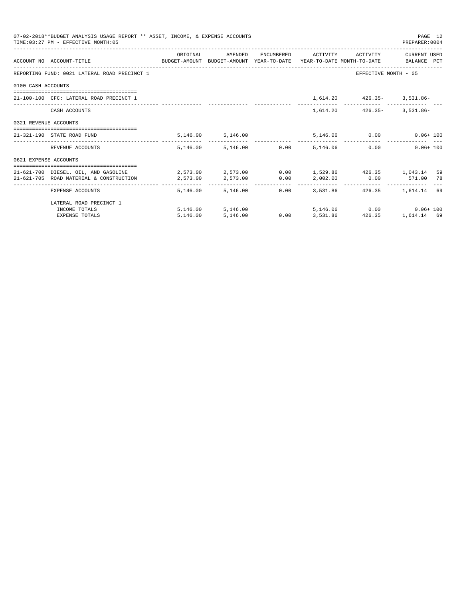|                       | 07-02-2018**BUDGET ANALYSIS USAGE REPORT ** ASSET, INCOME, & EXPENSE ACCOUNTS<br>TIME: 03:27 PM - EFFECTIVE MONTH: 05                                                                                  |          |                                 |                   |                                                                            | PAGE 12<br>PREPARER: 0004 |     |
|-----------------------|--------------------------------------------------------------------------------------------------------------------------------------------------------------------------------------------------------|----------|---------------------------------|-------------------|----------------------------------------------------------------------------|---------------------------|-----|
|                       | ACCOUNT NO ACCOUNT-TITLE COMPUTE SUDGET-AMOUNT BUDGET-AMOUNT YEAR-TO-DATE YEAR-TO-DATE MONTH-TO-DATE BALANCE PCT                                                                                       | ORIGINAL |                                 |                   | AMENDED ENCUMBERED ACTIVITY ACTIVITY                                       | CURRENT USED              |     |
|                       | REPORTING FUND: 0021 LATERAL ROAD PRECINCT 1                                                                                                                                                           |          |                                 |                   |                                                                            | EFFECTIVE MONTH - 05      |     |
| 0100 CASH ACCOUNTS    |                                                                                                                                                                                                        |          |                                 |                   |                                                                            |                           |     |
|                       | 21-100-100 CFC: LATERAL ROAD PRECINCT 1                                                                                                                                                                |          |                                 |                   | $1,614.20$ $426.35 - 3,531.86 -$                                           |                           |     |
|                       | CASH ACCOUNTS                                                                                                                                                                                          |          |                                 |                   | 1,614.20 426.35- 3,531.86-                                                 |                           |     |
| 0321 REVENUE ACCOUNTS |                                                                                                                                                                                                        |          |                                 |                   |                                                                            |                           |     |
|                       | 21-321-190 STATE ROAD FUND                                                                                                                                                                             |          | 5,146.00 5,146.00               |                   | 5,146.06 0.00 0.06+100                                                     |                           |     |
|                       | REVENUE ACCOUNTS                                                                                                                                                                                       |          | 5.146.00 5.146.00 0.00 5.146.06 |                   |                                                                            | 0.00<br>$0.06 + 100$      |     |
| 0621 EXPENSE ACCOUNTS |                                                                                                                                                                                                        |          |                                 |                   |                                                                            |                           |     |
|                       | 21-621-700 DIESEL, OIL, AND GASOLINE $2,573.00$ $2,573.00$ $0.00$ $1,529.86$ $426.35$ $1,043.14$<br>21-621-705 ROAD MATERIAL & CONSTRUCTION $2,573.00$ $2,573.00$ $0.00$ $2,002.00$ $0.00$ $571.00$ 78 |          |                                 |                   |                                                                            |                           | -59 |
|                       | EXPENSE ACCOUNTS                                                                                                                                                                                       |          | 5,146.00 5,146.00               |                   | ------------------------------<br>$0.00$ $3.531.86$ $426.35$ $1.614.14$ 69 |                           |     |
|                       | LATERAL ROAD PRECINCT 1                                                                                                                                                                                |          |                                 |                   |                                                                            |                           |     |
|                       | INCOME TOTALS                                                                                                                                                                                          |          | 5,146.00 5,146.00               |                   |                                                                            |                           |     |
|                       | <b>EXPENSE TOTALS</b>                                                                                                                                                                                  | 5.146.00 | 5,146.00                        | $0.00$ $3,531.86$ | 426.35                                                                     | 1,614.14 69               |     |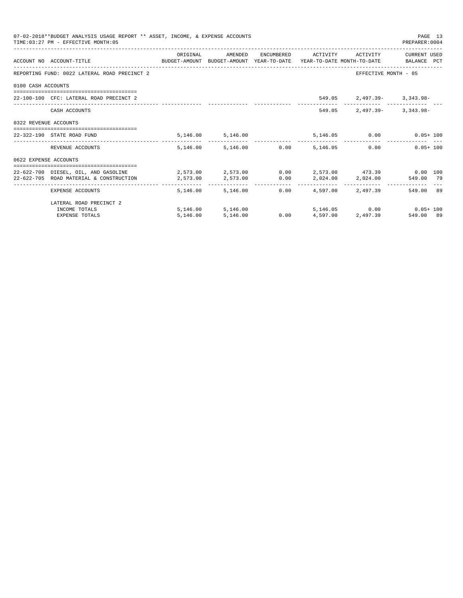|                       | 07-02-2018**BUDGET ANALYSIS USAGE REPORT ** ASSET, INCOME, & EXPENSE ACCOUNTS<br>TIME: 03:27 PM - EFFECTIVE MONTH: 05 |                                                               |                        |                   |                                         | PAGE 13<br>PREPARER: 0004 |  |
|-----------------------|-----------------------------------------------------------------------------------------------------------------------|---------------------------------------------------------------|------------------------|-------------------|-----------------------------------------|---------------------------|--|
|                       | ACCOUNT NO ACCOUNT-TITLE COMPUTE SUDGET-AMOUNT BUDGET-AMOUNT YEAR-TO-DATE YEAR-TO-DATE MONTH-TO-DATE BALANCE PCT      | ORIGINAL                                                      | AMENDED                |                   | ENCUMBERED ACTIVITY ACTIVITY            | CURRENT USED              |  |
|                       | REPORTING FUND: 0022 LATERAL ROAD PRECINCT 2                                                                          |                                                               |                        |                   |                                         | EFFECTIVE MONTH - 05      |  |
| 0100 CASH ACCOUNTS    |                                                                                                                       |                                                               |                        |                   |                                         |                           |  |
|                       | 22-100-100 CFC: LATERAL ROAD PRECINCT 2                                                                               |                                                               |                        |                   | 549.05 2,497.39- 3,343.98-              |                           |  |
|                       | CASH ACCOUNTS                                                                                                         |                                                               |                        | 549.05            |                                         | $2.497.39 - 3.343.98 -$   |  |
| 0322 REVENUE ACCOUNTS |                                                                                                                       |                                                               |                        |                   |                                         |                           |  |
|                       | 22-322-190 STATE ROAD FUND                                                                                            |                                                               | 5, 146.00 5, 146.00    |                   | 5,146.05 0.00 0.05+100                  |                           |  |
|                       | REVENUE ACCOUNTS                                                                                                      |                                                               | 5,146.00 5,146.00 0.00 | 5, 146, 05        |                                         | 0.00<br>$0.05 + 100$      |  |
| 0622 EXPENSE ACCOUNTS |                                                                                                                       |                                                               |                        |                   |                                         |                           |  |
|                       | 22-622-700 DIESEL, OIL, AND GASOLINE                                                                                  | $2,573.00$ $2,573.00$ $0.00$ $2,573.00$ $473.39$ $0.00$ $100$ |                        |                   |                                         |                           |  |
|                       | 22-622-705 ROAD MATERIAL & CONSTRUCTION 2.573.00                                                                      |                                                               |                        |                   | $2,573.00$ $0.00$ $2,024.00$ $2,024.00$ | 549.00 79                 |  |
|                       | EXPENSE ACCOUNTS                                                                                                      |                                                               | 5,146.00 5,146.00      | $0.00$ $4.597.00$ | 2,497.39                                | 549.00 89                 |  |
|                       | LATERAL ROAD PRECINCT 2                                                                                               |                                                               |                        |                   |                                         |                           |  |
|                       | INCOME TOTALS                                                                                                         |                                                               | 5,146.00 5,146.00      |                   |                                         |                           |  |
|                       | <b>EXPENSE TOTALS</b>                                                                                                 | 5.146.00                                                      | 5,146.00               | $0.00$ $4,597.00$ | 2,497.39                                | 549.00 89                 |  |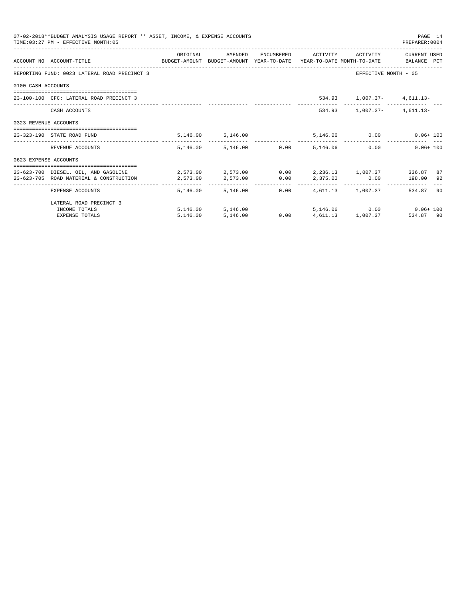|                       | 07-02-2018**BUDGET ANALYSIS USAGE REPORT ** ASSET, INCOME, & EXPENSE ACCOUNTS<br>TIME: 03:27 PM - EFFECTIVE MONTH: 05 |                                                             |                                 |  |                                                   | PAGE 14<br>PREPARER: 0004 |    |
|-----------------------|-----------------------------------------------------------------------------------------------------------------------|-------------------------------------------------------------|---------------------------------|--|---------------------------------------------------|---------------------------|----|
|                       |                                                                                                                       | ORIGINAL                                                    | AMENDED                         |  | ENCUMBERED ACTIVITY ACTIVITY                      | CURRENT USED              |    |
|                       | ACCOUNT NO ACCOUNT-TITLE CONTROL SUDGET-AMOUNT BUDGET-AMOUNT YEAR-TO-DATE YEAR-TO-DATE MONTH-TO-DATE BALANCE PCT      |                                                             |                                 |  |                                                   |                           |    |
|                       | REPORTING FUND: 0023 LATERAL ROAD PRECINCT 3                                                                          |                                                             |                                 |  | EFFECTIVE MONTH - 05                              |                           |    |
| 0100 CASH ACCOUNTS    |                                                                                                                       |                                                             |                                 |  |                                                   |                           |    |
|                       | 23-100-100 CFC: LATERAL ROAD PRECINCT 3                                                                               |                                                             |                                 |  | 534.93 1,007.37- 4,611.13-                        |                           |    |
|                       | CASH ACCOUNTS                                                                                                         |                                                             |                                 |  | $534.93$ 1,007.37- 4,611.13-                      |                           |    |
| 0323 REVENUE ACCOUNTS |                                                                                                                       |                                                             |                                 |  |                                                   |                           |    |
|                       | 23-323-190 STATE ROAD FUND                                                                                            |                                                             | 5, 146.00 5, 146.00             |  | 5,146.06 0.00                                     | $0.06 + 100$              |    |
|                       | REVENUE ACCOUNTS                                                                                                      |                                                             | 5,146.00 5,146.00 0.00 5,146.06 |  | 0.00                                              | $0.06 + 100$              |    |
| 0623 EXPENSE ACCOUNTS |                                                                                                                       |                                                             |                                 |  |                                                   |                           |    |
|                       | 23-623-700 DIESEL, OIL, AND GASOLINE                                                                                  | $2.573.00$ $2.573.00$ $0.00$ $2.236.13$ $1.007.37$ $336.87$ |                                 |  |                                                   |                           | 87 |
|                       | 23-623-705 ROAD MATERIAL & CONSTRUCTION 2.573.00                                                                      |                                                             |                                 |  | $2,573.00$ $0.00$ $2,375.00$ $0.00$ $198.00$ $92$ |                           |    |
|                       | EXPENSE ACCOUNTS                                                                                                      | -------- --                                                 | 5,146.00 5,146.00               |  | $0.00$ $4.611.13$ $1.007.37$                      | 534.87                    | 90 |
|                       | LATERAL ROAD PRECINCT 3                                                                                               |                                                             |                                 |  |                                                   |                           |    |
|                       | INCOME TOTALS                                                                                                         |                                                             | 5,146.00 5,146.00               |  | 5.146.06 0.00 0.06+100                            |                           |    |
|                       | <b>EXPENSE TOTALS</b>                                                                                                 | 5.146.00                                                    | 5,146.00                        |  | $0.00 \t 4.611.13 \t 1.007.37$                    | 534.87 90                 |    |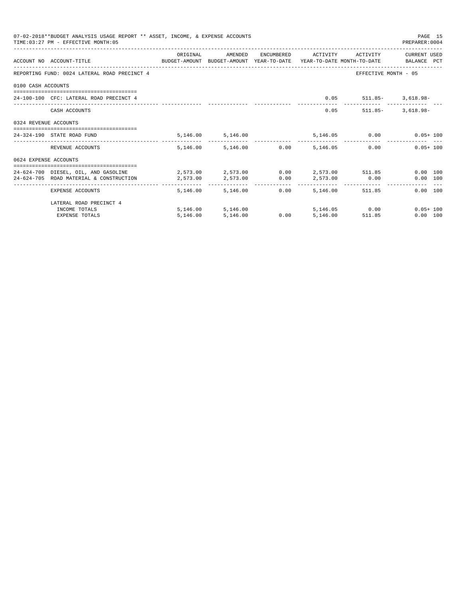|                       | 07-02-2018**BUDGET ANALYSIS USAGE REPORT ** ASSET, INCOME, & EXPENSE ACCOUNTS<br>TIME: 03:27 PM - EFFECTIVE MONTH: 05 |                                                  |                        |      |                     |                                 | PAGE 15<br>PREPARER: 0004  |
|-----------------------|-----------------------------------------------------------------------------------------------------------------------|--------------------------------------------------|------------------------|------|---------------------|---------------------------------|----------------------------|
|                       |                                                                                                                       | ORIGINAL                                         | AMENDED                |      | ENCUMBERED ACTIVITY | ACTIVITY                        | CURRENT USED               |
|                       | ACCOUNT NO ACCOUNT-TITLE<br>BUDGET-AMOUNT BUDGET-AMOUNT YEAR-TO-DATE YEAR-TO-DATE MONTH-TO-DATE BALANCE PCT           |                                                  |                        |      |                     |                                 |                            |
|                       | REPORTING FUND: 0024 LATERAL ROAD PRECINCT 4                                                                          |                                                  |                        |      |                     | EFFECTIVE MONTH - 05            |                            |
| 0100 CASH ACCOUNTS    |                                                                                                                       |                                                  |                        |      |                     |                                 |                            |
|                       | 24-100-100 CFC: LATERAL ROAD PRECINCT 4                                                                               |                                                  |                        |      |                     | $0.05$ $511.85 - 3.618.98 -$    |                            |
|                       | CASH ACCOUNTS                                                                                                         |                                                  |                        |      |                     | $0.05$ 511.85-                  | $3.618.98 -$               |
| 0324 REVENUE ACCOUNTS |                                                                                                                       |                                                  |                        |      |                     |                                 |                            |
|                       | 24-324-190 STATE ROAD FUND                                                                                            |                                                  | 5,146.00 5,146.00      |      |                     |                                 | 5,146.05   0.00   0.05+100 |
|                       | REVENUE ACCOUNTS                                                                                                      |                                                  | 5,146.00 5,146.00 0.00 |      | 5,146.05            | 0.00                            | $0.05 + 100$               |
| 0624 EXPENSE ACCOUNTS |                                                                                                                       |                                                  |                        |      |                     |                                 |                            |
|                       | 24-624-700 DIESEL, OIL, AND GASOLINE                                                                                  | $2.573.00$ $2.573.00$ $0.00$ $2.573.00$ $511.85$ |                        |      |                     |                                 | $0.00$ 100                 |
|                       | 24-624-705 ROAD MATERIAL & CONSTRUCTION                                                                               | 2,573.00                                         | 2,573.00               | 0.00 |                     | 2,573.00 0.00                   | 0.00 100                   |
|                       | EXPENSE ACCOUNTS                                                                                                      |                                                  | 5, 146.00 5, 146.00    | 0.00 |                     | ------------<br>5.146.00 511.85 | $0.00$ 100                 |
|                       | LATERAL ROAD PRECINCT 4                                                                                               |                                                  |                        |      |                     |                                 |                            |
|                       | INCOME TOTALS                                                                                                         |                                                  | 5, 146, 00 5, 146, 00  |      |                     | 5, 146.05 0.00                  | $0.05 + 100$               |
|                       | <b>EXPENSE TOTALS</b>                                                                                                 | 5,146.00                                         | 5,146.00               | 0.00 | 5.146.00            | 511.85                          | 0.00 100                   |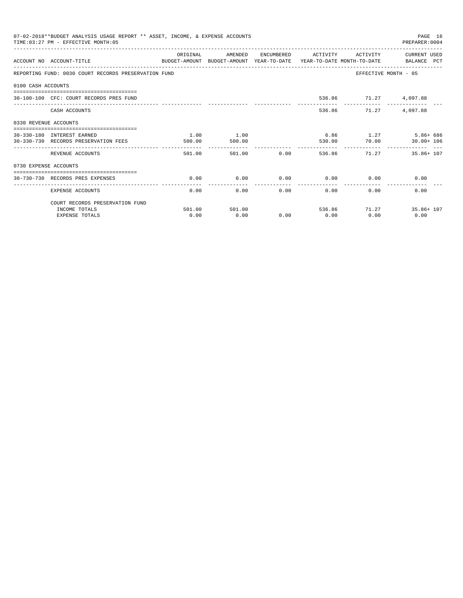| 07-02-2018**BUDGET ANALYSIS USAGE REPORT ** ASSET, INCOME, & EXPENSE ACCOUNTS<br>PAGE 16<br>TIME: 03:27 PM - EFFECTIVE MONTH: 05<br>PREPARER: 0004<br>ORIGINAL<br>AMENDED<br>ENCUMBERED ACTIVITY<br>ACTIVITY CURRENT USED<br>ACCOUNT NO ACCOUNT-TITLE<br>BUDGET-AMOUNT BUDGET-AMOUNT YEAR-TO-DATE YEAR-TO-DATE MONTH-TO-DATE BALANCE PCT<br>REPORTING FUND: 0030 COURT RECORDS PRESERVATION FUND<br>EFFECTIVE MONTH - 05<br>0100 CASH ACCOUNTS<br>536.86 71.27 4,097.88<br>30-100-100 CFC: COURT RECORDS PRES FUND<br>CASH ACCOUNTS<br>536.86 71.27<br>4,097.88<br>0330 REVENUE ACCOUNTS<br>1.00<br>1.00<br>6.86 1.27 5.86+686<br>30-330-180 INTEREST EARNED<br>70.00<br>30-330-730 RECORDS PRESERVATION FEES<br>$30.00 + 106$<br>500.00<br>500.00<br>530.00<br>0.00<br>501.00<br>501.00<br>536.86 71.27 35.86+107<br>REVENUE ACCOUNTS<br>0730 EXPENSE ACCOUNTS<br>===============================<br>0.00<br>0.00<br>$0.00$ 0.00<br>0.00<br>0.00<br>30-730-730 RECORDS PRES EXPENSES<br>------------<br>-------------<br>0.00<br>0.00<br>0.00<br>0.00<br>0.00<br>0.00<br>EXPENSE ACCOUNTS |        |        |      |      |              |               |  |
|--------------------------------------------------------------------------------------------------------------------------------------------------------------------------------------------------------------------------------------------------------------------------------------------------------------------------------------------------------------------------------------------------------------------------------------------------------------------------------------------------------------------------------------------------------------------------------------------------------------------------------------------------------------------------------------------------------------------------------------------------------------------------------------------------------------------------------------------------------------------------------------------------------------------------------------------------------------------------------------------------------------------------------------------------------------------------------------------|--------|--------|------|------|--------------|---------------|--|
|                                                                                                                                                                                                                                                                                                                                                                                                                                                                                                                                                                                                                                                                                                                                                                                                                                                                                                                                                                                                                                                                                            |        |        |      |      |              |               |  |
|                                                                                                                                                                                                                                                                                                                                                                                                                                                                                                                                                                                                                                                                                                                                                                                                                                                                                                                                                                                                                                                                                            |        |        |      |      |              |               |  |
|                                                                                                                                                                                                                                                                                                                                                                                                                                                                                                                                                                                                                                                                                                                                                                                                                                                                                                                                                                                                                                                                                            |        |        |      |      |              |               |  |
|                                                                                                                                                                                                                                                                                                                                                                                                                                                                                                                                                                                                                                                                                                                                                                                                                                                                                                                                                                                                                                                                                            |        |        |      |      |              |               |  |
|                                                                                                                                                                                                                                                                                                                                                                                                                                                                                                                                                                                                                                                                                                                                                                                                                                                                                                                                                                                                                                                                                            |        |        |      |      |              |               |  |
|                                                                                                                                                                                                                                                                                                                                                                                                                                                                                                                                                                                                                                                                                                                                                                                                                                                                                                                                                                                                                                                                                            |        |        |      |      |              |               |  |
|                                                                                                                                                                                                                                                                                                                                                                                                                                                                                                                                                                                                                                                                                                                                                                                                                                                                                                                                                                                                                                                                                            |        |        |      |      |              |               |  |
|                                                                                                                                                                                                                                                                                                                                                                                                                                                                                                                                                                                                                                                                                                                                                                                                                                                                                                                                                                                                                                                                                            |        |        |      |      |              |               |  |
|                                                                                                                                                                                                                                                                                                                                                                                                                                                                                                                                                                                                                                                                                                                                                                                                                                                                                                                                                                                                                                                                                            |        |        |      |      |              |               |  |
|                                                                                                                                                                                                                                                                                                                                                                                                                                                                                                                                                                                                                                                                                                                                                                                                                                                                                                                                                                                                                                                                                            |        |        |      |      |              |               |  |
|                                                                                                                                                                                                                                                                                                                                                                                                                                                                                                                                                                                                                                                                                                                                                                                                                                                                                                                                                                                                                                                                                            |        |        |      |      |              |               |  |
|                                                                                                                                                                                                                                                                                                                                                                                                                                                                                                                                                                                                                                                                                                                                                                                                                                                                                                                                                                                                                                                                                            |        |        |      |      |              |               |  |
|                                                                                                                                                                                                                                                                                                                                                                                                                                                                                                                                                                                                                                                                                                                                                                                                                                                                                                                                                                                                                                                                                            |        |        |      |      |              |               |  |
| COURT RECORDS PRESERVATION FUND                                                                                                                                                                                                                                                                                                                                                                                                                                                                                                                                                                                                                                                                                                                                                                                                                                                                                                                                                                                                                                                            |        |        |      |      |              |               |  |
| INCOME TOTALS                                                                                                                                                                                                                                                                                                                                                                                                                                                                                                                                                                                                                                                                                                                                                                                                                                                                                                                                                                                                                                                                              | 501.00 | 501.00 |      |      | 536.86 71.27 | $35.86 + 107$ |  |
| <b>EXPENSE TOTALS</b>                                                                                                                                                                                                                                                                                                                                                                                                                                                                                                                                                                                                                                                                                                                                                                                                                                                                                                                                                                                                                                                                      | 0.00   | 0.00   | 0.00 | 0.00 | 0.00         | 0.00          |  |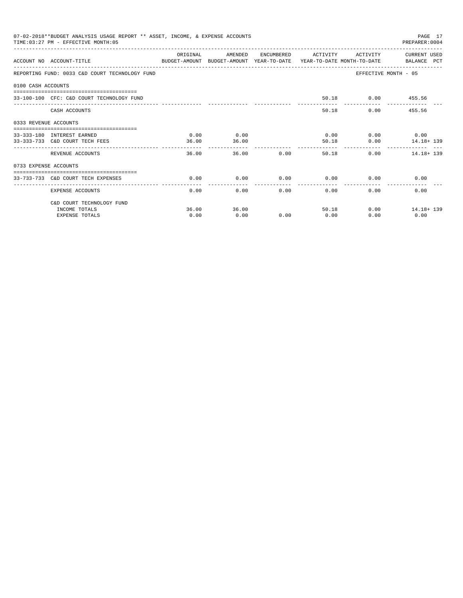| 07-02-2018**BUDGET ANALYSIS USAGE REPORT ** ASSET, INCOME, & EXPENSE ACCOUNTS<br>PAGE 17<br>TIME: 03:27 PM - EFFECTIVE MONTH: 05<br>PREPARER: 0004<br>OR TGTNAL<br>AMENDED<br>CURRENT USED<br>ENCUMBERED<br>ACTIVITY<br>ACTIVITY<br>ACCOUNT NO ACCOUNT-TITLE CONTROL SUDGET-AMOUNT BUDGET-AMOUNT YEAR-TO-DATE YEAR-TO-DATE MONTH-TO-DATE BALANCE PCT<br>EFFECTIVE MONTH - 05<br>REPORTING FUND: 0033 C&D COURT TECHNOLOGY FUND<br>0100 CASH ACCOUNTS<br>50.18 0.00 455.56<br>33-100-100 CFC: C&D COURT TECHNOLOGY FUND<br>0.00<br>455.56<br>CASH ACCOUNTS<br>50.18<br>0333 REVENUE ACCOUNTS<br>0.00<br>0.00<br>$0.00$ 0.00<br>33-333-180 INTEREST EARNED<br>0.00<br>33-333-733 C&D COURT TECH FEES<br>36.00<br>36.00<br>50.18<br>0.00<br>14.18+ 139<br>-----------<br>-------------<br>36.00<br>0.00<br>0.00<br>36.00<br>50.18<br>14.18+ 139<br>REVENUE ACCOUNTS<br>0733 EXPENSE ACCOUNTS<br>-------------------------------------<br>0.00<br>0.00<br>0.00<br>0.00<br>0.00<br>0.00<br>33-733-733 C&D COURT TECH EXPENSES<br>. <u>.</u> .<br>--------------<br>-------------<br>0.00<br>0.00<br>0.00<br>$0.00 -$<br>0.00<br>EXPENSE ACCOUNTS<br>0.00 |       |       |      |       |      |                  |  |  |
|-----------------------------------------------------------------------------------------------------------------------------------------------------------------------------------------------------------------------------------------------------------------------------------------------------------------------------------------------------------------------------------------------------------------------------------------------------------------------------------------------------------------------------------------------------------------------------------------------------------------------------------------------------------------------------------------------------------------------------------------------------------------------------------------------------------------------------------------------------------------------------------------------------------------------------------------------------------------------------------------------------------------------------------------------------------------------------------------------------------------------------------------------------|-------|-------|------|-------|------|------------------|--|--|
|                                                                                                                                                                                                                                                                                                                                                                                                                                                                                                                                                                                                                                                                                                                                                                                                                                                                                                                                                                                                                                                                                                                                                     |       |       |      |       |      |                  |  |  |
|                                                                                                                                                                                                                                                                                                                                                                                                                                                                                                                                                                                                                                                                                                                                                                                                                                                                                                                                                                                                                                                                                                                                                     |       |       |      |       |      |                  |  |  |
|                                                                                                                                                                                                                                                                                                                                                                                                                                                                                                                                                                                                                                                                                                                                                                                                                                                                                                                                                                                                                                                                                                                                                     |       |       |      |       |      |                  |  |  |
|                                                                                                                                                                                                                                                                                                                                                                                                                                                                                                                                                                                                                                                                                                                                                                                                                                                                                                                                                                                                                                                                                                                                                     |       |       |      |       |      |                  |  |  |
|                                                                                                                                                                                                                                                                                                                                                                                                                                                                                                                                                                                                                                                                                                                                                                                                                                                                                                                                                                                                                                                                                                                                                     |       |       |      |       |      |                  |  |  |
|                                                                                                                                                                                                                                                                                                                                                                                                                                                                                                                                                                                                                                                                                                                                                                                                                                                                                                                                                                                                                                                                                                                                                     |       |       |      |       |      |                  |  |  |
|                                                                                                                                                                                                                                                                                                                                                                                                                                                                                                                                                                                                                                                                                                                                                                                                                                                                                                                                                                                                                                                                                                                                                     |       |       |      |       |      |                  |  |  |
|                                                                                                                                                                                                                                                                                                                                                                                                                                                                                                                                                                                                                                                                                                                                                                                                                                                                                                                                                                                                                                                                                                                                                     |       |       |      |       |      |                  |  |  |
|                                                                                                                                                                                                                                                                                                                                                                                                                                                                                                                                                                                                                                                                                                                                                                                                                                                                                                                                                                                                                                                                                                                                                     |       |       |      |       |      |                  |  |  |
|                                                                                                                                                                                                                                                                                                                                                                                                                                                                                                                                                                                                                                                                                                                                                                                                                                                                                                                                                                                                                                                                                                                                                     |       |       |      |       |      |                  |  |  |
|                                                                                                                                                                                                                                                                                                                                                                                                                                                                                                                                                                                                                                                                                                                                                                                                                                                                                                                                                                                                                                                                                                                                                     |       |       |      |       |      |                  |  |  |
|                                                                                                                                                                                                                                                                                                                                                                                                                                                                                                                                                                                                                                                                                                                                                                                                                                                                                                                                                                                                                                                                                                                                                     |       |       |      |       |      |                  |  |  |
| C&D COURT TECHNOLOGY FUND                                                                                                                                                                                                                                                                                                                                                                                                                                                                                                                                                                                                                                                                                                                                                                                                                                                                                                                                                                                                                                                                                                                           |       |       |      |       |      |                  |  |  |
| INCOME TOTALS                                                                                                                                                                                                                                                                                                                                                                                                                                                                                                                                                                                                                                                                                                                                                                                                                                                                                                                                                                                                                                                                                                                                       | 36.00 | 36.00 |      | 50.18 |      | $0.00$ 14.18+139 |  |  |
| <b>EXPENSE TOTALS</b>                                                                                                                                                                                                                                                                                                                                                                                                                                                                                                                                                                                                                                                                                                                                                                                                                                                                                                                                                                                                                                                                                                                               | 0.00  | 0.00  | 0.00 | 0.00  | 0.00 | 0.00             |  |  |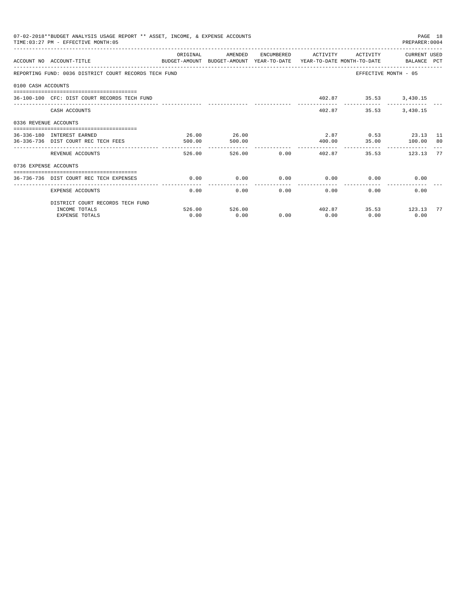|                       | 07-02-2018**BUDGET ANALYSIS USAGE REPORT ** ASSET, INCOME, & EXPENSE ACCOUNTS<br>TIME: 03:27 PM - EFFECTIVE MONTH: 05 |          |               |        |                          |                             | PAGE 18<br>PREPARER: 0004 |    |
|-----------------------|-----------------------------------------------------------------------------------------------------------------------|----------|---------------|--------|--------------------------|-----------------------------|---------------------------|----|
|                       | ACCOUNT NO ACCOUNT-TITLE<br>BUDGET-AMOUNT BUDGET-AMOUNT YEAR-TO-DATE YEAR-TO-DATE MONTH-TO-DATE BALANCE PCT           | ORIGINAL | AMENDED       |        | ENCUMBERED ACTIVITY      | ACTIVITY                    | CURRENT USED              |    |
|                       | REPORTING FUND: 0036 DISTRICT COURT RECORDS TECH FUND                                                                 |          |               |        |                          | EFFECTIVE MONTH - 05        |                           |    |
| 0100 CASH ACCOUNTS    |                                                                                                                       |          |               |        |                          |                             |                           |    |
|                       | 36-100-100 CFC: DIST COURT RECORDS TECH FUND                                                                          |          |               |        |                          | 402.87 35.53 3,430.15       |                           |    |
|                       | CASH ACCOUNTS                                                                                                         |          |               |        | 402.87                   | 35.53                       | 3,430.15                  |    |
| 0336 REVENUE ACCOUNTS |                                                                                                                       |          |               |        |                          |                             |                           |    |
|                       | 36-336-180 INTEREST EARNED                                                                                            | 26.00    | 26.00         |        |                          | 2.87 0.53 23.13 11          |                           |    |
|                       | 36-336-736 DIST COURT REC TECH FEES                                                                                   | 500.00   | 500.00        |        | 400.00                   |                             | 35.00    100.00    80     |    |
|                       | REVENUE ACCOUNTS                                                                                                      | 526.00   |               | 526.00 | $0.00$ 402.87            | 35.53                       | 123.13                    | 77 |
| 0736 EXPENSE ACCOUNTS |                                                                                                                       |          |               |        |                          |                             |                           |    |
|                       | 36-736-736 DIST COURT REC TECH EXPENSES                                                                               | 0.00     | 0.00          |        |                          | $0.00$ $0.00$ $0.00$ $0.00$ | 0.00                      |    |
|                       | -------------------------------------<br>EXPENSE ACCOUNTS                                                             | 0.00     |               | 0.00   | ----------------<br>0.00 | 0.00<br>0.00                | 0.00                      |    |
|                       | DISTRICT COURT RECORDS TECH FUND                                                                                      |          |               |        |                          |                             |                           |    |
|                       | INCOME TOTALS                                                                                                         |          | 526.00 526.00 |        |                          | 402.87 35.53 123.13         |                           | 77 |
|                       | <b>EXPENSE TOTALS</b>                                                                                                 | 0.00     | 0.00          | 0.00   | 0.00                     | 0.00                        | 0.00                      |    |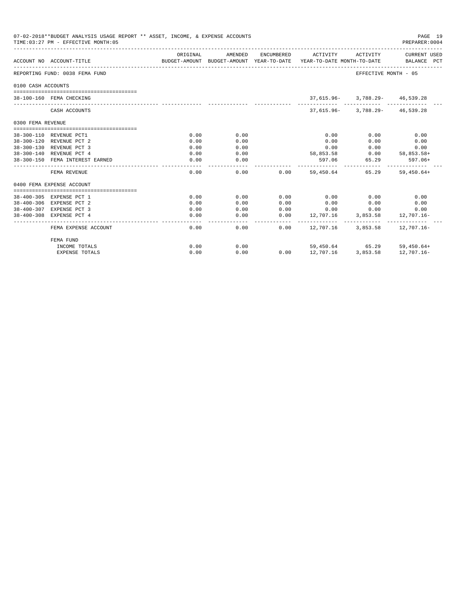|                    | 07-02-2018**BUDGET ANALYSIS USAGE REPORT ** ASSET, INCOME, & EXPENSE ACCOUNTS<br>TIME:03:27 PM - EFFECTIVE MONTH:05 |          |               |      |                                           |                                    | PAGE 19<br>PREPARER:0004 |  |
|--------------------|---------------------------------------------------------------------------------------------------------------------|----------|---------------|------|-------------------------------------------|------------------------------------|--------------------------|--|
|                    | ACCOUNT NO ACCOUNT-TITLE<br>BUDGET-AMOUNT BUDGET-AMOUNT YEAR-TO-DATE YEAR-TO-DATE MONTH-TO-DATE     BALANCE PCT     | ORIGINAL | AMENDED       |      | ENCUMBERED ACTIVITY ACTIVITY CURRENT USED |                                    |                          |  |
|                    | REPORTING FUND: 0038 FEMA FUND                                                                                      |          |               |      |                                           | EFFECTIVE MONTH - 05               |                          |  |
| 0100 CASH ACCOUNTS |                                                                                                                     |          |               |      |                                           |                                    |                          |  |
|                    |                                                                                                                     |          |               |      |                                           |                                    |                          |  |
|                    | 38-100-160 FEMA CHECKING                                                                                            |          |               |      |                                           | 37,615.96- 3,788.29- 46,539.28     |                          |  |
|                    | CASH ACCOUNTS                                                                                                       |          |               |      |                                           | $37.615.96 - 3.788.29 - 46.539.28$ |                          |  |
| 0300 FEMA REVENUE  |                                                                                                                     |          |               |      |                                           |                                    |                          |  |
|                    |                                                                                                                     |          |               |      |                                           |                                    |                          |  |
|                    | 38-300-110 REVENUE PCT1                                                                                             | 0.00     | 0.00          |      | 0.00                                      | 0.00                               | 0.00                     |  |
|                    | 38-300-120 REVENUE PCT 2                                                                                            | 0.00     | 0.00          |      | 0.00                                      | 0.00                               | 0.00                     |  |
|                    | 38-300-130 REVENUE PCT 3                                                                                            | 0.00     | 0.00          |      | 0.00                                      | 0.00                               | 0.00                     |  |
|                    | 38-300-140 REVENUE PCT 4                                                                                            | 0.00     | 0.00          |      |                                           | 58,853.58 0.00 58,853.58+          |                          |  |
|                    | 38-300-150 FEMA INTEREST EARNED                                                                                     | 0.00     | 0.00          |      |                                           | 597.06 65.29                       | $597.06+$                |  |
|                    | FEMA REVENUE                                                                                                        | 0.00     | 0.00          |      | $0.00$ 59.450.64 65.29 59.450.64+         |                                    |                          |  |
|                    | 0400 FEMA EXPENSE ACCOUNT                                                                                           |          |               |      |                                           |                                    |                          |  |
|                    | 38-400-305 EXPENSE PCT 1                                                                                            | 0.00     | 0.00          | 0.00 | 0.00                                      | 0.00                               | 0.00                     |  |
|                    | 38-400-306 EXPENSE PCT 2                                                                                            | 0.00     | 0.00          | 0.00 | 0.00                                      | 0.00                               | 0.00                     |  |
|                    | 38-400-307 EXPENSE PCT 3                                                                                            | 0.00     | 0.00          | 0.00 | 0.00                                      | 0.00                               | 0.00                     |  |
|                    | 38-400-308 EXPENSE PCT 4                                                                                            | 0.00     | 0.00          |      | $0.00$ 12,707.16                          |                                    | 3,853.58 12,707.16-      |  |
|                    | FEMA EXPENSE ACCOUNT                                                                                                | 0.00     | ------------- | 0.00 | $0.00$ 12,707.16 3,853.58 12,707.16-      |                                    |                          |  |
|                    | FEMA FUND                                                                                                           |          |               |      |                                           |                                    |                          |  |
|                    | INCOME TOTALS                                                                                                       | 0.00     | 0.00          |      |                                           | 59,450.64 65.29 59,450.64+         |                          |  |
|                    | <b>EXPENSE TOTALS</b>                                                                                               | 0.00     | 0.00          | 0.00 | 12,707.16                                 |                                    | 3,853.58 12,707.16-      |  |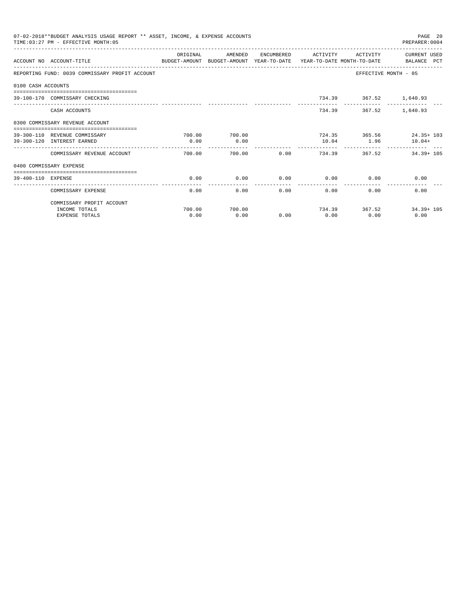| 07-02-2018**BUDGET ANALYSIS USAGE REPORT ** ASSET, INCOME, & EXPENSE ACCOUNTS<br>PAGE 20<br>TIME: 03:27 PM - EFFECTIVE MONTH: 05<br>PREPARER: 0004<br>CURRENT USED<br>OR TGTNAL<br>AMENDED<br>ENCUMBERED<br>ACTIVITY<br>ACTIVITY<br>ACCOUNT NO ACCOUNT-TITLE<br>BUDGET-AMOUNT BUDGET-AMOUNT YEAR-TO-DATE YEAR-TO-DATE MONTH-TO-DATE BALANCE PCT<br>EFFECTIVE MONTH - 05<br>REPORTING FUND: 0039 COMMISSARY PROFIT ACCOUNT<br>0100 CASH ACCOUNTS<br>734.39 367.52 1,640.93<br>39-100-170 COMMISSARY CHECKING<br>734.39 367.52 1.640.93<br>CASH ACCOUNTS<br>0300 COMMISSARY REVENUE ACCOUNT<br>724.35 365.56 24.35+ 103<br>700.00<br>39-300-110 REVENUE COMMISSARY<br>700.00<br>39-300-120 INTEREST EARNED<br>0.00<br>0.00<br>10.04 1.96<br>$10.04+$<br>-------------<br>0.00<br>734.39 367.52 34.39 + 105<br>700.00<br>700.00<br>COMMISSARY REVENUE ACCOUNT<br>0400 COMMISSARY EXPENSE<br>0.00<br>0.00<br>0.00<br>0.00<br>0.00<br>0.00<br>39-400-110 EXPENSE<br>-------------<br>------------<br>0.00<br>0.00<br>0.00<br>COMMISSARY EXPENSE<br>0.00<br>0.00<br>0.00 |        |        |      |      |               |               |  |
|--------------------------------------------------------------------------------------------------------------------------------------------------------------------------------------------------------------------------------------------------------------------------------------------------------------------------------------------------------------------------------------------------------------------------------------------------------------------------------------------------------------------------------------------------------------------------------------------------------------------------------------------------------------------------------------------------------------------------------------------------------------------------------------------------------------------------------------------------------------------------------------------------------------------------------------------------------------------------------------------------------------------------------------------------------------------|--------|--------|------|------|---------------|---------------|--|
|                                                                                                                                                                                                                                                                                                                                                                                                                                                                                                                                                                                                                                                                                                                                                                                                                                                                                                                                                                                                                                                                    |        |        |      |      |               |               |  |
|                                                                                                                                                                                                                                                                                                                                                                                                                                                                                                                                                                                                                                                                                                                                                                                                                                                                                                                                                                                                                                                                    |        |        |      |      |               |               |  |
|                                                                                                                                                                                                                                                                                                                                                                                                                                                                                                                                                                                                                                                                                                                                                                                                                                                                                                                                                                                                                                                                    |        |        |      |      |               |               |  |
|                                                                                                                                                                                                                                                                                                                                                                                                                                                                                                                                                                                                                                                                                                                                                                                                                                                                                                                                                                                                                                                                    |        |        |      |      |               |               |  |
|                                                                                                                                                                                                                                                                                                                                                                                                                                                                                                                                                                                                                                                                                                                                                                                                                                                                                                                                                                                                                                                                    |        |        |      |      |               |               |  |
|                                                                                                                                                                                                                                                                                                                                                                                                                                                                                                                                                                                                                                                                                                                                                                                                                                                                                                                                                                                                                                                                    |        |        |      |      |               |               |  |
|                                                                                                                                                                                                                                                                                                                                                                                                                                                                                                                                                                                                                                                                                                                                                                                                                                                                                                                                                                                                                                                                    |        |        |      |      |               |               |  |
|                                                                                                                                                                                                                                                                                                                                                                                                                                                                                                                                                                                                                                                                                                                                                                                                                                                                                                                                                                                                                                                                    |        |        |      |      |               |               |  |
|                                                                                                                                                                                                                                                                                                                                                                                                                                                                                                                                                                                                                                                                                                                                                                                                                                                                                                                                                                                                                                                                    |        |        |      |      |               |               |  |
|                                                                                                                                                                                                                                                                                                                                                                                                                                                                                                                                                                                                                                                                                                                                                                                                                                                                                                                                                                                                                                                                    |        |        |      |      |               |               |  |
|                                                                                                                                                                                                                                                                                                                                                                                                                                                                                                                                                                                                                                                                                                                                                                                                                                                                                                                                                                                                                                                                    |        |        |      |      |               |               |  |
|                                                                                                                                                                                                                                                                                                                                                                                                                                                                                                                                                                                                                                                                                                                                                                                                                                                                                                                                                                                                                                                                    |        |        |      |      |               |               |  |
| COMMISSARY PROFIT ACCOUNT                                                                                                                                                                                                                                                                                                                                                                                                                                                                                                                                                                                                                                                                                                                                                                                                                                                                                                                                                                                                                                          |        |        |      |      |               |               |  |
| INCOME TOTALS                                                                                                                                                                                                                                                                                                                                                                                                                                                                                                                                                                                                                                                                                                                                                                                                                                                                                                                                                                                                                                                      | 700.00 | 700.00 |      |      | 734.39 367.52 | $34.39 + 105$ |  |
| <b>EXPENSE TOTALS</b>                                                                                                                                                                                                                                                                                                                                                                                                                                                                                                                                                                                                                                                                                                                                                                                                                                                                                                                                                                                                                                              | 0.00   | 0.00   | 0.00 | 0.00 | 0.00          | 0.00          |  |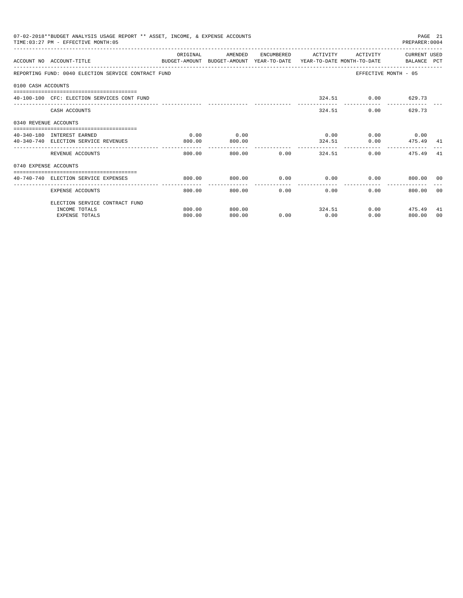|                       | 07-02-2018**BUDGET ANALYSIS USAGE REPORT ** ASSET, INCOME, & EXPENSE ACCOUNTS<br>TIME: 03:27 PM - EFFECTIVE MONTH: 05 |          |         |             |                                      |                                                  | PREPARER: 0004       | PAGE 21 |
|-----------------------|-----------------------------------------------------------------------------------------------------------------------|----------|---------|-------------|--------------------------------------|--------------------------------------------------|----------------------|---------|
|                       | ACCOUNT NO ACCOUNT-TITLE<br>BUDGET-AMOUNT BUDGET-AMOUNT YEAR-TO-DATE YEAR-TO-DATE MONTH-TO-DATE   BALANCE PCT         | ORIGINAL | AMENDED |             | ENCUMBERED ACTIVITY                  | ACTIVITY                                         | CURRENT USED         |         |
|                       | REPORTING FUND: 0040 ELECTION SERVICE CONTRACT FUND                                                                   |          |         |             |                                      |                                                  | EFFECTIVE MONTH - 05 |         |
| 0100 CASH ACCOUNTS    |                                                                                                                       |          |         |             |                                      |                                                  |                      |         |
|                       | 40-100-100 CFC: ELECTION SERVICES CONT FUND                                                                           |          |         |             |                                      | 324.51 0.00 629.73                               |                      |         |
|                       | CASH ACCOUNTS                                                                                                         |          |         |             |                                      | 324.51                                           | $0.00$ 629.73        |         |
| 0340 REVENUE ACCOUNTS |                                                                                                                       |          |         |             |                                      |                                                  |                      |         |
|                       | 40-340-180 INTEREST EARNED                                                                                            | 0.00     | 0.00    |             |                                      | $0.00$ $0.00$ $0.00$ $0.00$                      |                      |         |
|                       | 40-340-740 ELECTION SERVICE REVENUES                                                                                  | 800.00   | 800.00  |             |                                      | 324.51                                           | $0.00$ $475.49$ $41$ |         |
|                       | REVENUE ACCOUNTS                                                                                                      | 800.00   |         | 800.00 0.00 |                                      | 324.51                                           | 0.00<br>475.49       | -41     |
| 0740 EXPENSE ACCOUNTS |                                                                                                                       |          |         |             |                                      |                                                  |                      |         |
|                       | 40-740-740 ELECTION SERVICE EXPENSES                                                                                  | 800.00   | 800.00  |             |                                      | $0.00$ $0.00$ $0.00$ $0.00$ $0.00$ $0.00$ $0.00$ |                      |         |
|                       | EXPENSE ACCOUNTS                                                                                                      | 800.00   | 800.00  |             | ---------------<br>$0.00$ and $0.00$ | 0.00<br>$0.00 -$                                 | 800.00 00            |         |
|                       | ELECTION SERVICE CONTRACT FUND                                                                                        |          |         |             |                                      |                                                  |                      |         |
|                       | INCOME TOTALS                                                                                                         | 800.00   | 800.00  |             |                                      | 324.51                                           | $0.00$ 475.49        | 41      |
|                       | <b>EXPENSE TOTALS</b>                                                                                                 | 800.00   | 800.00  | 0.00        | 0.00                                 | 0.00                                             | 800.00               | 00      |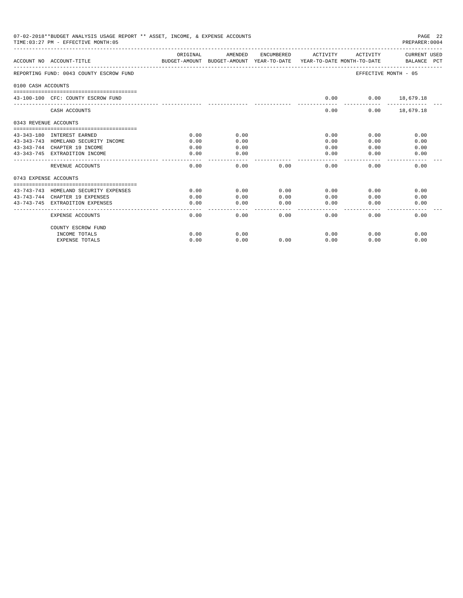|                       | 07-02-2018**BUDGET ANALYSIS USAGE REPORT ** ASSET, INCOME, & EXPENSE ACCOUNTS<br>PAGE 22<br>TIME: 03:27 PM - EFFECTIVE MONTH: 05<br>PREPARER: 0004 |          |           |                        |                       |                      |                             |  |  |  |
|-----------------------|----------------------------------------------------------------------------------------------------------------------------------------------------|----------|-----------|------------------------|-----------------------|----------------------|-----------------------------|--|--|--|
|                       | ACCOUNT NO ACCOUNT-TITLE<br>BUDGET-AMOUNT BUDGET-AMOUNT YEAR-TO-DATE YEAR-TO-DATE MONTH-TO-DATE                                                    | ORIGINAL | AMENDED   | ENCUMBERED             | ACTIVITY              | ACTIVITY             | CURRENT USED<br>BALANCE PCT |  |  |  |
|                       | REPORTING FUND: 0043 COUNTY ESCROW FUND                                                                                                            |          |           |                        |                       | EFFECTIVE MONTH - 05 |                             |  |  |  |
| 0100 CASH ACCOUNTS    |                                                                                                                                                    |          |           |                        |                       |                      |                             |  |  |  |
|                       | 43-100-100 CFC: COUNTY ESCROW FUND                                                                                                                 |          |           |                        | 0.00                  | $0.00$ 18,679.18     |                             |  |  |  |
|                       | CASH ACCOUNTS                                                                                                                                      |          |           |                        | 0.00                  |                      | $0.00$ 18,679.18            |  |  |  |
| 0343 REVENUE ACCOUNTS |                                                                                                                                                    |          |           |                        |                       |                      |                             |  |  |  |
|                       | 43-343-180 INTEREST EARNED                                                                                                                         | 0.00     | 0.00      |                        | 0.00                  | 0.00                 | 0.00                        |  |  |  |
|                       | 43-343-743 HOMELAND SECURITY INCOME                                                                                                                | 0.00     | 0.00      |                        | 0.00                  | 0.00                 | 0.00                        |  |  |  |
|                       | 43-343-744 CHAPTER 19 INCOME                                                                                                                       | 0.00     | 0.00      |                        | 0.00                  | 0.00                 | 0.00                        |  |  |  |
|                       | 43-343-745 EXTRADITION INCOME                                                                                                                      | 0.00     | 0.00      |                        | 0.00                  | 0.00                 | 0.00                        |  |  |  |
|                       | REVENUE ACCOUNTS                                                                                                                                   | 0.00     | 0.00      | 0.00                   | 0.00                  | 0.00                 | 0.00                        |  |  |  |
| 0743 EXPENSE ACCOUNTS |                                                                                                                                                    |          |           |                        |                       |                      |                             |  |  |  |
|                       | 43-743-743 HOMELAND SECURITY EXPENSES                                                                                                              | 0.00     | 0.00      | 0.00                   | 0.00                  | 0.00                 | 0.00                        |  |  |  |
|                       | 43-743-744 CHAPTER 19 EXPENSES                                                                                                                     | 0.00     | 0.00      | 0.00                   | 0.00                  | 0.00                 | 0.00                        |  |  |  |
|                       | 43-743-745 EXTRADITION EXPENSES                                                                                                                    | 0.00     | 0.00<br>. | 0.00<br>المامات ماليات | 0.00<br>$\frac{1}{2}$ | 0.00                 | 0.00                        |  |  |  |
|                       | EXPENSE ACCOUNTS                                                                                                                                   | 0.00     | 0.00      | 0.00                   | 0.00                  | 0.00                 | 0.00                        |  |  |  |
|                       | COUNTY ESCROW FUND                                                                                                                                 |          |           |                        |                       |                      |                             |  |  |  |
|                       | INCOME TOTALS                                                                                                                                      | 0.00     | 0.00      |                        | 0.00                  | 0.00                 | 0.00                        |  |  |  |
|                       | <b>EXPENSE TOTALS</b>                                                                                                                              | 0.00     | 0.00      | 0.00                   | 0.00                  | 0.00                 | 0.00                        |  |  |  |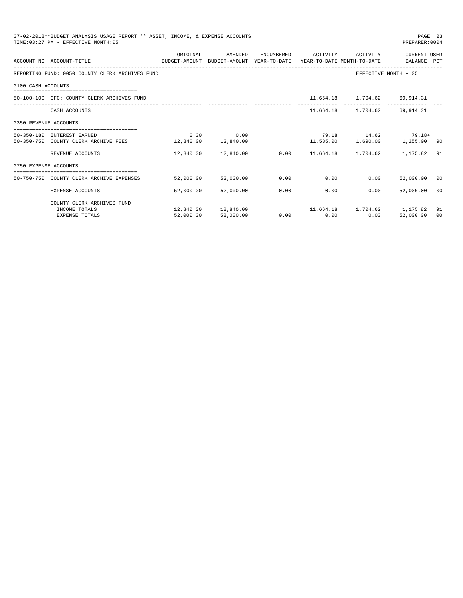|                       | 07-02-2018**BUDGET ANALYSIS USAGE REPORT ** ASSET, INCOME, & EXPENSE ACCOUNTS<br>TIME: 03:27 PM - EFFECTIVE MONTH: 05 |                                             |                     |                                                                     |                                    | PAGE 23<br>PREPARER:0004 |                |
|-----------------------|-----------------------------------------------------------------------------------------------------------------------|---------------------------------------------|---------------------|---------------------------------------------------------------------|------------------------------------|--------------------------|----------------|
|                       |                                                                                                                       | ORIGINAL                                    | AMENDED             | ENCUMBERED ACTIVITY                                                 |                                    | ACTIVITY CURRENT USED    |                |
|                       | ACCOUNT NO ACCOUNT-TITLE COMPUTE BUDGET-AMOUNT BUDGET-AMOUNT YEAR-TO-DATE YEAR-TO-DATE MONTH-TO-DATE BALANCE PCT      |                                             |                     |                                                                     |                                    |                          |                |
|                       | REPORTING FUND: 0050 COUNTY CLERK ARCHIVES FUND                                                                       |                                             |                     |                                                                     | EFFECTIVE MONTH - 05               |                          |                |
| 0100 CASH ACCOUNTS    |                                                                                                                       |                                             |                     |                                                                     |                                    |                          |                |
|                       | 50-100-100 CFC: COUNTY CLERK ARCHIVES FUND                                                                            |                                             |                     |                                                                     | 11,664.18    1,704.62    69,914.31 |                          |                |
|                       | CASH ACCOUNTS                                                                                                         |                                             |                     |                                                                     | 11,664.18 1,704.62 69,914.31       |                          |                |
| 0350 REVENUE ACCOUNTS |                                                                                                                       |                                             |                     |                                                                     |                                    |                          |                |
|                       | 50-350-180 INTEREST EARNED                                                                                            |                                             | $0.00$ 0.00         | $79.18$ $14.62$ $79.18+$                                            |                                    |                          |                |
|                       | 50-350-750 COUNTY CLERK ARCHIVE FEES 12,840.00 12,840.00                                                              |                                             |                     | $11,585.00$ $1,690.00$ $1,255.00$ 90                                |                                    |                          |                |
|                       | REVENUE ACCOUNTS                                                                                                      |                                             |                     | $12,840.00$ $12,840.00$ $0.00$ $11,664.18$ $1,704.62$ $1,175.82$ 91 |                                    |                          |                |
| 0750 EXPENSE ACCOUNTS |                                                                                                                       |                                             |                     |                                                                     |                                    |                          |                |
|                       | -----------------------------------<br>50-750-750 COUNTY CLERK ARCHIVE EXPENSES                                       | $52,000.00$ $52,000.00$ 0.00 0.00 0.00 0.00 |                     |                                                                     |                                    | 52,000.00 00             |                |
|                       | EXPENSE ACCOUNTS                                                                                                      |                                             | 52,000.00 52,000.00 | 0.00                                                                | 0.00<br>0.00                       | .<br>52,000.00           | 0 <sup>0</sup> |
|                       | COUNTY CLERK ARCHIVES FUND                                                                                            |                                             |                     |                                                                     |                                    |                          |                |
|                       | INCOME TOTALS                                                                                                         |                                             |                     | $12,840.00$ $12,840.00$ $11,664.18$ $1,704.62$ $1,175.82$           |                                    |                          | 91             |
|                       | <b>EXPENSE TOTALS</b>                                                                                                 | 52,000.00                                   | 52,000.00           | $0.00$ 0.00                                                         | 0.00                               | 52,000.00                | 00             |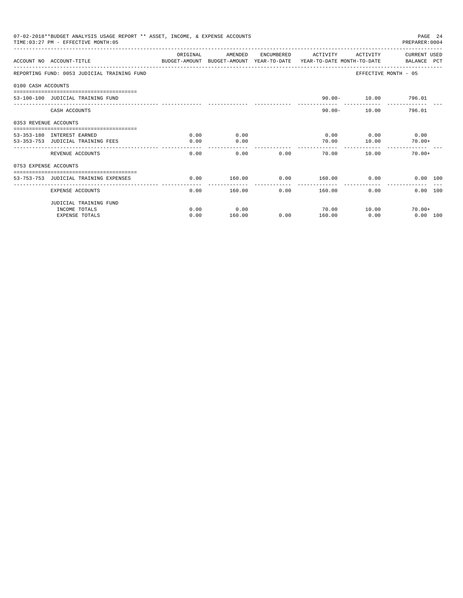|                       | 07-02-2018**BUDGET ANALYSIS USAGE REPORT ** ASSET, INCOME, & EXPENSE ACCOUNTS<br>TIME: 03:27 PM - EFFECTIVE MONTH: 05 |          |                         |                       |                          |          | PAGE 24<br>PREPARER: 0004                       |  |
|-----------------------|-----------------------------------------------------------------------------------------------------------------------|----------|-------------------------|-----------------------|--------------------------|----------|-------------------------------------------------|--|
|                       | ACCOUNT NO ACCOUNT-TITLE CONTROL SUDGET-AMOUNT BUDGET-AMOUNT YEAR-TO-DATE YEAR-TO-DATE MONTH-TO-DATE BALANCE PCT      | ORIGINAL | AMENDED                 |                       | ENCUMBERED ACTIVITY      | ACTIVITY | CURRENT USED                                    |  |
|                       | REPORTING FUND: 0053 JUDICIAL TRAINING FUND                                                                           |          |                         |                       |                          |          | EFFECTIVE MONTH - 05                            |  |
| 0100 CASH ACCOUNTS    |                                                                                                                       |          |                         |                       |                          |          |                                                 |  |
|                       | 53-100-100 JUDICIAL TRAINING FUND                                                                                     |          |                         |                       |                          |          | 90.00- 10.00 796.01                             |  |
|                       | CASH ACCOUNTS                                                                                                         |          |                         |                       | $90.00 -$                |          | _______________________________<br>10.00 796.01 |  |
| 0353 REVENUE ACCOUNTS | :================================                                                                                     |          |                         |                       |                          |          |                                                 |  |
|                       | 53-353-180 INTEREST EARNED                                                                                            | 0.00     | 0.00                    |                       | 0.00                     | 0.00     | 0.00                                            |  |
|                       | 53-353-753 JUDICIAL TRAINING FEES                                                                                     | 0.00     | 0.00                    |                       | 70.00                    | 10.00    | $70.00+$                                        |  |
|                       | REVENUE ACCOUNTS                                                                                                      | 0.00     | 0.00                    | 0.00                  | 70.00                    | 10.00    | $70.00+$                                        |  |
| 0753 EXPENSE ACCOUNTS |                                                                                                                       |          |                         |                       |                          |          |                                                 |  |
|                       | 53-753-753 JUDICIAL TRAINING EXPENSES                                                                                 | 0.00     | 160.00                  | 0.00                  | 160.00                   |          | $0.00$ and $0.00$<br>0.00 100                   |  |
|                       | EXPENSE ACCOUNTS                                                                                                      | 0.00     | -------------<br>160.00 | -------------<br>0.00 | --------------<br>160.00 | 0.00     | 0.00 100                                        |  |
|                       | JUDICIAL TRAINING FUND                                                                                                |          |                         |                       |                          |          |                                                 |  |
|                       | INCOME TOTALS                                                                                                         | 0.00     | 0.00                    |                       | 70.00                    | 10.00    | $70.00 +$                                       |  |
|                       | <b>EXPENSE TOTALS</b>                                                                                                 | 0.00     | 160.00                  | 0.00                  | 160.00                   | 0.00     | $0.00$ 100                                      |  |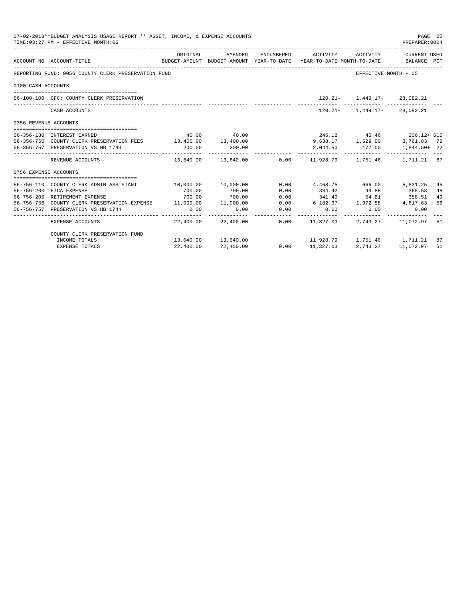| 07-02-2018**BUDGET ANALYSIS USAGE REPORT ** ASSET, INCOME, & EXPENSE ACCOUNTS<br>PAGE 25<br>TIME: 03:27 PM - EFFECTIVE MONTH: 05<br>PREPARER: 0004 |                                                                  |                         |                      |                      |                                                                                                        |                                 |                       |    |
|----------------------------------------------------------------------------------------------------------------------------------------------------|------------------------------------------------------------------|-------------------------|----------------------|----------------------|--------------------------------------------------------------------------------------------------------|---------------------------------|-----------------------|----|
|                                                                                                                                                    | ACCOUNT NO ACCOUNT-TITLE                                         | ORIGINAL                | AMENDED              |                      | ENCUMBERED ACTIVITY<br>BUDGET-AMOUNT BUDGET-AMOUNT YEAR-TO-DATE YEAR-TO-DATE MONTH-TO-DATE BALANCE PCT | ACTIVITY                        | CURRENT USED          |    |
|                                                                                                                                                    | REPORTING FUND: 0056 COUNTY CLERK PRESERVATION FUND              |                         |                      |                      |                                                                                                        | EFFECTIVE MONTH - 05            |                       |    |
| 0100 CASH ACCOUNTS                                                                                                                                 |                                                                  |                         |                      |                      |                                                                                                        |                                 |                       |    |
|                                                                                                                                                    |                                                                  |                         |                      |                      |                                                                                                        |                                 |                       |    |
|                                                                                                                                                    | 56-100-100 CFC: COUNTY CLERK PRESERVATION                        |                         |                      |                      |                                                                                                        | $120.21 - 1,449.17 - 28,082.21$ |                       |    |
|                                                                                                                                                    | CASH ACCOUNTS                                                    |                         |                      |                      |                                                                                                        | $120.21 - 1,449.17 - 28,082.21$ |                       |    |
| 0356 REVENUE ACCOUNTS                                                                                                                              |                                                                  |                         |                      |                      |                                                                                                        |                                 |                       |    |
|                                                                                                                                                    | 56-356-180 INTEREST EARNED                                       |                         | 40.00 40.00          |                      |                                                                                                        | 246.12 45.46 206.12+ 615        |                       |    |
|                                                                                                                                                    | 56-356-756 COUNTY CLERK PRESERVATION FEES 13,400.00 13,400.00    |                         |                      |                      |                                                                                                        | 9,638.17 1,529.00               | 3,761.83 72           |    |
|                                                                                                                                                    | 56-356-757 PRESERVATION VS HB 1744                               | 200.00                  | 200.00               |                      |                                                                                                        | 2,044.50 177.00 1,844.50+ 22    |                       |    |
|                                                                                                                                                    | REVENUE ACCOUNTS                                                 |                         |                      |                      | $13,640.00$ $13,640.00$ $0.00$ $11,928.79$ $1,751.46$ $1,711.21$ 87                                    |                                 |                       |    |
| 0756 EXPENSE ACCOUNTS                                                                                                                              |                                                                  |                         |                      |                      |                                                                                                        |                                 |                       |    |
|                                                                                                                                                    |                                                                  |                         |                      |                      |                                                                                                        |                                 |                       |    |
|                                                                                                                                                    | 56-756-110 COUNTY CLERK ADMIN ASSISTANT                          | $10,000.00$ $10,000.00$ |                      |                      | $0.00$ 4,468.75 666.00                                                                                 |                                 | 5,531.25              | 45 |
|                                                                                                                                                    | 56-756-200 FICA EXPENSE                                          | 700.00                  | 700.00               | 0.00                 | 334.42                                                                                                 | 49.88 365.58                    |                       | 48 |
|                                                                                                                                                    | 56-756-205 RETIREMENT EXPENSE                                    | 700.00                  | 700.00               | 0.00                 | 341.49 54.81 358.51                                                                                    |                                 |                       | 49 |
|                                                                                                                                                    | 56-756-756 COUNTY CLERK PRESERVATION EXPENSE 11,000.00 11,000.00 |                         |                      | 0.00                 | 6, 182.37 1, 972.58 4, 817.63                                                                          |                                 |                       | 56 |
|                                                                                                                                                    | 56-756-757 PRESERVATION VS HB 1744                               | 0.00                    | 0.00                 | 0.00<br>____________ | 0.00                                                                                                   | 0.00                            | 0.00                  |    |
|                                                                                                                                                    | EXPENSE ACCOUNTS                                                 |                         | 22.400.00 22.400.00  |                      | $0.00$ 11,327.03                                                                                       |                                 | 2,743.27 11,072.97 51 |    |
|                                                                                                                                                    | COUNTY CLERK PRESERVATION FUND                                   |                         |                      |                      |                                                                                                        |                                 |                       |    |
|                                                                                                                                                    | INCOME TOTALS                                                    |                         | 13,640.00  13,640.00 |                      | 11,928.79 1,751.46 1,711.21 87                                                                         |                                 |                       |    |
|                                                                                                                                                    | EXPENSE TOTALS                                                   | 22,400.00               | 22,400.00            |                      | $0.00$ 11,327.03                                                                                       | 2,743.27 11,072.97 51           |                       |    |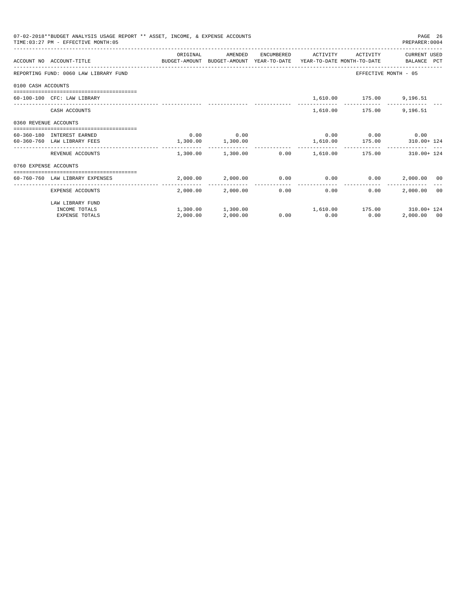|                       | 07-02-2018**BUDGET ANALYSIS USAGE REPORT ** ASSET, INCOME, & EXPENSE ACCOUNTS<br>TIME: 03:27 PM - EFFECTIVE MONTH: 05 |                       |                                                                 |                       |                                   | PREPARER: 0004       | PAGE 26 |
|-----------------------|-----------------------------------------------------------------------------------------------------------------------|-----------------------|-----------------------------------------------------------------|-----------------------|-----------------------------------|----------------------|---------|
|                       |                                                                                                                       | ORIGINAL              | AMENDED                                                         | ENCUMBERED ACTIVITY   | ACTIVITY                          | CURRENT USED         |         |
|                       | ACCOUNT NO ACCOUNT-TITLE CONTROL SUDGET-AMOUNT BUDGET-AMOUNT YEAR-TO-DATE YEAR-TO-DATE MONTH-TO-DATE BALANCE PCT      |                       |                                                                 |                       |                                   |                      |         |
|                       | REPORTING FUND: 0060 LAW LIBRARY FUND                                                                                 |                       |                                                                 |                       |                                   | EFFECTIVE MONTH - 05 |         |
| 0100 CASH ACCOUNTS    |                                                                                                                       |                       |                                                                 |                       |                                   |                      |         |
|                       | 60-100-100 CFC: LAW LIBRARY                                                                                           |                       |                                                                 |                       | 1,610.00 175.00 9,196.51          |                      |         |
|                       | CASH ACCOUNTS                                                                                                         |                       |                                                                 |                       | 1,610.00 175.00                   | 9,196.51             |         |
| 0360 REVENUE ACCOUNTS |                                                                                                                       |                       |                                                                 |                       |                                   |                      |         |
|                       | 60-360-180 INTEREST EARNED                                                                                            |                       | $0.00$ 0.00                                                     |                       | $0.00$ $0.00$ $0.00$ $0.00$       |                      |         |
|                       | 60-360-760 LAW LIBRARY FEES                                                                                           | $1,300.00$ $1,300.00$ |                                                                 |                       | 1,610.00    175.00    310.00+ 124 |                      |         |
|                       | REVENUE ACCOUNTS                                                                                                      |                       | $1,300.00$ $1,300.00$ $0.00$ $1,610.00$ $175.00$ $310.00 + 124$ |                       |                                   |                      |         |
| 0760 EXPENSE ACCOUNTS |                                                                                                                       |                       |                                                                 |                       |                                   |                      |         |
|                       | =================================<br>60-760-760 LAW LIBRARY EXPENSES                                                  |                       | $2,000.00$ $2,000.00$ $0.00$ $0.00$ $0.00$ $2,000.00$ $00$      |                       |                                   |                      |         |
|                       | EXPENSE ACCOUNTS                                                                                                      |                       | 2,000.00 2,000.00                                               | -------------<br>0.00 | 0.00<br>0.00                      | 2,000,00 00          |         |
|                       | LAW LIBRARY FUND                                                                                                      |                       |                                                                 |                       |                                   |                      |         |
|                       | INCOME TOTALS                                                                                                         |                       | $1,300.00$ $1,300.00$ $1,610.00$ $175.00$ $310.00 + 124$        |                       |                                   |                      |         |
|                       | <b>EXPENSE TOTALS</b>                                                                                                 | 2,000.00              | 2,000.00                                                        | $0.00$ 0.00           | 0.00                              | 2,000.00 00          |         |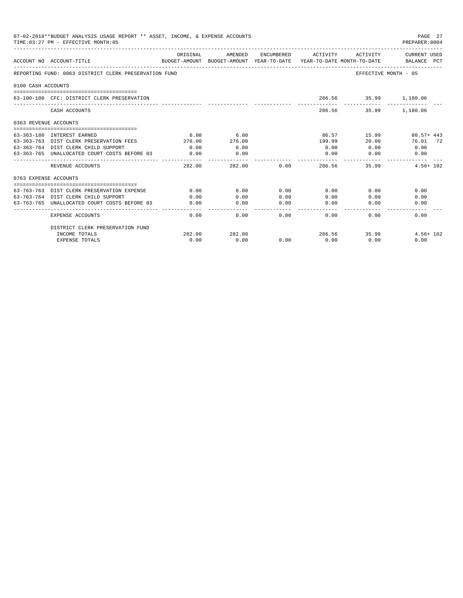|                       | 07-02-2018**BUDGET ANALYSIS USAGE REPORT ** ASSET, INCOME, & EXPENSE ACCOUNTS<br>TIME: 03:27 PM - EFFECTIVE MONTH: 05<br>PREPARER: 0004 |                         |              |                |                                                                     |                       |               |  |
|-----------------------|-----------------------------------------------------------------------------------------------------------------------------------------|-------------------------|--------------|----------------|---------------------------------------------------------------------|-----------------------|---------------|--|
|                       |                                                                                                                                         | ORIGINAL                | AMENDED      | ENCUMBERED     | ACTIVITY                                                            | ACTIVITY              | CURRENT USED  |  |
|                       | ACCOUNT NO ACCOUNT-TITLE                                                                                                                |                         |              |                | BUDGET-AMOUNT BUDGET-AMOUNT YEAR-TO-DATE YEAR-TO-DATE MONTH-TO-DATE |                       | BALANCE PCT   |  |
|                       | REPORTING FUND: 0063 DISTRICT CLERK PRESERVATION FUND                                                                                   |                         |              |                |                                                                     | EFFECTIVE MONTH - 05  |               |  |
| 0100 CASH ACCOUNTS    |                                                                                                                                         |                         |              |                |                                                                     |                       |               |  |
|                       | 63-100-100 CFC: DISTRICT CLERK PRESERVATION                                                                                             |                         |              |                |                                                                     | 286.56 35.99 1,180.06 |               |  |
|                       | CASH ACCOUNTS                                                                                                                           |                         |              |                |                                                                     | 286.56 35.99 1,180.06 |               |  |
| 0363 REVENUE ACCOUNTS |                                                                                                                                         |                         |              |                |                                                                     |                       |               |  |
|                       | . ==================================<br>63-363-180 INTEREST EARNED                                                                      | 6.00                    | 6.00         |                |                                                                     | 86.57 15.99           | $80.57 + 443$ |  |
|                       | 63-363-763 DIST CLERK PRESERVATION FEES                                                                                                 | 276.00                  | 276.00       |                | 199.99                                                              | 20.00                 | 76.01 72      |  |
|                       | 63-363-764 DIST CLERK CHILD SUPPORT                                                                                                     | 0.00                    | 0.00         |                | 0.00                                                                | 0.00                  | 0.00          |  |
|                       | 63-363-765 UNALLOCATED COURT COSTS BEFORE 03                                                                                            | 0.00                    | 0.00         |                | 0.00                                                                | 0.00                  | 0.00          |  |
|                       | _______________________________<br>REVENUE ACCOUNTS                                                                                     | -------------<br>282.00 |              | 0.00<br>282.00 | 286.56                                                              | 35.99                 | $4.56 + 102$  |  |
| 0763 EXPENSE ACCOUNTS |                                                                                                                                         |                         |              |                |                                                                     |                       |               |  |
|                       |                                                                                                                                         |                         |              |                |                                                                     |                       |               |  |
|                       | 63-763-763 DIST CLERK PRESERVATION EXPENSE                                                                                              | 0.00                    | 0.00         | 0.00           | 0.00                                                                | 0.00                  | 0.00          |  |
|                       | 63-763-764 DIST CLERK CHILD SUPPORT<br>63-763-765 UNALLOCATED COURT COSTS BEFORE 03                                                     | 0.00<br>0.00            | 0.00<br>0.00 | 0.00<br>0.00   | 0.00<br>0.00                                                        | 0.00<br>0.00          | 0.00<br>0.00  |  |
|                       |                                                                                                                                         |                         |              |                |                                                                     |                       |               |  |
|                       | <b>EXPENSE ACCOUNTS</b>                                                                                                                 | 0.00                    | 0.00         | 0.00           | 0.00                                                                | 0.00                  | 0.00          |  |
|                       | DISTRICT CLERK PRESERVATION FUND                                                                                                        |                         |              |                |                                                                     |                       |               |  |
|                       | INCOME TOTALS                                                                                                                           | 282.00                  | 282.00       |                |                                                                     | 286.56 35.99          | $4.56 + 102$  |  |
|                       | <b>EXPENSE TOTALS</b>                                                                                                                   | 0.00                    | 0.00         | 0.00           | 0.00                                                                | 0.00                  | 0.00          |  |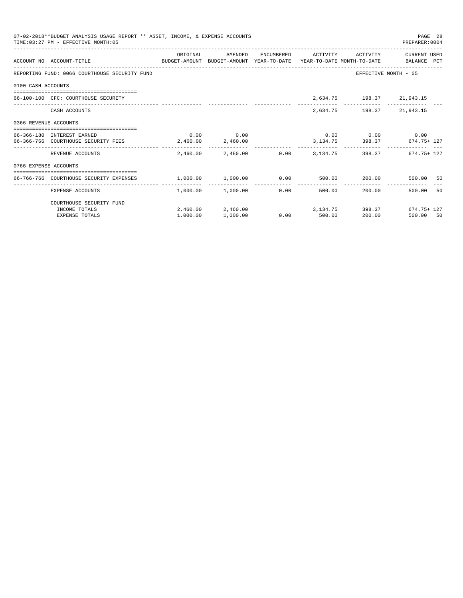|                       | 07-02-2018**BUDGET ANALYSIS USAGE REPORT ** ASSET, INCOME, & EXPENSE ACCOUNTS<br>TIME: 03:27 PM - EFFECTIVE MONTH: 05 |                                                |                       |                      |               |                                     | PAGE 28<br>PREPARER: 0004                         |    |
|-----------------------|-----------------------------------------------------------------------------------------------------------------------|------------------------------------------------|-----------------------|----------------------|---------------|-------------------------------------|---------------------------------------------------|----|
|                       |                                                                                                                       | ORIGINAL                                       | AMENDED               | ENCUMBERED           | ACTIVITY      | ACTIVITY                            | CURRENT USED                                      |    |
|                       | ACCOUNT NO ACCOUNT-TITLE<br>BUDGET-AMOUNT BUDGET-AMOUNT YEAR-TO-DATE YEAR-TO-DATE MONTH-TO-DATE BALANCE PCT           |                                                |                       |                      |               |                                     |                                                   |    |
|                       | REPORTING FUND: 0066 COURTHOUSE SECURITY FUND                                                                         |                                                |                       |                      |               |                                     | EFFECTIVE MONTH - 05                              |    |
| 0100 CASH ACCOUNTS    |                                                                                                                       |                                                |                       |                      |               |                                     |                                                   |    |
|                       | 66-100-100 CFC: COURTHOUSE SECURITY                                                                                   |                                                |                       |                      |               | 2,634.75 198.37 21,943.15           |                                                   |    |
|                       | CASH ACCOUNTS                                                                                                         |                                                |                       |                      |               | 2,634.75 198.37 21,943.15           |                                                   |    |
| 0366 REVENUE ACCOUNTS |                                                                                                                       |                                                |                       |                      |               |                                     |                                                   |    |
|                       | 66-366-180 INTEREST EARNED                                                                                            |                                                | $0.00$ 0.00           |                      |               | $0.00$ $0.00$ $0.00$ $0.00$         |                                                   |    |
|                       | 66-366-766 COURTHOUSE SECURITY FEES 2,460.00 2,460.00                                                                 |                                                |                       |                      |               |                                     | 3, 134. 75 398. 37 674. 75 + 127                  |    |
|                       | REVENUE ACCOUNTS                                                                                                      |                                                |                       |                      |               |                                     | 2.460.00 2.460.00 0.00 3.134.75 398.37 674.75 127 |    |
| 0766 EXPENSE ACCOUNTS |                                                                                                                       |                                                |                       |                      |               |                                     |                                                   |    |
|                       | 66-766-766 COURTHOUSE SECURITY EXPENSES                                                                               | $1,000.00$ $1,000.00$ $0.00$ $500.00$ $200.00$ |                       |                      |               |                                     | 500.00 50                                         |    |
|                       | EXPENSE ACCOUNTS                                                                                                      | .                                              | $1.000.00$ $1.000.00$ | ------------<br>0.00 |               | ---------------<br>200.00<br>500.00 | 500.00                                            | 50 |
|                       | COURTHOUSE SECURITY FUND                                                                                              |                                                |                       |                      |               |                                     |                                                   |    |
|                       | INCOME TOTALS                                                                                                         |                                                |                       |                      |               |                                     | 2,460.00 2,460.00 3,134.75 398.37 674.75 127      |    |
|                       | <b>EXPENSE TOTALS</b>                                                                                                 | 1,000.00                                       | 1,000.00              |                      | $0.00$ 500.00 | 200.00                              | 500.00 50                                         |    |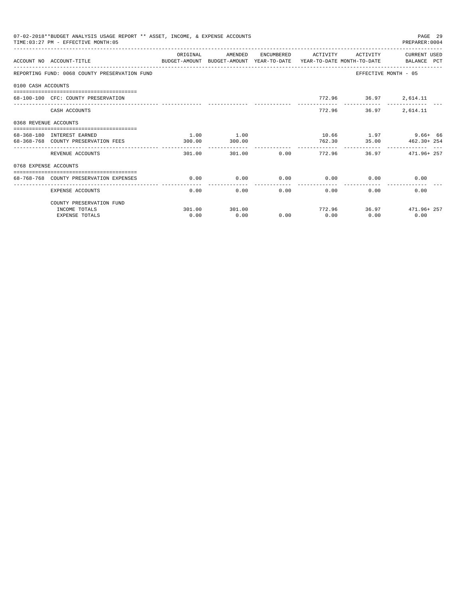|                       | 07-02-2018**BUDGET ANALYSIS USAGE REPORT ** ASSET, INCOME, & EXPENSE ACCOUNTS<br>TIME: 03:27 PM - EFFECTIVE MONTH: 05 |          |         |      |                       |                             | PAGE 29<br>PREPARER: 0004 |
|-----------------------|-----------------------------------------------------------------------------------------------------------------------|----------|---------|------|-----------------------|-----------------------------|---------------------------|
|                       | ACCOUNT NO ACCOUNT-TITLE<br>BUDGET-AMOUNT BUDGET-AMOUNT YEAR-TO-DATE YEAR-TO-DATE MONTH-TO-DATE BALANCE PCT           | ORIGINAL | AMENDED |      | ENCUMBERED ACTIVITY   | ACTIVITY                    | CURRENT USED              |
|                       | REPORTING FUND: 0068 COUNTY PRESERVATION FUND                                                                         |          |         |      |                       | EFFECTIVE MONTH - 05        |                           |
| 0100 CASH ACCOUNTS    |                                                                                                                       |          |         |      |                       |                             |                           |
|                       | 68-100-100 CFC: COUNTY PRESERVATION                                                                                   |          |         |      |                       | 772.96 36.97 2,614.11       |                           |
|                       | CASH ACCOUNTS                                                                                                         |          |         |      | 772.96                | 36.97                       | 2,614.11                  |
| 0368 REVENUE ACCOUNTS |                                                                                                                       |          |         |      |                       |                             |                           |
|                       | 68-368-180 INTEREST EARNED                                                                                            | 1.00     | 1.00    |      |                       |                             | 10.66 1.97 9.66+ 66       |
|                       | 68-368-768 COUNTY PRESERVATION FEES                                                                                   | 300.00   | 300.00  |      |                       |                             | 762.30 35.00 462.30+ 254  |
|                       | REVENUE ACCOUNTS                                                                                                      | 301.00   | 301.00  |      | $0.00$ 772.96         |                             | 36.97 471.96+257          |
| 0768 EXPENSE ACCOUNTS |                                                                                                                       |          |         |      |                       |                             |                           |
|                       | 68-768-768 COUNTY PRESERVATION EXPENSES                                                                               | 0.00     | 0.00    |      |                       | $0.00$ $0.00$ $0.00$ $0.00$ | 0.00                      |
|                       | EXPENSE ACCOUNTS                                                                                                      | 0.00     |         | 0.00 | -------------<br>0.00 | $0.00$ and $0.00$<br>0.00   | 0.00                      |
|                       | COUNTY PRESERVATION FUND                                                                                              |          |         |      |                       |                             |                           |
|                       | INCOME TOTALS                                                                                                         | 301.00   | 301.00  |      |                       |                             | 772.96 36.97 471.96+257   |
|                       | <b>EXPENSE TOTALS</b>                                                                                                 | 0.00     | 0.00    | 0.00 | 0.00                  | 0.00                        | 0.00                      |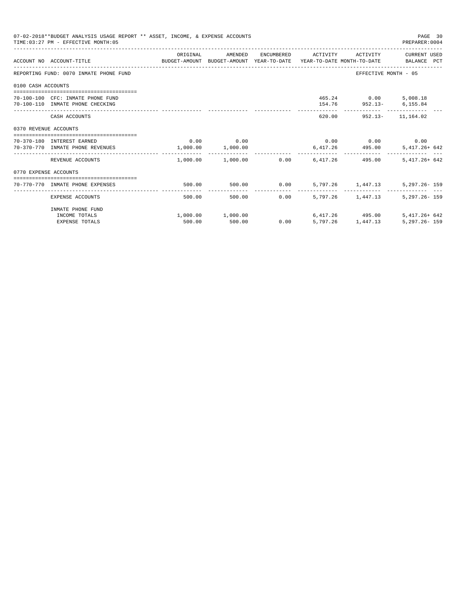|                       | 07-02-2018**BUDGET ANALYSIS USAGE REPORT ** ASSET, INCOME, & EXPENSE ACCOUNTS<br>TIME: 03:27 PM - EFFECTIVE MONTH: 05 |             |                                                  |                |                                                 | PAGE 30<br>PREPARER: 0004                 |
|-----------------------|-----------------------------------------------------------------------------------------------------------------------|-------------|--------------------------------------------------|----------------|-------------------------------------------------|-------------------------------------------|
|                       | ACCOUNT NO ACCOUNT-TITLE COMPUTE BUDGET-AMOUNT BUDGET-AMOUNT YEAR-TO-DATE YEAR-TO-DATE MONTH-TO-DATE BALANCE PCT      | ORIGINAL    | AMENDED                                          |                |                                                 | ENCUMBERED ACTIVITY ACTIVITY CURRENT USED |
|                       | REPORTING FUND: 0070 INMATE PHONE FUND                                                                                |             |                                                  |                |                                                 | EFFECTIVE MONTH - 05                      |
| 0100 CASH ACCOUNTS    |                                                                                                                       |             |                                                  |                |                                                 |                                           |
|                       | 70-100-100 CFC: INMATE PHONE FUND<br>70-100-110 INMATE PHONE CHECKING                                                 |             |                                                  |                | 465.24 0.00 5,008.18<br>154.76 952.13- 6,155.84 |                                           |
|                       | CASH ACCOUNTS                                                                                                         |             |                                                  |                | 620.00 952.13- 11.164.02                        |                                           |
| 0370 REVENUE ACCOUNTS |                                                                                                                       |             |                                                  |                |                                                 |                                           |
|                       | 70-370-180 INTEREST EARNED<br>70-370-770 INMATE PHONE REVENUES                                                        | $0.00$ 0.00 | 1,000.00 1,000.00                                |                | $0.00$ $0.00$ $0.00$ $0.00$<br>6,417.26 495.00  | 5,417.26+ 642                             |
|                       | REVENUE ACCOUNTS                                                                                                      |             | $1.000.00$ $1.000.00$ $0.00$ $6.417.26$ $495.00$ |                |                                                 | $5,417.26+642$                            |
| 0770 EXPENSE ACCOUNTS |                                                                                                                       |             |                                                  |                |                                                 |                                           |
|                       | 70-770-770 INMATE PHONE EXPENSES                                                                                      | 500.00      |                                                  |                |                                                 | $5,297.26 - 159$                          |
|                       | EXPENSE ACCOUNTS                                                                                                      | 500.00      |                                                  | 0.00<br>500.00 | 5,797,26 1,447,13                               | $5.297.26 - 159$                          |
|                       | INMATE PHONE FUND<br>INCOME TOTALS                                                                                    |             | $1,000.00$ $1,000.00$ $6,417.26$ $495.00$        |                |                                                 | $5.417.26 + 642$                          |
|                       | <b>EXPENSE TOTALS</b>                                                                                                 | 500.00      | 500.00                                           |                | $0.00$ $5.797.26$ $1.447.13$                    | $5,297.26 - 159$                          |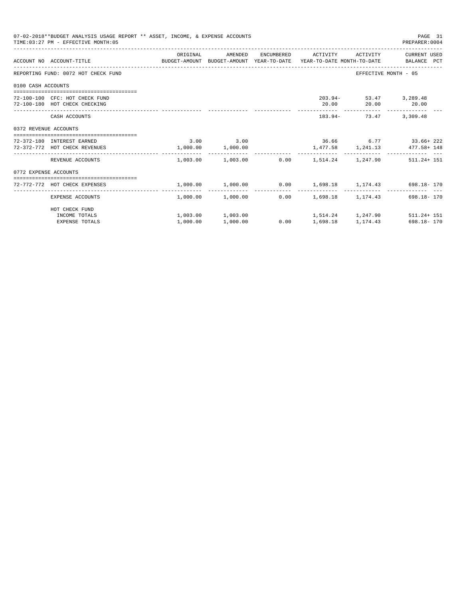|                       | 07-02-2018**BUDGET ANALYSIS USAGE REPORT ** ASSET, INCOME, & EXPENSE ACCOUNTS<br>TIME: 03:27 PM - EFFECTIVE MONTH: 05  |          |                                                    |                 |                                             | PAGE 31<br>PREPARER: 0004                                                            |
|-----------------------|------------------------------------------------------------------------------------------------------------------------|----------|----------------------------------------------------|-----------------|---------------------------------------------|--------------------------------------------------------------------------------------|
|                       | ACCOUNT NO ACCOUNT-TITLE COMMONICATION BUDGET-AMOUNT BUDGET-AMOUNT YEAR-TO-DATE YEAR-TO-DATE MONTH-TO-DATE BALANCE PCT |          | ORIGINAL AMENDED                                   |                 |                                             | ENCUMBERED ACTIVITY ACTIVITY CURRENT USED                                            |
|                       | REPORTING FUND: 0072 HOT CHECK FUND                                                                                    |          |                                                    |                 |                                             | EFFECTIVE MONTH - 05                                                                 |
| 0100 CASH ACCOUNTS    |                                                                                                                        |          |                                                    |                 |                                             |                                                                                      |
|                       | 72-100-100 CFC: HOT CHECK FUND<br>72-100-180 HOT CHECK CHECKING                                                        |          |                                                    |                 | 203.94- 53.47 3,289.48<br>20.00 20.00 20.00 |                                                                                      |
|                       | CASH ACCOUNTS                                                                                                          |          |                                                    |                 | 183.94- 73.47 3,309.48                      |                                                                                      |
| 0372 REVENUE ACCOUNTS |                                                                                                                        |          |                                                    |                 |                                             |                                                                                      |
|                       | 72-372-180 INTEREST EARNED<br>72-372-772 HOT CHECK REVENUES                                                            |          | 3.00 3.00<br>1,000.00 1,000.00                     |                 |                                             | $36.66$ $6.77$ $33.66+222$<br>1,477.58 1,241.13 477.58+148                           |
|                       | REVENUE ACCOUNTS                                                                                                       |          |                                                    |                 | .------------  -------------  --------      | $1,003.00$ $1,003.00$ $0.00$ $1,514.24$ $1,247.90$ $511.24+151$                      |
| 0772 EXPENSE ACCOUNTS |                                                                                                                        |          |                                                    |                 |                                             |                                                                                      |
|                       | 72-772-772 HOT CHECK EXPENSES                                                                                          |          |                                                    |                 |                                             | $1,000.00$ $1,000.00$ $0.00$ $1,698.18$ $1,174.43$ $698.18$ 170                      |
|                       | EXPENSE ACCOUNTS                                                                                                       |          | $1.000.00$ $1.000.00$ $0.00$ $1.698.18$ $1.174.43$ |                 |                                             | 698.18-170                                                                           |
|                       | HOT CHECK FUND                                                                                                         |          |                                                    |                 |                                             |                                                                                      |
|                       | INCOME TOTALS<br><b>EXPENSE TOTALS</b>                                                                                 | 1,000.00 | 1,000.00                                           | $0.00$ 1,698.18 |                                             | $1,003.00$ $1,003.00$ $1,514.24$ $1,247.90$ $511.24+151$<br>1, 174. 43 698. 18 - 170 |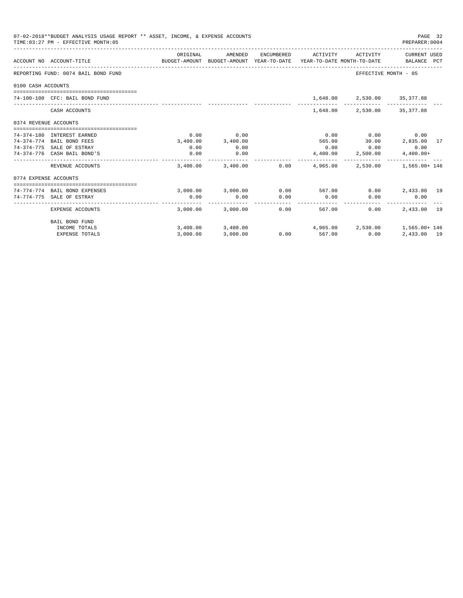|                       | 07-02-2018**BUDGET ANALYSIS USAGE REPORT ** ASSET, INCOME, & EXPENSE ACCOUNTS<br>TIME: 03:27 PM - EFFECTIVE MONTH: 05 |          |                                         |                       |                        |                                         | PAGE 32<br>PREPARER: 0004                          |  |
|-----------------------|-----------------------------------------------------------------------------------------------------------------------|----------|-----------------------------------------|-----------------------|------------------------|-----------------------------------------|----------------------------------------------------|--|
|                       | BUDGET-AMOUNT BUDGET-AMOUNT YEAR-TO-DATE YEAR-TO-DATE MONTH-TO-DATE BALANCE PCT<br>ACCOUNT NO ACCOUNT-TITLE           | ORIGINAL | AMENDED                                 |                       |                        |                                         | ENCUMBERED ACTIVITY ACTIVITY CURRENT USED          |  |
|                       | REPORTING FUND: 0074 BAIL BOND FUND                                                                                   |          |                                         |                       |                        | EFFECTIVE MONTH - 05                    |                                                    |  |
| 0100 CASH ACCOUNTS    |                                                                                                                       |          |                                         |                       |                        |                                         |                                                    |  |
|                       | 74-100-100 CFC: BAIL BOND FUND                                                                                        |          |                                         |                       |                        | 1,648.00 2,530.00 35,377.88             |                                                    |  |
|                       | CASH ACCOUNTS                                                                                                         |          |                                         |                       | 1,648.00               |                                         | 2,530.00 35,377.88                                 |  |
| 0374 REVENUE ACCOUNTS |                                                                                                                       |          |                                         |                       |                        |                                         |                                                    |  |
|                       | 74-374-180 INTEREST EARNED                                                                                            | 0.00     | 0.00                                    |                       | 0.00                   | 0.00                                    | 0.00                                               |  |
|                       | 74-374-774 BAIL BOND FEES                                                                                             | 3,400.00 | 3,400.00                                |                       | 565.00                 |                                         | 30.00 2,835.00 17                                  |  |
|                       | 74-374-775 SALE OF ESTRAY                                                                                             | 0.00     | 0.00                                    |                       |                        | $0.00$ 0.00                             | 0.00                                               |  |
|                       | 74-374-776 CASH BAIL BOND'S                                                                                           | 0.00     | 0.00                                    |                       |                        | 4,400.00 2,500.00                       | $4,400.00+$                                        |  |
|                       | REVENUE ACCOUNTS                                                                                                      |          | $3.400.00$ $3.400.00$ $0.00$ $4.965.00$ |                       |                        |                                         | 2,530.00 1,565.00+146                              |  |
| 0774 EXPENSE ACCOUNTS |                                                                                                                       |          |                                         |                       |                        |                                         |                                                    |  |
|                       |                                                                                                                       |          |                                         |                       |                        |                                         |                                                    |  |
|                       | 74-774-774 BAIL BOND EXPENSES                                                                                         |          | 3,000.00 3,000.00                       |                       | $0.00$ 567.00          |                                         | $0.00$ 2,433.00 19                                 |  |
|                       | 74-774-775 SALE OF ESTRAY                                                                                             | 0.00     | 0.00<br>--------------                  | 0.00<br>------------- | 0.00<br>-------------- | 0.00<br>_______________________________ | 0.00                                               |  |
|                       | EXPENSE ACCOUNTS                                                                                                      |          | 3,000.00 3,000.00                       |                       | 0.00                   | 0.00<br>567.00                          | 2,433.00 19                                        |  |
|                       | BAIL BOND FUND                                                                                                        |          |                                         |                       |                        |                                         |                                                    |  |
|                       | INCOME TOTALS                                                                                                         |          |                                         |                       |                        |                                         | 3,400.00 3,400.00 4,965.00 2,530.00 1,565.00 + 146 |  |
|                       | <b>EXPENSE TOTALS</b>                                                                                                 | 3.000.00 | 3,000.00                                |                       | $0.00$ 567.00          | 0.00                                    | 2,433,00 19                                        |  |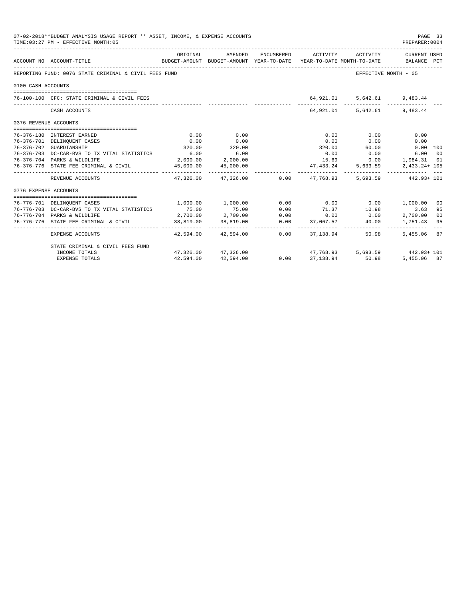| 07-02-2018**BUDGET ANALYSIS USAGE REPORT ** ASSET, INCOME, & EXPENSE ACCOUNTS<br>TIME: 03:27 PM - EFFECTIVE MONTH: 05<br>PREPARER: 0004 |                                                       |           |                          |      |                                                                                                                                                                                                                                |                                       |                     |    |
|-----------------------------------------------------------------------------------------------------------------------------------------|-------------------------------------------------------|-----------|--------------------------|------|--------------------------------------------------------------------------------------------------------------------------------------------------------------------------------------------------------------------------------|---------------------------------------|---------------------|----|
|                                                                                                                                         | ACCOUNT NO ACCOUNT-TITLE                              | ORIGINAL  | AMENDED                  |      | ENCUMBERED ACTIVITY ACTIVITY CURRENT USED<br>BUDGET-AMOUNT BUDGET-AMOUNT YEAR-TO-DATE YEAR-TO-DATE MONTH-TO-DATE BALANCE PCT                                                                                                   |                                       |                     |    |
|                                                                                                                                         | REPORTING FUND: 0076 STATE CRIMINAL & CIVIL FEES FUND |           |                          |      |                                                                                                                                                                                                                                | EFFECTIVE MONTH - 05                  |                     |    |
| 0100 CASH ACCOUNTS                                                                                                                      |                                                       |           |                          |      |                                                                                                                                                                                                                                |                                       |                     |    |
|                                                                                                                                         | 76-100-100 CFC: STATE CRIMINAL & CIVIL FEES           |           |                          |      |                                                                                                                                                                                                                                | 64,921.01 5,642.61 9,483.44           |                     |    |
|                                                                                                                                         | CASH ACCOUNTS                                         |           |                          |      |                                                                                                                                                                                                                                | 64,921.01 5,642.61 9,483.44           |                     |    |
| 0376 REVENUE ACCOUNTS                                                                                                                   |                                                       |           |                          |      |                                                                                                                                                                                                                                |                                       |                     |    |
|                                                                                                                                         | 76-376-180 INTEREST EARNED                            | 0.00      | 0.00                     |      | 0.00                                                                                                                                                                                                                           | 0.00                                  | 0.00                |    |
|                                                                                                                                         | 76-376-701 DELINQUENT CASES                           | 0.00      | 0.00                     |      | 0.00                                                                                                                                                                                                                           | 0.00                                  | 0.00                |    |
|                                                                                                                                         | 76-376-702 GUARDIANSHIP                               | 320.00    | 320.00                   |      | 320.00                                                                                                                                                                                                                         | 60.00                                 | $0.00$ 100          |    |
|                                                                                                                                         | 76-376-703 DC-CAR-BVS TO TX VITAL STATISTICS          |           | $6.00$ $6.00$            |      |                                                                                                                                                                                                                                | $0.00$ 0.00                           | 6.00 00             |    |
|                                                                                                                                         | 76-376-704 PARKS & WILDLIFE                           |           | 2,000.00 2,000.00        |      |                                                                                                                                                                                                                                | 15.69   0.00   1,984.31   01          |                     |    |
|                                                                                                                                         | 76-376-776 STATE FEE CRIMINAL & CIVIL                 |           | 45,000.00  45,000.00     |      |                                                                                                                                                                                                                                | 47, 433.24 5, 633.59                  | 2,433.24+ 105       |    |
|                                                                                                                                         | REVENUE ACCOUNTS                                      |           |                          |      | $47,326.00$ $47,326.00$ $0.00$ $47,768.93$                                                                                                                                                                                     |                                       | 5,693.59 442.93+101 |    |
| 0776 EXPENSE ACCOUNTS                                                                                                                   |                                                       |           |                          |      |                                                                                                                                                                                                                                |                                       |                     |    |
|                                                                                                                                         | 76-776-701 DELINQUENT CASES                           |           |                          |      | $1,000.00$ $1,000.00$ $0.00$ $0.00$ $0.00$ $1,000.00$                                                                                                                                                                          |                                       |                     | 00 |
|                                                                                                                                         | 76-776-703 DC-CAR-BVS TO TX VITAL STATISTICS          | 75.00     | 75.00                    | 0.00 |                                                                                                                                                                                                                                | $71.37$ 10.98                         | 3.63                | 95 |
|                                                                                                                                         | 76-776-704 PARKS & WILDLIFE                           |           | $2,700.00$ $2,700.00$    | 0.00 | 0.00                                                                                                                                                                                                                           | 0.00                                  | 2,700.00            | 00 |
|                                                                                                                                         | 76-776-776 STATE FEE CRIMINAL & CIVIL                 |           | 38,819.00 38,819.00      |      | $0.00$ $0.00$ $0.00$ $0.00$ $0.00$ $0.00$ $0.00$ $0.00$ $0.00$ $0.00$ $0.00$ $0.00$ $0.00$ $0.00$ $0.00$ $0.00$ $0.00$ $0.00$ $0.00$ $0.00$ $0.00$ $0.00$ $0.00$ $0.00$ $0.00$ $0.00$ $0.00$ $0.00$ $0.00$ $0.00$ $0.00$ $0.0$ |                                       | 1,751.43            | 95 |
|                                                                                                                                         | EXPENSE ACCOUNTS                                      |           | 42.594.00 42.594.00 0.00 |      | 37, 138, 94                                                                                                                                                                                                                    | ------------ ------------- -<br>50.98 | .<br>5,455.06 87    |    |
|                                                                                                                                         | STATE CRIMINAL & CIVIL FEES FUND                      |           |                          |      |                                                                                                                                                                                                                                |                                       |                     |    |
|                                                                                                                                         | INCOME TOTALS                                         |           | 47,326,00 47,326,00      | 0.00 |                                                                                                                                                                                                                                | $47,768.93$ 5,693.59 $442.93 + 101$   |                     |    |
|                                                                                                                                         | <b>EXPENSE TOTALS</b>                                 | 42,594.00 | 42,594.00                |      | $0.00$ $37.138.94$                                                                                                                                                                                                             | 50.98                                 | 5,455,06 87         |    |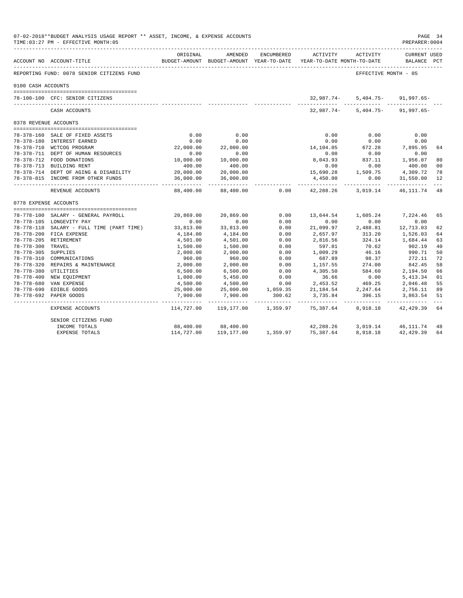|                       | 07-02-2018**BUDGET ANALYSIS USAGE REPORT ** ASSET, INCOME, & EXPENSE ACCOUNTS<br>TIME: 03:27 PM - EFFECTIVE MONTH: 05 |                         |                           |            |                                                                                 |                                                    | PAGE 34<br>PREPARER: 0004          |               |
|-----------------------|-----------------------------------------------------------------------------------------------------------------------|-------------------------|---------------------------|------------|---------------------------------------------------------------------------------|----------------------------------------------------|------------------------------------|---------------|
|                       | _________________________________<br>ACCOUNT NO ACCOUNT-TITLE                                                         | ORIGINAL                | AMENDED                   | ENCUMBERED | ACTIVITY<br>BUDGET-AMOUNT BUDGET-AMOUNT YEAR-TO-DATE YEAR-TO-DATE MONTH-TO-DATE | ACTIVITY                                           | <b>CURRENT USED</b><br>BALANCE PCT |               |
|                       | REPORTING FUND: 0078 SENIOR CITIZENS FUND                                                                             |                         |                           |            |                                                                                 | EFFECTIVE MONTH - 05                               |                                    |               |
| 0100 CASH ACCOUNTS    |                                                                                                                       |                         |                           |            |                                                                                 |                                                    |                                    |               |
|                       |                                                                                                                       |                         |                           |            |                                                                                 |                                                    |                                    |               |
|                       | 78-100-100 CFC: SENIOR CITIZENS<br>------------------------------                                                     |                         |                           |            | 32,987.74-                                                                      | $5,404.75-$<br>----------- ------------ ---------- | 91,997.65-                         |               |
|                       | CASH ACCOUNTS                                                                                                         |                         |                           |            | 32,987.74-                                                                      | 5,404.75-                                          | $91,997.65 -$                      |               |
| 0378 REVENUE ACCOUNTS |                                                                                                                       |                         |                           |            |                                                                                 |                                                    |                                    |               |
|                       |                                                                                                                       |                         |                           |            |                                                                                 |                                                    |                                    |               |
|                       | 78-378-160 SALE OF FIXED ASSETS                                                                                       | 0.00                    | 0.00                      |            | 0.00                                                                            | 0.00                                               | 0.00                               |               |
|                       | 78-378-180 INTEREST EARNED                                                                                            | 0.00                    | 0.00                      |            | 0.00                                                                            | 0.00                                               | 0.00                               |               |
|                       | 78-378-710 WCTCOG PROGRAM                                                                                             | 22,000.00               | 22,000.00                 |            | 14,104.05                                                                       | $672.28$<br>$0.00$                                 | 7,895.95                           | 64            |
|                       | 78-378-711 DEPT OF HUMAN RESOURCES                                                                                    | 0.00                    | 0.00                      |            | 0.00                                                                            |                                                    | 0.00                               |               |
|                       | 78-378-712 FOOD DONATIONS                                                                                             | 10,000.00               | 10,000.00                 |            | 8,043.93                                                                        | 837.11                                             | 1,956.07                           | 80            |
|                       | 78-378-713 BUILDING RENT                                                                                              | 400.00                  | 400.00                    |            | 0.00                                                                            | 0.00                                               | 400.00                             | 00            |
|                       | 78-378-714 DEPT OF AGING & DISABILITY                                                                                 | 20,000.00               | 20,000.00                 |            | 15,690.28                                                                       | 1,509.75 4,309.72                                  |                                    | 78            |
|                       | 78-378-815 INCOME FROM OTHER FUNDS                                                                                    | 36,000.00<br>---------- | 36,000.00<br>------------ |            | 4,450.00<br>--------------                                                      | 0.00                                               | 31,550.00                          | 12            |
|                       | REVENUE ACCOUNTS                                                                                                      | 88,400.00               | 88,400.00                 | 0.00       | 42,288.26                                                                       | 3,019.14                                           | 46,111.74                          | 48            |
| 0778 EXPENSE ACCOUNTS |                                                                                                                       |                         |                           |            |                                                                                 |                                                    |                                    |               |
|                       |                                                                                                                       |                         |                           |            |                                                                                 |                                                    |                                    |               |
|                       | 78-778-100 SALARY - GENERAL PAYROLL                                                                                   | 20,869.00               | 20,869.00                 | 0.00       | 13,644.54                                                                       | 1,605.24                                           | 7,224.46                           | 65            |
|                       | 78-778-105 LONGEVITY PAY                                                                                              | 0.00                    | 0.00                      | 0.00       | 0.00                                                                            | 0.00                                               | 0.00                               |               |
|                       | 78-778-110 SALARY - FULL TIME (PART TIME)                                                                             | 33,813.00               | 33,813.00                 | 0.00       | 21,099.97                                                                       | 2,488.81                                           | 12,713.03                          | 62            |
|                       | 78-778-200 FICA EXPENSE                                                                                               | 4,184.00                | 4,184.00                  | 0.00       | 2,657.97                                                                        | 313.20                                             | 1,526.03                           | 64            |
|                       | 78-778-205 RETIREMENT                                                                                                 | 4,501.00                | 4,501.00                  | 0.00       | 2,816.56                                                                        | 324.14                                             | 1,684.44                           | 63            |
| 78-778-300 TRAVEL     |                                                                                                                       | 1,500.00                | 1,500.00                  | 0.00       | 597.81                                                                          | 70.62                                              | 902.19                             | 40            |
| 78-778-305 SUPPLIES   |                                                                                                                       | 2,000.00                | 2,000.00                  | 0.00       | 1,009.29                                                                        | 46.16                                              | 990.71                             | 50            |
|                       | 78-778-310 COMMUNICATIONS                                                                                             | 960.00                  | 960.00                    | 0.00       | 687.89                                                                          | 98.37                                              | 272.11                             | 72            |
|                       | 78-778-320 REPAIRS & MAINTENANCE 2,000.00                                                                             |                         | 2,000.00                  | 0.00       | 1,157.55                                                                        | 274.00                                             | 842.45                             | 58            |
| 78-778-380 UTILITIES  |                                                                                                                       | 6,500.00                | 6,500.00                  | 0.00       | 4,305.50                                                                        | 584.60                                             | 2,194.50                           | 66            |
|                       | 78-778-400 NEW EQUIPMENT                                                                                              | 1,000.00                | 5,450.00                  | 0.00       | 36.66                                                                           | 0.00                                               | 5,413.34                           | 01            |
|                       | 78-778-680 VAN EXPENSE                                                                                                | 4,500.00                | 4,500.00                  | 0.00       | 2,453.52                                                                        | 469.25                                             | 2,046.48                           | 55            |
|                       | 78-778-690 EDIBLE GOODS                                                                                               | 25,000.00               | 25,000.00                 | 1,059.35   |                                                                                 | 21, 184.54 2, 247.64                               | 2,756.11                           | 89            |
|                       | 78-778-692 PAPER GOODS                                                                                                | 7,900.00                | 7,900.00                  | 300.62     | 3,735.84 396.15                                                                 |                                                    | 3,863.54                           | 51<br>$- - -$ |
|                       | EXPENSE ACCOUNTS                                                                                                      | 114,727.00              | 119,177.00 1,359.97       |            | 75,387.64                                                                       | 8,918.18                                           | 42,429.39                          | 64            |
|                       | SENIOR CITIZENS FUND                                                                                                  |                         |                           |            |                                                                                 |                                                    |                                    |               |
|                       | INCOME TOTALS                                                                                                         | 88,400.00               | 88,400.00                 |            | 42,288.26                                                                       |                                                    | 3,019.14 46,111.74                 | 48            |
|                       | EXPENSE TOTALS                                                                                                        | 114,727.00              | 119,177.00                | 1,359.97   | 75,387.64                                                                       | 8,918.18                                           | 42,429.39                          | 64            |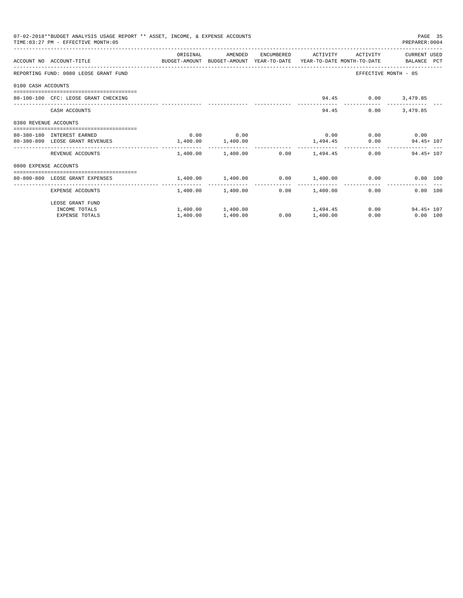|                       | 07-02-2018**BUDGET ANALYSIS USAGE REPORT ** ASSET, INCOME, & EXPENSE ACCOUNTS<br>TIME: 03:27 PM - EFFECTIVE MONTH: 05 |                       |                                                |      |                     |                     | PAGE 35<br>PREPARER: 0004   |  |
|-----------------------|-----------------------------------------------------------------------------------------------------------------------|-----------------------|------------------------------------------------|------|---------------------|---------------------|-----------------------------|--|
|                       |                                                                                                                       | ORIGINAL              | AMENDED                                        |      | ENCUMBERED ACTIVITY | ACTIVITY            | CURRENT USED                |  |
|                       | ACCOUNT NO ACCOUNT-TITLE CONTROL SUDGET-AMOUNT BUDGET-AMOUNT YEAR-TO-DATE YEAR-TO-DATE MONTH-TO-DATE BALANCE PCT      |                       |                                                |      |                     |                     |                             |  |
|                       | REPORTING FUND: 0080 LEOSE GRANT FUND                                                                                 |                       |                                                |      |                     |                     | EFFECTIVE MONTH - 05        |  |
| 0100 CASH ACCOUNTS    |                                                                                                                       |                       |                                                |      |                     |                     |                             |  |
|                       | 80-100-100 CFC: LEOSE GRANT CHECKING                                                                                  |                       |                                                |      |                     | 94.45 0.00 3,479.85 |                             |  |
|                       | CASH ACCOUNTS                                                                                                         |                       |                                                |      |                     | 94.45<br>0.00       | 3,479.85                    |  |
| 0380 REVENUE ACCOUNTS |                                                                                                                       |                       |                                                |      |                     |                     |                             |  |
|                       | 80-380-180 INTEREST EARNED                                                                                            |                       | $0.00$ 0.00                                    |      |                     | $0.00$ 0.00 0.00    |                             |  |
|                       | 80-380-800 LEOSE GRANT REVENUES                                                                                       | $1,400.00$ $1,400.00$ |                                                |      |                     |                     | $1,494.45$ 0.00 94.45 + 107 |  |
|                       | REVENUE ACCOUNTS                                                                                                      |                       | $1,400.00$ $1,400.00$ $0.00$ $1,494.45$        |      |                     |                     | $0.00$ 94.45+107            |  |
| 0800 EXPENSE ACCOUNTS |                                                                                                                       |                       |                                                |      |                     |                     |                             |  |
|                       | -----------------------------------<br>80-800-800 LEOSE GRANT EXPENSES                                                |                       | $1.400.00$ $1.400.00$ $0.00$ $1.400.00$ $0.00$ |      |                     |                     | 0.00 100                    |  |
|                       | EXPENSE ACCOUNTS                                                                                                      |                       | 1,400.00 1,400.00                              |      | $0.00$ 1,400.00     | 0.00                | 0.00 100                    |  |
|                       | LEOSE GRANT FUND                                                                                                      |                       |                                                |      |                     |                     |                             |  |
|                       | INCOME TOTALS                                                                                                         |                       | $1,400.00$ $1,400.00$ $1,494.45$               |      |                     |                     | 0.00<br>$94.45 + 107$       |  |
|                       | <b>EXPENSE TOTALS</b>                                                                                                 | 1,400.00              | 1,400.00                                       | 0.00 | 1,400.00            | 0.00                | $0.00$ 100                  |  |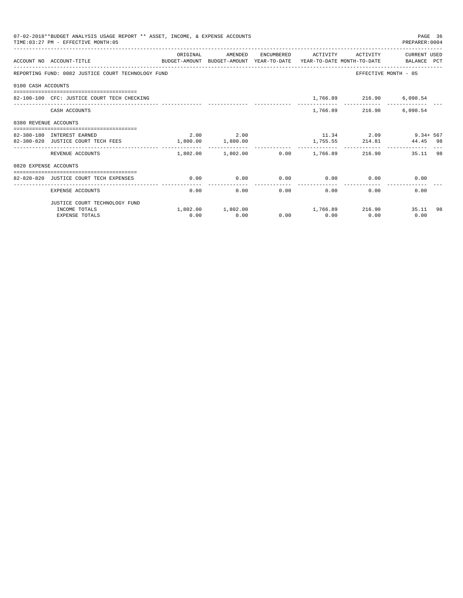| 07-02-2018**BUDGET ANALYSIS USAGE REPORT ** ASSET, INCOME, & EXPENSE ACCOUNTS<br>PAGE 36<br>TIME: 03:27 PM - EFFECTIVE MONTH: 05<br>PREPARER: 0004 |                                                                                                                   |                   |                                                  |               |                   |                                    |                                           |     |  |
|----------------------------------------------------------------------------------------------------------------------------------------------------|-------------------------------------------------------------------------------------------------------------------|-------------------|--------------------------------------------------|---------------|-------------------|------------------------------------|-------------------------------------------|-----|--|
|                                                                                                                                                    | ACCOUNT NO ACCOUNT-TITLE CONTROL PROTECT-AMOUNT BUDGET-AMOUNT YEAR-TO-DATE YEAR-TO-DATE MONTH-TO-DATE BALANCE PCT | ORIGINAL          | AMENDED                                          |               |                   |                                    | ENCUMBERED ACTIVITY ACTIVITY CURRENT USED |     |  |
|                                                                                                                                                    | REPORTING FUND: 0082 JUSTICE COURT TECHNOLOGY FUND                                                                |                   |                                                  |               |                   |                                    | EFFECTIVE MONTH - 05                      |     |  |
| 0100 CASH ACCOUNTS                                                                                                                                 |                                                                                                                   |                   |                                                  |               |                   |                                    |                                           |     |  |
|                                                                                                                                                    | 82-100-100 CFC: JUSTICE COURT TECH CHECKING                                                                       |                   |                                                  |               |                   | 1,766.89 216.90 6,098.54           |                                           |     |  |
|                                                                                                                                                    | CASH ACCOUNTS                                                                                                     |                   |                                                  |               |                   | 1,766.89 216.90                    | 6,098.54                                  |     |  |
| 0380 REVENUE ACCOUNTS                                                                                                                              |                                                                                                                   |                   |                                                  |               |                   |                                    |                                           |     |  |
|                                                                                                                                                    |                                                                                                                   |                   |                                                  |               |                   |                                    |                                           |     |  |
|                                                                                                                                                    | 82-380-180 INTEREST EARNED                                                                                        |                   | 2.00 2.00                                        |               |                   |                                    | $11.34$ $2.09$ $9.34+567$                 |     |  |
|                                                                                                                                                    | 82-380-820 JUSTICE COURT TECH FEES                                                                                | 1,800.00 1,800.00 |                                                  |               |                   | 1,755.55 214.81                    | 44.45 98<br>$- - - -$                     |     |  |
|                                                                                                                                                    | REVENUE ACCOUNTS                                                                                                  |                   | $1.802.00$ $1.802.00$ $0.00$ $1.766.89$ $216.90$ |               |                   |                                    | 35.11                                     | -98 |  |
| 0820 EXPENSE ACCOUNTS                                                                                                                              |                                                                                                                   |                   |                                                  |               |                   |                                    |                                           |     |  |
|                                                                                                                                                    |                                                                                                                   |                   |                                                  |               |                   |                                    |                                           |     |  |
|                                                                                                                                                    | 82-820-820 JUSTICE COURT TECH EXPENSES                                                                            | 0.00              |                                                  | ------------- |                   | $0.00$ $0.00$ $0.00$ $0.00$ $0.00$ | 0.00                                      |     |  |
|                                                                                                                                                    | EXPENSE ACCOUNTS                                                                                                  | 0.00              |                                                  | 0.00          | $0.00$ and $0.00$ | $0.00$ and $0.00$                  | 0.00<br>0.00                              |     |  |
|                                                                                                                                                    | JUSTICE COURT TECHNOLOGY FUND                                                                                     |                   |                                                  |               |                   |                                    |                                           |     |  |
|                                                                                                                                                    | INCOME TOTALS                                                                                                     |                   | $1,802.00$ $1,802.00$ $1,766.89$ $216.90$        |               |                   |                                    | 35.11                                     | -98 |  |
|                                                                                                                                                    | <b>EXPENSE TOTALS</b>                                                                                             | 0.00              | 0.00                                             |               | $0.00$ 0.00       | 0.00                               | 0.00                                      |     |  |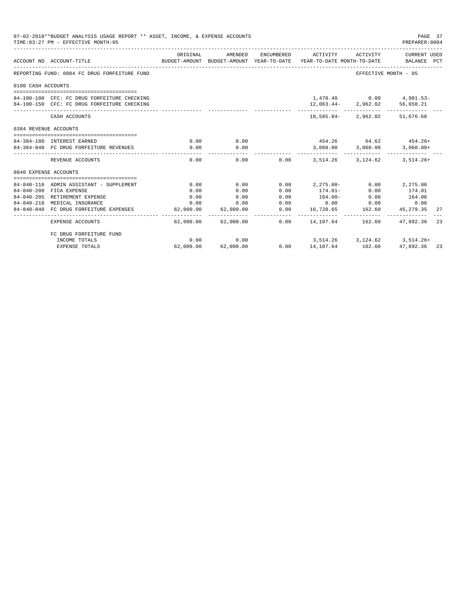| 07-02-2018**BUDGET ANALYSIS USAGE REPORT ** ASSET, INCOME, & EXPENSE ACCOUNTS<br>TIME: 03:27 PM - EFFECTIVE MONTH: 05 |                                                            |           |           |      |                                                                                            |                                   |                             | PAGE 37<br>PREPARER: 0004 |
|-----------------------------------------------------------------------------------------------------------------------|------------------------------------------------------------|-----------|-----------|------|--------------------------------------------------------------------------------------------|-----------------------------------|-----------------------------|---------------------------|
|                                                                                                                       | ACCOUNT NO ACCOUNT-TITLE                                   | ORIGINAL  | AMENDED   |      | ENCUMBERED ACTIVITY<br>BUDGET-AMOUNT BUDGET-AMOUNT YEAR-TO-DATE YEAR-TO-DATE MONTH-TO-DATE | ACTIVITY                          | CURRENT USED<br>BALANCE PCT |                           |
|                                                                                                                       | REPORTING FUND: 0084 FC DRUG FORFEITURE FUND               |           |           |      |                                                                                            | EFFECTIVE MONTH - 05              |                             |                           |
| 0100 CASH ACCOUNTS                                                                                                    |                                                            |           |           |      |                                                                                            |                                   |                             |                           |
|                                                                                                                       | 84-100-100 CFC: FC DRUG FORFEITURE CHECKING                |           |           |      |                                                                                            | 1,478.40   0.00   4,981.53-       |                             |                           |
|                                                                                                                       | 84-100-150 CFC: FC DRUG FORFEITURE CHECKING                |           |           |      |                                                                                            | 12,063.44-2,962.02 56,658.21      |                             |                           |
|                                                                                                                       | CASH ACCOUNTS                                              |           |           |      |                                                                                            | 10,585.04-2,962.02 51,676.68      |                             |                           |
| 0384 REVENUE ACCOUNTS                                                                                                 |                                                            |           |           |      |                                                                                            |                                   |                             |                           |
|                                                                                                                       | 84-384-180 INTEREST EARNED                                 | 0.00      | 0.00      |      | $454.26$ $64.62$ $454.26+$                                                                 |                                   |                             |                           |
|                                                                                                                       | 84-384-840 FC DRUG FORFEITURE REVENUES                     | 0.00      | 0.00      |      |                                                                                            | $3,060.00$ $3,060.00$ $3,060.00+$ |                             |                           |
|                                                                                                                       | --------------------------------------<br>REVENUE ACCOUNTS | 0.00      | 0.00      |      | $0.00$ $3.514.26$                                                                          |                                   | 3.124.62 3.514.26+          |                           |
| 0840 EXPENSE ACCOUNTS                                                                                                 |                                                            |           |           |      |                                                                                            |                                   |                             |                           |
|                                                                                                                       | 84-840-110 ADMIN ASSISTANT - SUPPLEMENT                    | 0.00      | 0.00      |      | $0.00$ $2.275.00  0.00$ $2.275.00$                                                         |                                   |                             |                           |
|                                                                                                                       | 84-840-200 FICA EXPENSE                                    | 0.00      | 0.00      | 0.00 | $174.01-$                                                                                  | 0.00                              | 174.01                      |                           |
|                                                                                                                       | 84-840-205 RETIREMENT EXPENSE                              | 0.00      | 0.00      | 0.00 | $164.00 -$                                                                                 | 0.00                              | 164.00                      |                           |
|                                                                                                                       | 84-840-210 MEDICAL INSURANCE                               | 0.00      | 0.00      | 0.00 |                                                                                            | $0.00$ 0.00                       | 0.00                        |                           |
|                                                                                                                       | 84-840-840 FC DRUG FORFEITURE EXPENSES                     | 62,000.00 | 62,000.00 | 0.00 |                                                                                            | 16,720.65 162.60                  | 45,279.35                   | 27                        |
|                                                                                                                       | <b>EXPENSE ACCOUNTS</b>                                    | --------  |           |      | $62,000.00$ $62,000.00$ $0.00$ $14,107.64$ $162,60$ $47,892.36$                            |                                   |                             | 23                        |
|                                                                                                                       | FC DRUG FORFEITURE FUND                                    |           |           |      |                                                                                            |                                   |                             |                           |
|                                                                                                                       | INCOME TOTALS                                              | 0.00      | 0.00      |      | $3,514.26$ $3,124.62$ $3,514.26+$                                                          |                                   |                             |                           |
|                                                                                                                       | <b>EXPENSE TOTALS</b>                                      | 62,000.00 | 62,000.00 |      | $0.00$ 14,107.64 162.60                                                                    |                                   | 47,892.36 23                |                           |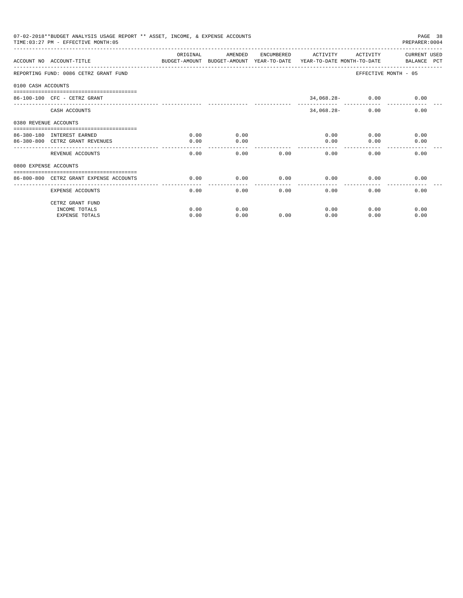|                       | 07-02-2018**BUDGET ANALYSIS USAGE REPORT ** ASSET, INCOME, & EXPENSE ACCOUNTS<br>TIME: 03:27 PM - EFFECTIVE MONTH: 05 |          |         |      |                     |                    | PAGE 38<br>PREPARER: 0004 |
|-----------------------|-----------------------------------------------------------------------------------------------------------------------|----------|---------|------|---------------------|--------------------|---------------------------|
|                       | ACCOUNT NO ACCOUNT-TITLE CONTROL SUDGET-AMOUNT BUDGET-AMOUNT YEAR-TO-DATE YEAR-TO-DATE MONTH-TO-DATE BALANCE PCT      | ORIGINAL | AMENDED |      | ENCUMBERED ACTIVITY | ACTIVITY           | CURRENT USED              |
|                       |                                                                                                                       |          |         |      |                     |                    |                           |
|                       | REPORTING FUND: 0086 CETRZ GRANT FUND                                                                                 |          |         |      |                     |                    | EFFECTIVE MONTH - 05      |
| 0100 CASH ACCOUNTS    |                                                                                                                       |          |         |      |                     |                    |                           |
|                       | $86 - 100 - 100$ CFC - CETRZ GRANT                                                                                    |          |         |      |                     | $34,068.28 - 0.00$ | 0.00                      |
|                       | CASH ACCOUNTS                                                                                                         |          |         |      | $34,068.28-$        | 0.00               | 0.00                      |
| 0380 REVENUE ACCOUNTS |                                                                                                                       |          |         |      |                     |                    |                           |
|                       | 86-380-180 INTEREST EARNED                                                                                            | 0.00     | 0.00    |      |                     | 0.00               | 0.00<br>0.00              |
|                       | 86-380-800 CETRZ GRANT REVENUES                                                                                       | 0.00     | 0.00    |      | 0.00                | 0.00               | 0.00                      |
|                       | REVENUE ACCOUNTS                                                                                                      | 0.00     | 0.00    | 0.00 | 0.00                | 0.00               | 0.00                      |
| 0800 EXPENSE ACCOUNTS |                                                                                                                       |          |         |      |                     |                    |                           |
|                       | ==============================                                                                                        |          |         |      |                     |                    |                           |
|                       | 86-800-800 CETRZ GRANT EXPENSE ACCOUNTS                                                                               | 0.00     | 0.00    | 0.00 | 0.00<br>-------     | 0.00               | 0.00                      |
|                       | EXPENSE ACCOUNTS                                                                                                      | 0.00     | 0.00    | 0.00 | 0.00                | 0.00               | 0.00                      |
|                       | CETRZ GRANT FUND                                                                                                      |          |         |      |                     |                    |                           |
|                       | INCOME TOTALS                                                                                                         | 0.00     | 0.00    |      | 0.00                | 0.00               | 0.00                      |
|                       | <b>EXPENSE TOTALS</b>                                                                                                 | 0.00     | 0.00    | 0.00 | 0.00                | 0.00               | 0.00                      |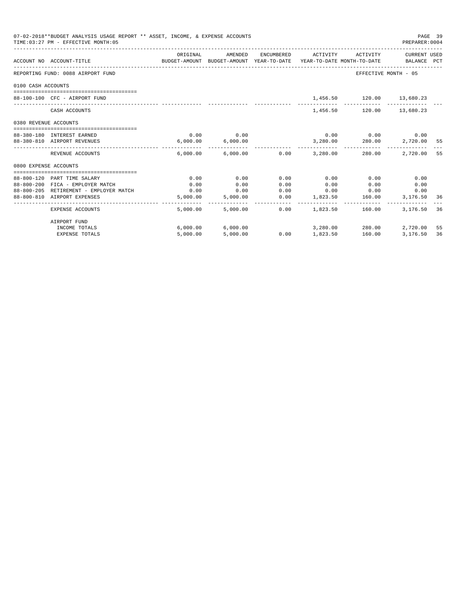| 07-02-2018**BUDGET ANALYSIS USAGE REPORT ** ASSET, INCOME, & EXPENSE ACCOUNTS<br>TIME: 03:27 PM - EFFECTIVE MONTH: 05 |                                        |                                                                                             |                   |      |                                           |                             |             |    |
|-----------------------------------------------------------------------------------------------------------------------|----------------------------------------|---------------------------------------------------------------------------------------------|-------------------|------|-------------------------------------------|-----------------------------|-------------|----|
|                                                                                                                       | ACCOUNT NO ACCOUNT-TITLE               | ORIGINAL<br>BUDGET-AMOUNT BUDGET-AMOUNT YEAR-TO-DATE YEAR-TO-DATE MONTH-TO-DATE BALANCE PCT | AMENDED           |      | ENCUMBERED ACTIVITY ACTIVITY CURRENT USED |                             |             |    |
|                                                                                                                       | REPORTING FUND: 0088 AIRPORT FUND      |                                                                                             |                   |      |                                           | EFFECTIVE MONTH - 05        |             |    |
| 0100 CASH ACCOUNTS                                                                                                    |                                        |                                                                                             |                   |      |                                           |                             |             |    |
|                                                                                                                       | 88-100-100 CFC - AIRPORT FUND          |                                                                                             |                   |      |                                           | 1,456.50 120.00 13,680.23   |             |    |
|                                                                                                                       | CASH ACCOUNTS                          |                                                                                             |                   |      |                                           | 1,456.50 120.00 13,680.23   |             |    |
| 0380 REVENUE ACCOUNTS                                                                                                 |                                        |                                                                                             |                   |      |                                           |                             |             |    |
|                                                                                                                       | 88-380-180 INTEREST EARNED             | 0.00                                                                                        | 0.00              |      |                                           | $0.00$ $0.00$ $0.00$ $0.00$ |             |    |
|                                                                                                                       | 88-380-810 AIRPORT REVENUES            |                                                                                             | 6,000.00 6,000.00 |      |                                           | 3,280.00 280.00             | 2,720.00 55 |    |
|                                                                                                                       | REVENUE ACCOUNTS                       |                                                                                             |                   |      | $6.000.00$ $6.000.00$ $0.00$ $3.280.00$   | 280.00                      | 2,720.00 55 |    |
| 0800 EXPENSE ACCOUNTS                                                                                                 |                                        |                                                                                             |                   |      |                                           |                             |             |    |
|                                                                                                                       |                                        |                                                                                             |                   |      |                                           |                             |             |    |
|                                                                                                                       | 88-800-120 PART TIME SALARY            | 0.00                                                                                        | 0.00              | 0.00 | 0.00                                      | 0.00                        | 0.00        |    |
|                                                                                                                       | 88-800-200 FICA - EMPLOYER MATCH       | 0.00                                                                                        | 0.00              | 0.00 | 0.00                                      | 0.00                        | 0.00        |    |
|                                                                                                                       | 88-800-205 RETIREMENT - EMPLOYER MATCH | 0.00                                                                                        | 0.00              | 0.00 | $0.00$ 0.00<br>$0.00$ 1,823.50 160.00     |                             | 0.00        |    |
|                                                                                                                       | 88-800-810 AIRPORT EXPENSES            | 5,000.00                                                                                    | 5,000.00          |      |                                           |                             | 3,176.50 36 |    |
|                                                                                                                       | <b>EXPENSE ACCOUNTS</b>                | 5,000.00                                                                                    | 5,000.00          | 0.00 | 1,823.50                                  | 160.00                      | 3,176,50 36 |    |
|                                                                                                                       | AIRPORT FUND                           |                                                                                             |                   |      |                                           |                             |             |    |
|                                                                                                                       | INCOME TOTALS                          |                                                                                             | 6,000.00 6,000.00 |      |                                           | 3,280.00 280.00             | 2,720.00    | 55 |
|                                                                                                                       | <b>EXPENSE TOTALS</b>                  | 5,000.00                                                                                    | 5,000.00          |      | $0.00$ 1,823.50 160.00                    |                             | 3,176.50    | 36 |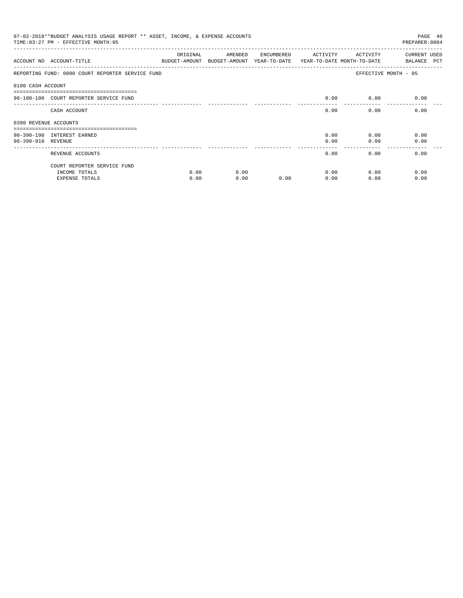| 07-02-2018**BUDGET ANALYSIS USAGE REPORT ** ASSET, INCOME, & EXPENSE ACCOUNTS<br>TIME: 03:27 PM - EFFECTIVE MONTH: 05<br>PREPARER: 0004 |                                                                       |              |                                                                                |            |              |              |                                    |  |
|-----------------------------------------------------------------------------------------------------------------------------------------|-----------------------------------------------------------------------|--------------|--------------------------------------------------------------------------------|------------|--------------|--------------|------------------------------------|--|
|                                                                                                                                         | ACCOUNT NO ACCOUNT-TITLE                                              | ORIGINAL     | AMENDED<br>BUDGET-AMOUNT BUDGET-AMOUNT YEAR-TO-DATE YEAR-TO-DATE MONTH-TO-DATE | ENCUMBERED | ACTIVITY     | ACTIVITY     | <b>CURRENT USED</b><br>BALANCE PCT |  |
|                                                                                                                                         | REPORTING FUND: 0090 COURT REPORTER SERVICE FUND                      |              |                                                                                |            |              |              | EFFECTIVE MONTH - 05               |  |
| 0100 CASH ACCOUNT                                                                                                                       | 90-100-100 COURT REPORTER SERVICE FUND                                |              |                                                                                |            | 0.00         | 0.00         | 0.00                               |  |
|                                                                                                                                         | CASH ACCOUNT                                                          |              |                                                                                |            | 0.00         | 0.00         | 0.00                               |  |
| 0390 REVENUE ACCOUNTS                                                                                                                   | 90-390-190 INTEREST EARNED                                            |              |                                                                                |            | 0.00         | 0.00         | 0.00                               |  |
| 90-390-910 REVENUE                                                                                                                      |                                                                       |              |                                                                                |            | 0.00         | 0.00         | 0.00                               |  |
|                                                                                                                                         | REVENUE ACCOUNTS                                                      |              |                                                                                |            | 0.00         | 0.00         | 0.00                               |  |
|                                                                                                                                         | COURT REPORTER SERVICE FUND<br>INCOME TOTALS<br><b>EXPENSE TOTALS</b> | 0.00<br>0.00 | 0.00<br>0.00                                                                   | 0.00       | 0.00<br>0.00 | 0.00<br>0.00 | 0.00<br>0.00                       |  |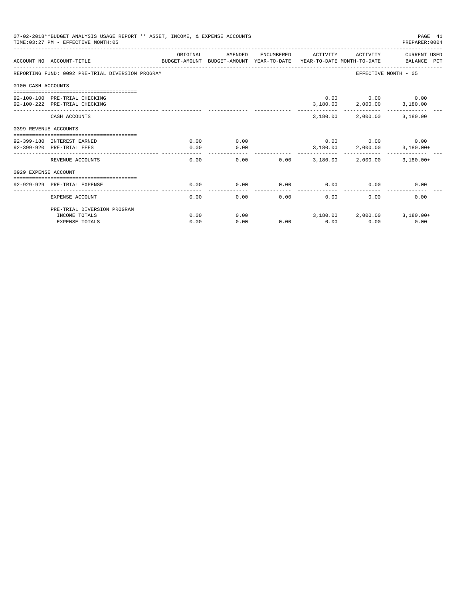|                       | 07-02-2018**BUDGET ANALYSIS USAGE REPORT ** ASSET, INCOME, & EXPENSE ACCOUNTS<br>TIME: 03:27 PM - EFFECTIVE MONTH: 05 |                     |              |              |                                   |                                                    | PAGE 41<br>PREPARER: 0004 |
|-----------------------|-----------------------------------------------------------------------------------------------------------------------|---------------------|--------------|--------------|-----------------------------------|----------------------------------------------------|---------------------------|
|                       | ACCOUNT NO ACCOUNT-TITLE COMPUTE THE BUDGET-AMOUNT BUDGET-AMOUNT YEAR-TO-DATE YEAR-TO-DATE MONTH-TO-DATE BALANCE PCT  | ORIGINAL            | AMENDED      | ENCUMBERED   | ACTIVITY                          | ACTIVITY                                           | CURRENT USED              |
|                       | REPORTING FUND: 0092 PRE-TRIAL DIVERSION PROGRAM                                                                      |                     |              |              |                                   | EFFECTIVE MONTH - 05                               |                           |
| 0100 CASH ACCOUNTS    |                                                                                                                       |                     |              |              |                                   |                                                    |                           |
|                       | 92-100-100 PRE-TRIAL CHECKING<br>92-100-222 PRE-TRIAL CHECKING                                                        |                     |              |              |                                   | $0.00$ $0.00$ $0.00$<br>3,180.00 2,000.00 3,180.00 |                           |
|                       | CASH ACCOUNTS                                                                                                         |                     |              |              | 3,180.00                          |                                                    | 2,000.00 3,180.00         |
| 0399 REVENUE ACCOUNTS |                                                                                                                       |                     |              |              |                                   |                                                    |                           |
|                       | 92-399-180 INTEREST EARNED<br>92-399-920 PRE-TRIAL FEES                                                               | 0.00<br>0.00        | 0.00<br>0.00 |              | $0.00$ $0.00$ $0.00$ $0.00$       | 3,180.00 2,000.00 3,180.00+                        |                           |
|                       | REVENUE ACCOUNTS                                                                                                      | $- - - - -$<br>0.00 |              | 0.00<br>0.00 | 3,180.00                          | ________________________<br>2,000.00               | $3,180.00+$               |
| 0929 EXPENSE ACCOUNT  |                                                                                                                       |                     |              |              |                                   |                                                    |                           |
|                       | 92-929-929 PRE-TRIAL EXPENSE                                                                                          | 0.00                | 0.00         | 0.00         | 0.00                              | 0.00                                               | 0.00                      |
|                       | EXPENSE ACCOUNT                                                                                                       | 0.00                | 0.00         | 0.00         | 0.00                              | 0.00                                               | 0.00                      |
|                       | PRE-TRIAL DIVERSION PROGRAM                                                                                           |                     |              |              |                                   |                                                    |                           |
|                       | INCOME TOTALS                                                                                                         | 0.00                | 0.00         |              | $3,180.00$ $2,000.00$ $3,180.00+$ |                                                    |                           |
|                       | <b>EXPENSE TOTALS</b>                                                                                                 | 0.00                | 0.00         | 0.00         | 0.00                              | 0.00                                               | 0.00                      |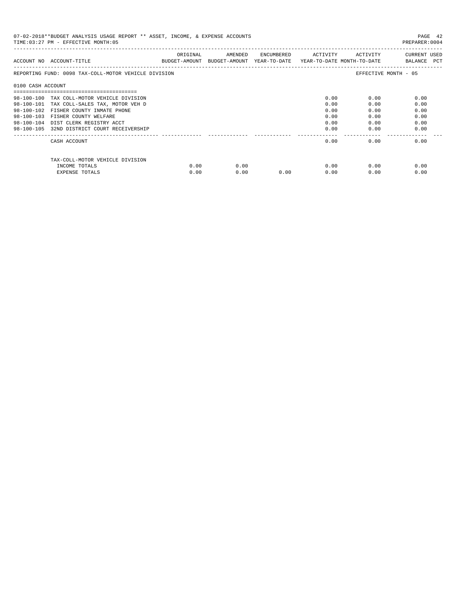| 07-02-2018**BUDGET ANALYSIS USAGE REPORT ** ASSET, INCOME, & EXPENSE ACCOUNTS<br>TIME: 03:27 PM - EFFECTIVE MONTH: 05<br>PREPARER: 0004 |                                                      |          |                                                                                |            |          |          |                             |  |
|-----------------------------------------------------------------------------------------------------------------------------------------|------------------------------------------------------|----------|--------------------------------------------------------------------------------|------------|----------|----------|-----------------------------|--|
|                                                                                                                                         | ACCOUNT NO ACCOUNT-TITLE                             | ORIGINAL | AMENDED<br>BUDGET-AMOUNT BUDGET-AMOUNT YEAR-TO-DATE YEAR-TO-DATE MONTH-TO-DATE | ENCUMBERED | ACTIVITY | ACTIVITY | CURRENT USED<br>BALANCE PCT |  |
|                                                                                                                                         | REPORTING FUND: 0098 TAX-COLL-MOTOR VEHICLE DIVISION |          |                                                                                |            |          |          | EFFECTIVE MONTH - 05        |  |
| 0100 CASH ACCOUNT                                                                                                                       |                                                      |          |                                                                                |            |          |          |                             |  |
|                                                                                                                                         |                                                      |          |                                                                                |            |          |          |                             |  |
|                                                                                                                                         | 98-100-100 TAX COLL-MOTOR VEHICLE DIVISION           |          |                                                                                |            | 0.00     | 0.00     | 0.00                        |  |
| 98-100-101                                                                                                                              | TAX COLL-SALES TAX, MOTOR VEH D                      |          |                                                                                |            | 0.00     | 0.00     | 0.00                        |  |
| $98 - 100 - 102$                                                                                                                        | FISHER COUNTY INMATE PHONE                           |          |                                                                                |            | 0.00     | 0.00     | 0.00                        |  |
| $98 - 100 - 103$                                                                                                                        | FISHER COUNTY WELFARE                                |          |                                                                                |            | 0.00     | 0.00     | 0.00                        |  |
| $98 - 100 - 104$                                                                                                                        | DIST CLERK REGISTRY ACCT                             |          |                                                                                |            | 0.00     | 0.00     | 0.00                        |  |
|                                                                                                                                         | 98-100-105 32ND DISTRICT COURT RECEIVERSHIP          |          |                                                                                |            | 0.00     | 0.00     | 0.00                        |  |
|                                                                                                                                         | CASH ACCOUNT                                         |          |                                                                                |            | 0.00     | 0.00     | 0.00                        |  |
|                                                                                                                                         | TAX-COLL-MOTOR VEHICLE DIVISION                      |          |                                                                                |            |          |          |                             |  |
|                                                                                                                                         | INCOME TOTALS                                        | 0.00     | 0.00                                                                           |            | 0.00     | 0.00     | 0.00                        |  |
|                                                                                                                                         | <b>EXPENSE TOTALS</b>                                | 0.00     | 0.00                                                                           | 0.00       | 0.00     | 0.00     | 0.00                        |  |